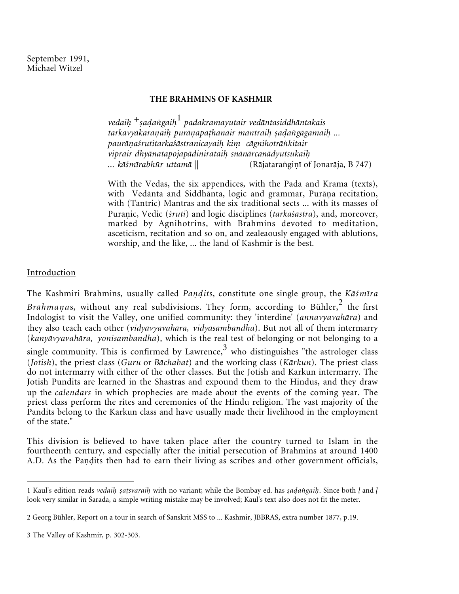### **THE BRAHMINS OF KASHMIR**

*vedai* +*-aagai*<sup>1</sup> *padakramayutair vedåntasiddhåntakais* tarkavyākaraṇaiḥ purāṇapaṭhanair mantraiḥ ṣaḍaṅgāgamaiḥ ... *pauråaśrutitarkaśåstranicayai ki cågnihotråkitair* viprair dhyānatapojapādinirataih snānārcanādyutsukaih *... kåśmīrabhūr uttamå* || (Råjataragi-(Rājataranginī of Jonarāja, B 747)

With the Vedas, the six appendices, with the Pada and Krama (texts), with Vedānta and Siddhānta, logic and grammar, Purāņa recitation, with (Tantric) Mantras and the six traditional sects ... with its masses of Purāņic, Vedic (śruti) and logic disciplines (tarkaśāstra), and, moreover, marked by Agnihotrins, with Brahmins devoted to meditation, asceticism, recitation and so on, and zealeaously engaged with ablutions, worship, and the like, ... the land of Kashmir is the best.

# Introduction

The Kashmiri Brahmins, usually called *Pandits*, constitute one single group, the *Kāśmīra* Brāhmanas, without any real subdivisions. They form, according to Bühler,<sup>2</sup> the first Indologist to visit the Valley, one unified community: they 'interdine' (*annavyavahåra*) and they also teach each other (*vidyåvyavahåra, vidyåsambandha*). But not all of them intermarry (*kanyåvyavahåra, yonisambandha*), which is the real test of belonging or not belonging to a single community. This is confirmed by Lawrence,  $3 \text{ who distinguishes "the astrologer class" }$ (*Jotish*), the priest class (*Guru* or *Båchabat*) and the working class (*Kårkun*). The priest class do not intermarry with either of the other classes. But the Jotish and Kårkun intermarry. The Jotish Pundits are learned in the Shastras and expound them to the Hindus, and they draw up the *calendars* in which prophecies are made about the events of the coming year. The priest class perform the rites and ceremonies of the Hindu religion. The vast majority of the Pandits belong to the Kårkun class and have usually made their livelihood in the employment of the state."

This division is believed to have taken place after the country turned to Islam in the fourtheenth century, and especially after the initial persecution of Brahmins at around 1400 A.D. As the Pandits then had to earn their living as scribes and other government officials,

<sup>1</sup> Kaul's edition reads *vedaih satsvaraih* with no variant; while the Bombay ed. has *sadangaih*. Since both *l* and *l* look very similar in Śåradå, a simple writing mistake may be involved; Kaul's text also does not fit the meter.

<sup>2</sup> Georg Bühler, Report on a tour in search of Sanskrit MSS to ... Kashmir, JBBRAS, extra number 1877, p.19.

<sup>3</sup> The Valley of Kashmir, p. 302-303.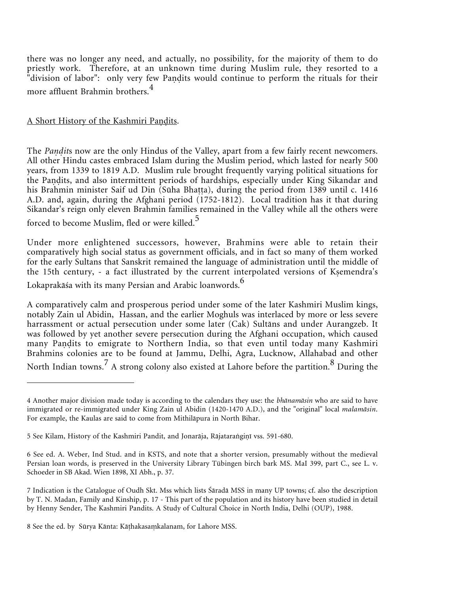there was no longer any need, and actually, no possibility, for the majority of them to do priestly work. Therefore, at an unknown time during Muslim rule, they resorted to a "division of labor": only very few Pandits would continue to perform the rituals for their more affluent Brahmin brothers.<sup>4</sup>

# A Short History of the Kashmiri Pandits.

The *Pandits* now are the only Hindus of the Valley, apart from a few fairly recent newcomers. All other Hindu castes embraced Islam during the Muslim period, which lasted for nearly 500 years, from 1339 to 1819 A.D. Muslim rule brought frequently varying political situations for the Paṇḍits, and also intermittent periods of hardships, especially under King Sikandar and his Brahmin minister Saif ud Din (Sūha Bhaṭṭa), during the period from 1389 until c. 1416 A.D. and, again, during the Afghani period (1752-1812). Local tradition has it that during Sikandar's reign only eleven Brahmin families remained in the Valley while all the others were

forced to become Muslim, fled or were killed.<sup>5</sup>

Under more enlightened successors, however, Brahmins were able to retain their comparatively high social status as government officials, and in fact so many of them worked for the early Sultans that Sanskrit remained the language of administration until the middle of the 15th century, - a fact illustrated by the current interpolated versions of Kemendra's Lokaprakāśa with its many Persian and Arabic loanwords.<sup>6</sup>

A comparatively calm and prosperous period under some of the later Kashmiri Muslim kings, notably Zain ul Abidin, Hassan, and the earlier Moghuls was interlaced by more or less severe harrassment or actual persecution under some later (Cak) Sultåns and under Aurangzeb. It was followed by yet another severe persecution during the Afghani occupation, which caused many Paṇḍits to emigrate to Northern India, so that even until today many Kashmiri Brahmins colonies are to be found at Jammu, Delhi, Agra, Lucknow, Allahabad and other North Indian towns.<sup>7</sup> A strong colony also existed at Lahore before the partition.<sup>8</sup> During the

<sup>4</sup> Another major division made today is according to the calendars they use: the *bhånamåsin* who are said to have immigrated or re-immigrated under King Zain ul Abidin (1420-1470 A.D.), and the "original" local *malamåsin*. For example, the Kaulas are said to come from Mithilåpura in North Bihar.

<sup>5</sup> See Kilam, History of the Kashmiri Pandit, and Jonarāja, Rājataraṅgiṇī vss. 591-680.

<sup>6</sup> See ed. A. Weber, Ind Stud. and in KSTS, and note that a shorter version, presumably without the medieval Persian loan words, is preserved in the University Library Tübingen birch bark MS. MaI 399, part C., see L. v. Schoeder in SB Akad. Wien 1898, XI Abh., p. 37.

<sup>7</sup> Indication is the Catalogue of Oudh Skt. Mss which lists Śåradå MSS in many UP towns; cf. also the description by T. N. Madan, Family and Kinship, p. 17 - This part of the population and its history have been studied in detail by Henny Sender, The Kashmiri Pandits. A Study of Cultural Choice in North India, Delhi (OUP), 1988.

<sup>8</sup> See the ed. by Sūrya Kānta: Kāṭhakasaṃkalanam, for Lahore MSS.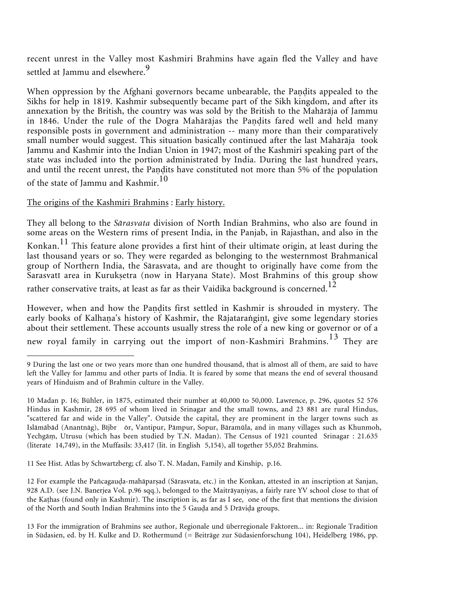recent unrest in the Valley most Kashmiri Brahmins have again fled the Valley and have settled at Jammu and elsewhere.<sup>9</sup>

When oppression by the Afghani governors became unbearable, the Pandits appealed to the Sikhs for help in 1819. Kashmir subsequently became part of the Sikh kingdom, and after its annexation by the British, the country was was sold by the British to the Mahåråja of Jammu in 1846. Under the rule of the Dogra Mahārājas the Paṇḍits fared well and held many responsible posts in government and administration -- many more than their comparatively small number would suggest. This situation basically continued after the last Mahåråja took Jammu and Kashmir into the Indian Union in 1947; most of the Kashmiri speaking part of the state was included into the portion administrated by India. During the last hundred years, and until the recent unrest, the Paṇḍits have constituted not more than 5% of the population of the state of Jammu and Kashmir.<sup>10</sup>

### The origins of the Kashmiri Brahmins : Early history.

They all belong to the *Sårasvata* division of North Indian Brahmins, who also are found in some areas on the Western rims of present India, in the Panjab, in Rajasthan, and also in the Konkan.<sup>11</sup> This feature alone provides a first hint of their ultimate origin, at least during the last thousand years or so. They were regarded as belonging to the westernmost Brahmanical group of Northern India, the Sårasvata, and are thought to originally have come from the Sarasvatī area in Kuruketra (now in Haryana State). Most Brahmins of this group show rather conservative traits, at least as far as their Vaidika background is concerned.<sup>12</sup>

However, when and how the Paṇḍits first settled in Kashmir is shrouded in mystery. The early books of Kalhaṇa's history of Kashmir, the Rājataraṅgiṇī, give some legendary stories about their settlement. These accounts usually stress the role of a new king or governor or of a new royal family in carrying out the import of non-Kashmiri Brahmins.<sup>13</sup> They are

11 See Hist. Atlas by Schwartzberg; cf. also T. N. Madan, Family and Kinship, p.16.

<sup>9</sup> During the last one or two years more than one hundred thousand, that is almost all of them, are said to have left the Valley for Jammu and other parts of India. It is feared by some that means the end of several thousand years of Hinduism and of Brahmin culture in the Valley.

<sup>10</sup> Madan p. 16; Bühler, in 1875, estimated their number at 40,000 to 50,000. Lawrence, p. 296, quotes 52 576 Hindus in Kashmir, 28 695 of whom lived in Srinagar and the small towns, and 23 881 are rural Hindus, "scattered far and wide in the Valley". Outside the capital, they are prominent in the larger towns such as Islåmåbåd (Anantnåg), Bījbr ōr, Vantipur, Påmpur, Sopur, Båramūla, and in many villages such as Khunmoh, Yechgå , Utrusu (which has been studied by T.N. Madan). The Census of 1921 counted Srinagar : 21.635 (literate 14,749), in the Muffasils: 33,417 (lit. in English 5,154), all together 55,052 Brahmins.

<sup>12</sup> For example the Pañcagauda-mahāparṣad (Sārasvata, etc.) in the Konkan, attested in an inscription at Sanjan, 928 A.D. (see J.N. Banerjea Vol. p.96 sqq.), belonged to the Maitrāyaṇiyas, a fairly rare YV school close to that of the Kahas (found only in Kashmir). The inscription is, as far as I see, one of the first that mentions the division of the North and South Indian Brahmins into the 5 Gauda and 5 Drāvida groups.

<sup>13</sup> For the immigration of Brahmins see author, Regionale und überregionale Faktoren... in: Regionale Tradition in Südasien, ed. by H. Kulke and D. Rothermund (= Beiträge zur Südasienforschung 104), Heidelberg 1986, pp.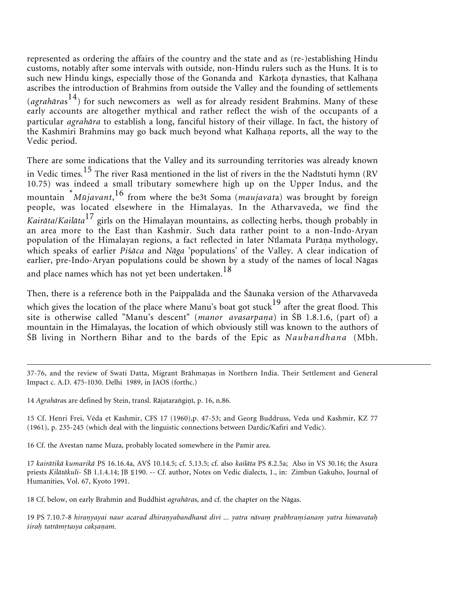represented as ordering the affairs of the country and the state and as (re-)establishing Hindu customs, notably after some intervals with outside, non-Hindu rulers such as the Huns. It is to such new Hindu kings, especially those of the Gonanda and Kārkoṭa dynasties, that Kalhaṇa ascribes the introduction of Brahmins from outside the Valley and the founding of settlements (*agrahåra*s 14) for such newcomers as well as for already resident Brahmins. Many of these early accounts are altogether mythical and rather reflect the wish of the occupants of a particular *agrahåra* to establish a long, fanciful history of their village. In fact, the history of the Kashmiri Brahmins may go back much beyond what Kalhaṇa reports, all the way to the Vedic period.

There are some indications that the Valley and its surrounding territories was already known in Vedic times.<sup>15</sup> The river Rasā mentioned in the list of rivers in the the Nadīstuti hymn (RV 10.75) was indeed a small tributary somewhere high up on the Upper Indus, and the mountain \* *Mūjavant*, <sup>16</sup> from where the be3t Soma (*maujavat*a) was brought by foreign people, was located elsewhere in the Himalayas. In the Atharvaveda, we find the *Kairåta*/*Kailåta*<sup>17</sup> girls on the Himalayan mountains, as collecting herbs, though probably in an area more to the East than Kashmir. Such data rather point to a non-Indo-Aryan population of the Himalayan regions, a fact reflected in later Nīlamata Purāṇa mythology, which speaks of earlier *Pi*ś*åca* and *Någa* 'populations' of the Valley. A clear indication of earlier, pre-Indo-Aryan populations could be shown by a study of the names of local Någas and place names which has not yet been undertaken.<sup>18</sup>

Then, there is a reference both in the Paippalåda and the Śåunaka version of the Atharvaveda which gives the location of the place where Manu's boat got stuck $^{19}$  after the great flood. This site is otherwise called "Manu's descent" (*manor avasarpaa*) in ŚB 1.8.1.6, (part of) a mountain in the Himalayas, the location of which obviously still was known to the authors of ŚB living in Northern Bihar and to the bards of the Epic as *Naubandhana* (Mbh.

15 Cf. Henri Frei, Véda et Kashmir, CFS 17 (1960),p. 47-53; and Georg Buddruss, Veda und Kashmir, KZ 77 (1961), p. 235-245 (which deal with the linguistic connections between Dardic/Kafiri and Vedic).

16 Cf. the Avestan name Muza, probably located somewhere in the Pamir area.

17 *kairåtikå kumarikå* PS 16.16.4a, AVŚ 10.14.5; cf. 5.13.5; cf. also *kailåta* PS 8.2.5a; Also in VS 30.16; the Asura priests *Kilåtåkuli*- ŚB 1.1.4.14; JB §190. -- Cf. author, Notes on Vedic dialects, 1., in: Zimbun Gakuho, Journal of Humanities, Vol. 67, Kyoto 1991.

18 Cf. below, on early Brahmin and Buddhist *agrahåra*s, and cf. the chapter on the Någas.

19 PS 7.10.7-8 *hiranyayai naur acarad dhiranyabandhanā divi ... yatra nāvam prabhramśanam yatra himavatah śiraḥ tatrāmṛtasya cakṣaṇam*.

<sup>37-76,</sup> and the review of Swati Datta, Migrant Brāhmaṇas in Northern India. Their Settlement and General Impact c. A.D. 475-1030. Delhi 1989, in JAOS (forthc.)

<sup>14</sup> Agrahāras are defined by Stein, transl. Rājataranginī, p. 16, n.86.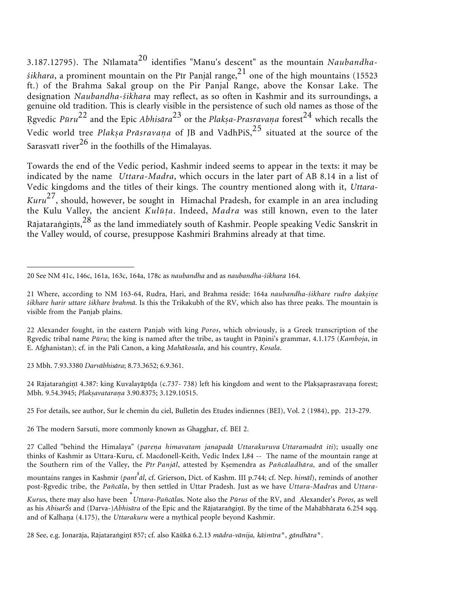3.187.12795). The Nīlamata<sup>20</sup> identifies "Manu's descent" as the mountain *Naubandha* $sikhara$ , a prominent mountain on the Pīr Panjāl range,  $2<sup>1</sup>$  one of the high mountains (15523) ft.) of the Brahma Sakal group on the Pir Panjal Range, above the Konsar Lake. The designation *Naubandha*-*śikhara* may reflect, as so often in Kashmir and its surroundings, a genuine old tradition. This is clearly visible in the persistence of such old names as those of the Rgvedic Pūru<sup>22</sup> and the Epic *Abhisāra<sup>23</sup>* or the *Plakṣa-Prasravaṇa* forest<sup>24</sup> which recalls the Vedic world tree *Plak-<sup>a</sup> Pråsravaa* of JB and VådhPiS,<sup>25</sup> situated at the source of the Sarasvatī river $^{26}$  in the foothills of the Himalayas.

Towards the end of the Vedic period, Kashmir indeed seems to appear in the texts: it may be indicated by the name *Uttara-Madra*, which occurs in the later part of AB 8.14 in a list of Vedic kingdoms and the titles of their kings. The country mentioned along with it, *Uttara-Kuru*27, should, however, be sought in Himachal Pradesh, for example in an area including the Kulu Valley, the ancient *Kulūa*. Indeed, *Madra* was still known, even to the later Rājataraṅgiṇīs, $^{28}$  as the land immediately south of Kashmir. People speaking Vedic Sanskrit in the Valley would, of course, presuppose Kashmiri Brahmins already at that time.

22 Alexander fought, in the eastern Panjab with king *Poros*, which obviously, is a Greek transcription of the Rgvedic tribal name Pūru; the king is named after the tribe, as taught in Pāṇini's grammar, 4.1.175 (*Kamboja*, in E. Afghanistan); cf. in the Påli Canon, a king *Mahåkosala*, and his country, *Kosala*.

23 Mbh. 7.93.3380 *Darvåbhisåra*; 8.73.3652; 6.9.361.

24 Rājataranginī 4.387: king Kuvalayāpīḍa (c.737- 738) left his kingdom and went to the Plakṣaprasravaṇa forest; Mbh. 9.54.3945; *Plak-avataraa* 3.90.8375; 3.129.10515.

25 For details, see author, Sur le chemin du ciel, Bulletin des Etudes indiennes (BEI), Vol. 2 (1984), pp. 213-279.

26 The modern Sarsuti, more commonly known as Ghagghar, cf. BEI 2.

<sup>20</sup> See NM 41c, 146c, 161a, 163c, 164a, 178c as *naubandha* and as *naubandha-śikhara* 164.

<sup>21</sup> Where, according to NM 163-64, Rudra, Hari, and Brahma reside: 164a *naubandha-śikhare rudro dakṣiṇe śikhare harir uttare śikhare brahmå*. Is this the Trikakubh of the RV, which also has three peaks. The mountain is visible from the Panjab plains.

<sup>27</sup> Called "behind the Himalaya" (*parea himavatam janapadå Uttarakuruva Uttaramadrå iti*); usually one thinks of Kashmir as Uttara-Kuru, cf. Macdonell-Keith, Vedic Index I,84 -- The name of the mountain range at the Southern rim of the Valley, the *Pīr Panjål*, attested by Kemendra as *Pañcåladhåra,* and of the smaller mountains ranges in Kashmir (*pant s ål*, cf. Grierson, Dict. of Kashm. III p.744; cf. Nep. *himål*), reminds of another post-gvedic tribe, the *Pañcåla*, by then settled in Uttar Pradesh. Just as we have *Uttara-Madra*s and *Uttara-*

*Kuru*s, there may also have been \* *Uttara-Pañcåla*s. Note also the *Pūrus* of the RV, and Alexander's *Poros*, as well as his *AbisarŚs* and (Darva-)*Abhisāra* of the Epic and the Rājataraṅgiṇī. By the time of the Mahābhārata 6.254 sqq. and of Kalhaṇa (4.175), the *Uttarakuru* were a mythical people beyond Kashmir.

<sup>28</sup> See, e.g. Jonarāja, Rājataraṅgiṇī 857; cf. also Kāśīkā 6.2.13 *mādra-vānija, kāśmīra°*, *gāndhāra°*.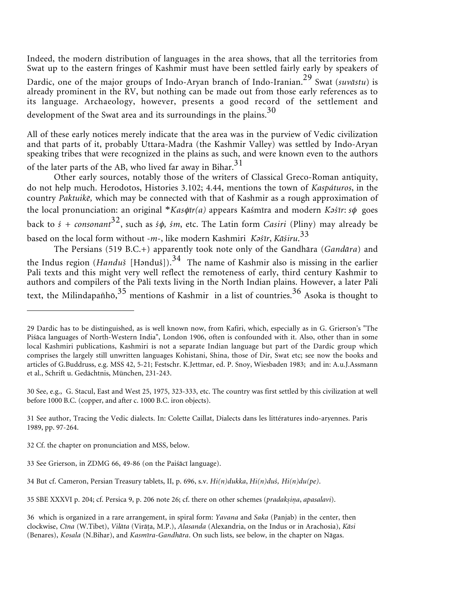Indeed, the modern distribution of languages in the area shows, that all the territories from Swat up to the eastern fringes of Kashmir must have been settled fairly early by speakers of Dardic, one of the major groups of Indo-Aryan branch of Indo-Iranian.<sup>29</sup> Swat (*suvåstu*) is already prominent in the RV, but nothing can be made out from those early references as to its language. Archaeology, however, presents a good record of the settlement and development of the Swat area and its surroundings in the plains.<sup>30</sup>

All of these early notices merely indicate that the area was in the purview of Vedic civilization and that parts of it, probably Uttara-Madra (the Kashmir Valley) was settled by Indo-Aryan speaking tribes that were recognized in the plains as such, and were known even to the authors of the later parts of the AB, who lived far away in Bihar.<sup>31</sup>

Other early sources, notably those of the writers of Classical Greco-Roman antiquity, do not help much. Herodotos, Histories 3.102; 4.44, mentions the town of *Kaspáturos*, in the country *Paktuikẽ,* which may be connected with that of Kashmir as a rough approximation of the local pronunciation: an original \**Kas*φ*īr(a)* appears Kaśmīra and modern *Kəśīr*: *s*φ goes back to *ś + consonant*32, such as *<sup>ś</sup>*φ*, śm*, etc. The Latin form *Casiri* (Pliny) may already be based on the local form without -*m*-, like modern Kashmiri *Kəśīr*, *Kåśiru*. 33

The Persians (519 B.C.+) apparently took note only of the Gandhåra (*Gandåra*) and the Indus region (*Handuš* [Hənduš]).<sup>34</sup> The name of Kashmir also is missing in the earlier Pali texts and this might very well reflect the remoteness of early, third century Kashmir to authors and compilers of the Påli texts living in the North Indian plains. However, a later Påli text, the Milindapañhō,  $35$  mentions of Kashmir in a list of countries.  $36$  Asoka is thought to

<sup>29</sup> Dardic has to be distinguished, as is well known now, from Kafiri, which, especially as in G. Grierson's "The Piśåca languages of North-Western India", London 1906, often is confounded with it. Also, other than in some local Kashmiri publications, Kashmiri is not a separate Indian language but part of the Dardic group which comprises the largely still unwritten languages Kohistani, Shina, those of Dir, Swat etc; see now the books and articles of G.Buddruss, e.g. MSS 42, 5-21; Festschr. K.Jettmar, ed. P. Snoy, Wiesbaden 1983; and in: A.u.J.Assmann et al., Schrift u. Gedächtnis, München, 231-243.

<sup>30</sup> See, e.g., G. Stacul, East and West 25, 1975, 323-333, etc. The country was first settled by this civilization at well before 1000 B.C. (copper, and after c. 1000 B.C. iron objects).

<sup>31</sup> See author, Tracing the Vedic dialects. In: Colette Caillat, Dialects dans les littératures indo-aryennes. Paris 1989, pp. 97-264.

<sup>32</sup> Cf. the chapter on pronunciation and MSS, below.

<sup>33</sup> See Grierson, in ZDMG 66, 49-86 (on the Paiśåcī language).

<sup>34</sup> But cf. Cameron, Persian Treasury tablets, II, p. 696, s.v. *Hi(n)dukka*, *Hi(n)duś, Hi(n)du(pe)*.

<sup>35</sup> SBE XXXVI p. 204; cf. Persica 9, p. 206 note 26; cf. there on other schemes (*pradak-ia*, *apasalavi*).

<sup>36</sup> which is organized in a rare arrangement, in spiral form: *Yavana* and *Saka* (Panjab) in the center, then clockwise, *Cīna* (W.Tibet), *Vilåta* (Viråa, M.P.), *Alasanda* (Alexandria, on the Indus or in Arachosia), *Kåsi* (Benares), *Kosala* (N.Bihar), and *Kasmīra*-*Gandhåra*. On such lists, see below, in the chapter on Någas.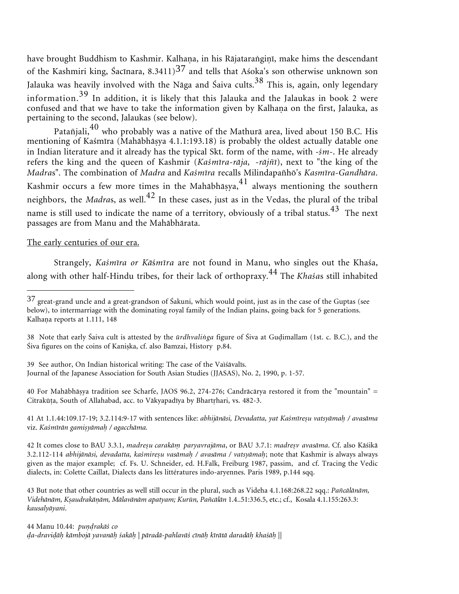have brought Buddhism to Kashmir. Kalhaṇa, in his Rājataraṅgiṇī, make hims the descendant of the Kashmiri king, Sacīnara, 8.3411)<sup>37</sup> and tells that Asoka's son otherwise unknown son Jalauka was heavily involved with the Nāga and Saiva cults.<sup>38</sup> This is, again, only legendary information.<sup>39</sup> In addition, it is likely that this Jalauka and the Jalaukas in book 2 were confused and that we have to take the information given by Kalhana on the first, Jalauka, as pertaining to the second, Jalaukas (see below).

Patañjali, $^{40}$  who probably was a native of the Mathurā area, lived about 150 B.C. His mentioning of Kaśmīra (Mahåbhåya 4.1.1:193.18) is probably the oldest actually datable one in Indian literature and it already has the typical Skt. form of the name, with -*śm*-. He already refers the king and the queen of Kashmir (*Kaśmīra-råja, -råjñī*), next to "the king of the *Madra*s". The combination of *Madra* and *Kaśmīra* recalls Milindapañhō's *Kasmīra*-*Gandhåra*. Kashmir occurs a few more times in the Mahābhāsya,  $4<sup>1</sup>$  always mentioning the southern neighbors, the *Madras*, as well.<sup>42</sup> In these cases, just as in the Vedas, the plural of the tribal name is still used to indicate the name of a territory, obviously of a tribal status.<sup>43</sup> The next passages are from Manu and the Mahåbhårata.

#### The early centuries of our era.

Strangely, *Kaśmīra or Kå*ś*mīra* are not found in Manu, who singles out the Khaśa, along with other half-Hindu tribes, for their lack of orthopraxy.<sup>44</sup> The *Khaśa*s still inhabited

40 For Mahåbhåya tradition see Scharfe, JAOS 96.2, 274-276; Candråcårya restored it from the "mountain" = Citrakūța, South of Allahabad, acc. to Vākyapadīya by Bhartrhari, vs. 482-3.

41 At 1.1.44:109.17-19; 3.2.114:9-17 with sentences like: *abhijånåsi, Devadatta, yat Kaśmīre-u vatsyåma / avasåma* viz. *Kaśmīrān gamisyāmah / agacchāma*.

42 It comes close to BAU 3.3.1, *madre-u carakå paryavrajåma*, or BAU 3.7.1: *madre-v avasåma*. Cf. also Kåśikå 3.2.112-114 *abhijånåsi, devadatta, kaśmire-u vasåma / avasåma / vatsyåma*; note that Kashmir is always always given as the major example; cf. Fs. U. Schneider, ed. H.Falk, Freiburg 1987, passim, and cf. Tracing the Vedic dialects, in: Colette Caillat, Dialects dans les littératures indo-aryennes. Paris 1989, p.144 sqq.

43 But note that other countries as well still occur in the plural, such as Videha 4.1.168:268.22 sqq.: *Pañcålånåm, Videhånåm, K-audrakååm, Målavånåm apatyam; Kurūn, Pañcålån* 1.4..51:336.5, etc.; cf., Kosala 4.1.155:263.3: *kausalyåyani*.

44 Manu 10.44: *purakåś co a-draviå kåmbojå yavanå śakå | påradå-pahlavåś cīnå kīråtå daradå khaśå* ||

<sup>37</sup> great-grand uncle and a great-grandson of Śakuni, which would point, just as in the case of the Guptas (see below), to intermarriage with the dominating royal family of the Indian plains, going back for 5 generations. Kalhaņa reports at 1.111, 148

<sup>38</sup> Note that early Śaiva cult is attested by the *ūrdhvaliga* figure of Śiva at Guimallam (1st. c. B.C.), and the Śiva figures on the coins of Kanika, cf. also Bamzai, History p.84.

<sup>39</sup> See author, On Indian historical writing: The case of the Vaìśåvalīs. Journal of the Japanese Association for South Asian Studies (JJASAS), No. 2, 1990, p. 1-57.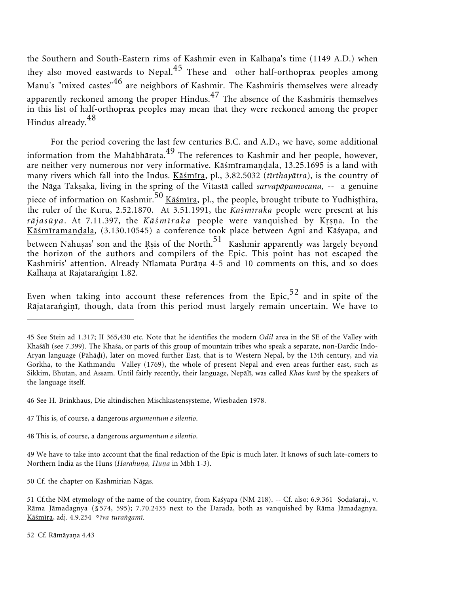the Southern and South-Eastern rims of Kashmir even in Kalhaṇa's time (1149 A.D.) when they also moved eastwards to Nepal.<sup>45</sup> These and other half-orthoprax peoples among Manu's "mixed castes"<sup>46</sup> are neighbors of Kashmir. The Kashmiris themselves were already apparently reckoned among the proper Hindus. $47$  The absence of the Kashmiris themselves in this list of half-orthoprax peoples may mean that they were reckoned among the proper Hindus already.<sup>48</sup>

For the period covering the last few centuries B.C. and A.D., we have, some additional information from the Mahābhārata. $^{49}$  The references to Kashmir and her people, however, are neither very numerous nor very informative. <u>Kāśmīramaṇḍala</u>, 13.25.1695 is a land with many rivers which fall into the Indus. Kåśmīra, pl., 3.82.5032 (*tīrthayåtra*), is the country of the Någa Takaka, living in the spring of the Vitastå called *sarvapåpamocana, --* a genuine piece of information on Kashmir.<sup>50</sup> Kāśmīra, pl., the people, brought tribute to Yudhisthira, the ruler of the Kuru, 2.52.1870. At 3.51.1991, the *Kåśmīraka* people were present at his rājasūya. At 7.11.397, the *Kāśmīraka* people were vanquished by Krsna. In the <u>Kāśmīramaṇḍala,</u> (3.130.10545) a conference took place between Agni and Kāśyapa, and between Nahuṣas' son and the Rṣis of the North.<sup>51</sup> Kashmir apparently was largely beyond the horizon of the authors and compilers of the Epic. This point has not escaped the Kashmiris' attention. Already Nīlamata Purāṇa 4-5 and 10 comments on this, and so does Kalhaṇa at Rājataraṅgiṇī 1.82.

Even when taking into account these references from the Epic,  $52$  and in spite of the Rājataraṅgiṇī, though, data from this period must largely remain uncertain. We have to

<sup>45</sup> See Stein ad 1.317; II 365,430 etc. Note that he identifies the modern *Odil* area in the SE of the Valley with Khaśålī (see 7.399). The Khaśa, or parts of this group of mountain tribes who speak a separate, non-Dardic Indo-Aryan language (Påhåī), later on moved further East, that is to Western Nepal, by the 13th century, and via Gorkha, to the Kathmandu Valley (1769), the whole of present Nepal and even areas further east, such as Sikkim, Bhutan, and Assam. Until fairly recently, their language, Nepålī, was called *Khas kurå* by the speakers of the language itself.

<sup>46</sup> See H. Brinkhaus, Die altindischen Mischkastensysteme, Wiesbaden 1978.

<sup>47</sup> This is, of course, a dangerous *argumentum e silentio*.

<sup>48</sup> This is, of course, a dangerous *argumentum e silentio*.

<sup>49</sup> We have to take into account that the final redaction of the Epic is much later. It knows of such late-comers to Northern India as the Huns (*Hårahūa, Hūa* in Mbh 1-3).

<sup>50</sup> Cf. the chapter on Kashmirian Någas.

<sup>51</sup> Cf.the NM etymology of the name of the country, from Kaśyapa (NM 218). -- Cf. also: 6.9.361 Sodaśarāj., v. Råma Jåmadagnya (§574, 595); 7.70.2435 next to the Darada, both as vanquished by Råma Jåmadagnya. Kåśmīra, adj. 4.9.254 °*īva turagamī*.

<sup>52</sup> Cf. Rāmāyaṇa 4.43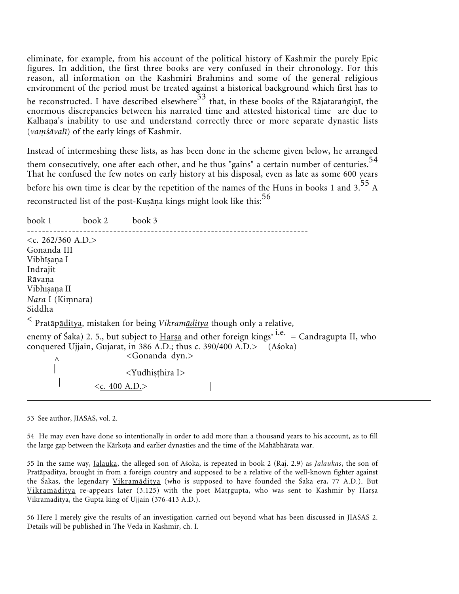eliminate, for example, from his account of the political history of Kashmir the purely Epic figures. In addition, the first three books are very confused in their chronology. For this reason, all information on the Kashmiri Brahmins and some of the general religious environment of the period must be treated against a historical background which first has to be reconstructed. I have described elsewhere<sup>53</sup> that, in these books of the Rājatarangiņī, the enormous discrepancies between his narrated time and attested historical time are due to Kalhaṇa's inability to use and understand correctly three or more separate dynastic lists (*vaśåvalī*) of the early kings of Kashmir.

Instead of intermeshing these lists, as has been done in the scheme given below, he arranged them consecutively, one after each other, and he thus "gains" a certain number of centuries.<sup>54</sup> That he confused the few notes on early history at his disposal, even as late as some 600 years before his own time is clear by the repetition of the names of the Huns in books 1 and  $3.55$  A reconstructed list of the post-Kuṣāṇa kings might look like this: $^{56}$ 

book 1 book 2 book 3 ---------------------------------------------------------------------------  $\langle c. 262/360 \text{ A.D.} \rangle$ Gonanda III Vibhīṣaṇa I Indrajit Rāvaņa Vibhīṣaṇa II *Nara* I (Kimnara) Siddha < Pratåpåditya, mistaken for being *Vikramåditya* though only a relative, enemy of Śaka) 2. 5., but subject to Harsa and other foreign kings<sup>, i.e.</sup> = Candragupta II, who conquered Ujjain, Gujarat, in 386 A.D.; thus c. 390/400 A.D.> (Aśoka)  $\Lambda$  <Gonanda dyn.> <Yudhisthira I>  $\langle \text{c. 400 A.D.} \rangle$ 

53 See author, JIASAS, vol. 2.

54 He may even have done so intentionally in order to add more than a thousand years to his account, as to fill the large gap between the Kārkoṭa and earlier dynasties and the time of the Mahābhārata war.

55 In the same way, Jalauka, the alleged son of Aśoka, is repeated in book 2 (Råj. 2.9) as *Jalaukas*, the son of Pratåpaditya, brought in from a foreign country and supposed to be a relative of the well-known fighter against the Śakas, the legendary Vikramåditya (who is supposed to have founded the Śaka era, 77 A.D.). But Vikramāditya re-appears later (3.125) with the poet Mātrgupta, who was sent to Kashmir by Harsa Vikramåditya, the Gupta king of Ujjain (376-413 A.D.).

56 Here I merely give the results of an investigation carried out beyond what has been discussed in JIASAS 2. Details will be published in The Veda in Kashmir, ch. I.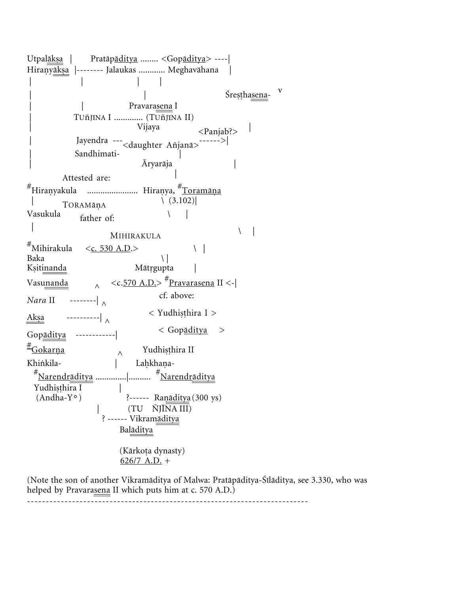Utpalåka | Pratåpåditya ........ <Gopåditya> ----| Hiraṇy<u>ākṣa</u> |-------- Jalaukas ............ Meghavāhana | | | | | | Sresthasena-Pravarasena I | TUñJīNA I ............. (TUñJīNA II) Vijaya <Panjab?> | Jayendra ---<daughter Añjanå>------>| Sandhimati-| Āryaråja | Attested are: #Hiraṇyakula ...................... Hiraṇya, <sup>#</sup>Toramāṇa |<br>Vasukula c<sub>cel</sub> \  $(3.102)|$ father of: | MIHIRAKULA  $\vert$  $\text{\textsterling}^{\#} \text{Mihirakula} \quad \text{<}\underline{\text{c. 530 A.D.}}\text{>} \qquad \qquad \text{ }\text{ }\text{ }\text{ }\text{ }\mid$ Baka  $\qquad \qquad \setminus$ Ksitinanda Mātrgupta | Vasunanda  $\lambda$  $\langle \text{c.570 A.D.} \rangle$   $\stackrel{\#}{\sim}$  Pravarasena II  $\langle \text{-} |$ *Nara* II --------|  $\wedge$  cf. above: Aka ----------| ^ < Yudhihira I > Gopåditya ------------| < Gopåditya >  $\frac{\text{\#}}{\text{Gokarna}}$  $\wedge$  Yudhiṣṭhira II Khinkila-Lahkhana- #Narendråditya ..............|.......... #Narendråditya Yudhiṣṭhira I<br>(Andha-Y°) (Andha-Y°) ?------ Ranāditya (300 ys) | (TU ÑJĪNA III) ? ------ Vikram<u>āditya</u> Balåditya (Kārkoṭa dynasty)  $626/7$  A.D. +

(Note the son of another Vikramåditya of Malwa: Pratåpåditya-Śīlåditya, see 3.330, who was helped by Pravarasena II which puts him at c. 570 A.D.)

---------------------------------------------------------------------------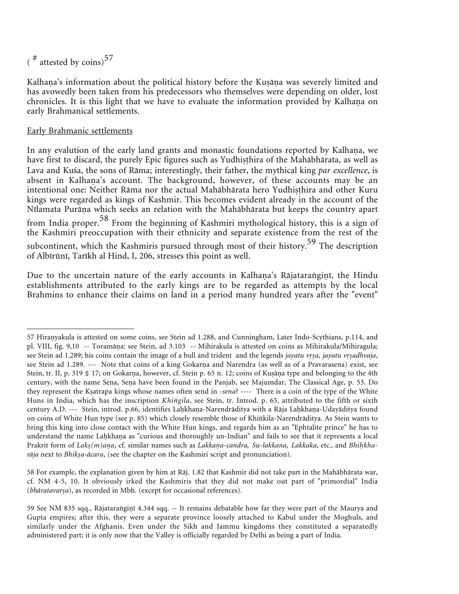$(\frac{\textit{#}}{\textit{atested}})$  by coins)<sup>57</sup>

Kalhaṇa's information about the political history before the Kuṣāṇa was severely limited and has avowedly been taken from his predecessors who themselves were depending on older, lost chronicles. It is this light that we have to evaluate the information provided by Kalhaṇa on early Brahmanical settlements.

#### Early Brahmanic settlements

In any evalution of the early land grants and monastic foundations reported by Kalhaṇa, we have first to discard, the purely Epic figures such as Yudhisthira of the Mahābhārata, as well as Lava and Kuśa, the sons of Råma; interestingly, their father, the mythical king *par excellence*, is absent in Kalhaṇa's account. The background, however, of these accounts may be an intentional one: Neither Rāma nor the actual Mahābhārata hero Yudhisthira and other Kuru kings were regarded as kings of Kashmir. This becomes evident already in the account of the Nīlamata Purāṇa which seeks an relation with the Mahābhārata but keeps the country apart from India proper.<sup>58</sup> From the beginning of Kashmiri mythological history, this is a sign of the Kashmiri preoccupation with their ethnicity and separate existence from the rest of the subcontinent, which the Kashmiris pursued through most of their history.<sup>59</sup> The description of Albīrūnī, Tarīkh al Hind, I, 206, stresses this point as well.

Due to the uncertain nature of the early accounts in Kalhaṇa's Rājataraṅgiṇī, the Hindu establishments attributed to the early kings are to be regarded as attempts by the local Brahmins to enhance their claims on land in a period many hundred years after the "event"

58 For example, the explanation given by him at Råj. 1.82 that Kashmir did not take part in the Mahåbhårata war, cf. NM 4-5, 10. It obviously irked the Kashmiris that they did not make out part of "primordial" India (bhāratavarșa), as recorded in Mbh. (except for occasional references).

<sup>57</sup> Hiranyakula is attested on some coins, see Stein ad 1.288, and Cunningham, Later Indo-Scythians, p.114, and pl. VIII, fig. 9,10 -- Toramāṇa: see Stein, ad 3.103 -- Mihirakula is attested on coins as Mihirakula/Mihiragula; see Stein ad 1.289; his coins contain the image of a bull and trident and the legends *jayatu vrsa, jayatu vrsadhvaja*, see Stein ad 1.289. --- Note that coins of a king Gokarṇa and Narendra (as well as of a Pravarasena) exist, see Stein, tr. II, p. 319 § 17; on Gokarna, however, cf. Stein p. 65 n. 12; coins of Kuṣāṇa type and belonging to the 4th century, with the name Sena, Sena have been found in the Panjab, see Majumdar, The Classical Age, p. 53. Do they represent the Katrapa kings whose names often send in -*sena*? ---- There is a coin of the type of the White Huns in India, which has the inscription *Khigila*, see Stein, tr. Introd. p. 65, attributed to the fifth or sixth century A.D. --- Stein, introd. p.66, identifies Laḥkhaṇa-Narendrāditya with a Rāja Laḥkhaṇa-Udayāditya found on coins of White Hun type (see p. 85) which closely resemble those of Khikila-Narendråditya. As Stein wants to bring this king into close contact with the White Hun kings, and regards him as an "Ephtalite prince" he has to understand the name Laḥkhaṇa as "curious and thoroughly un-Indian" and fails to see that it represents a local Prakrit form of *Lakṣ(m)aṇa*, cf. similar names such as *Lakkaṇa-candra, Su-lakkana, Lakkaka*, etc., and *Bhiḥkha*rāja next to *Bhikṣa-ācara*, (see the chapter on the Kashmiri script and pronunciation).

<sup>59</sup> See NM 835 sqq., Rājataraṅgiṇī 4.344 sqq. -- It remains debatable how far they were part of the Maurya and Gupta empires; after this, they were a separate province loosely attached to Kabul under the Moghuls, and similarly under the Afghanis. Even under the Sikh and Jammu kingdoms they constituted a separatedly administered part; it is only now that the Valley is officially regarded by Delhi as being a part of India.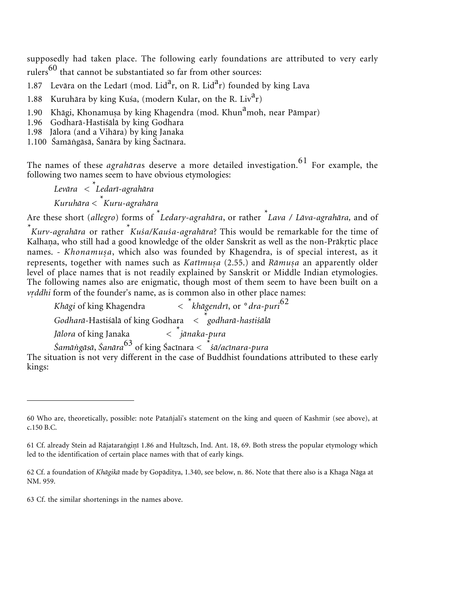supposedly had taken place. The following early foundations are attributed to very early rulers $^{60}$  that cannot be substantiated so far from other sources:

1.87 Levāra on the Ledarī (mod. Lid<sup>a</sup>r, on R. Lid<sup>a</sup>r) founded by king Lava

1.88 Kuruhāra by king Kuśa, (modern Kular, on the R. Liv<sup>a</sup>r)

1.90 Khāgi, Khonamuṣa by king Khagendra (mod. Khun<sup>a</sup>moh, near Pāmpar)

1.96 Godharå-Hastiśålå by king Godhara

1.98 Jålora (and a Vihåra) by king Janaka

1.100 Śamågåså, Śanåra by king Śacīnara.

The names of these *agrahāras* deserve a more detailed investigation.<sup>61</sup> For example, the following two names seem to have obvious etymologies:

*Levåra < \* Ledarī-agrahåra Kuruhåra* <sup>&</sup>lt;*\* Kuru-agrahåra*

Are these short (*allegro*) forms of *\* Ledary-agrahåra*, or rather *\* Lava / Låva-agrahåra,* and of

\*<br> *Kurv-agrahāra* or rather <sup>\*</sup>*Kuśa/Kauśa-agrahāra*? This would be remarkable for the time of Kalhaṇa, who still had a good knowledge of the older Sanskrit as well as the non-Prākṛtic place names. - *Khonamuṣa*, which also was founded by Khagendra, is of special interest, as it represents, together with names such as *Katīmuṣa* (2.55.) and *Rāmuṣa* an apparently older level of place names that is not readily explained by Sanskrit or Middle Indian etymologies. The following names also are enigmatic, though most of them seem to have been built on a *vddhi* form of the founder's name, as is common also in other place names:

*Khāgi* of king Khagendra *khågendrī*, or °*dra-puri*<sup>62</sup> *Godharå*-Hastiśålå of king Godhara < *\*godharå-hastiśålå* Jālora of king Janaka *jånaka-pura Śamågåså*, *Śanåra*<sup>63</sup> of king Śacīnara < \**śå/acīnara-pura*

The situation is not very different in the case of Buddhist foundations attributed to these early kings:

63 Cf. the similar shortenings in the names above.

<sup>60</sup> Who are, theoretically, possible: note Patañjali's statement on the king and queen of Kashmir (see above), at c.150 B.C.

<sup>61</sup> Cf. already Stein ad Rājataraṅgiṇī 1.86 and Hultzsch, Ind. Ant. 18, 69. Both stress the popular etymology which led to the identification of certain place names with that of early kings.

<sup>62</sup> Cf. a foundation of *Khågikå* made by Gopåditya, 1.340, see below, n. 86. Note that there also is a Khaga Någa at NM. 959.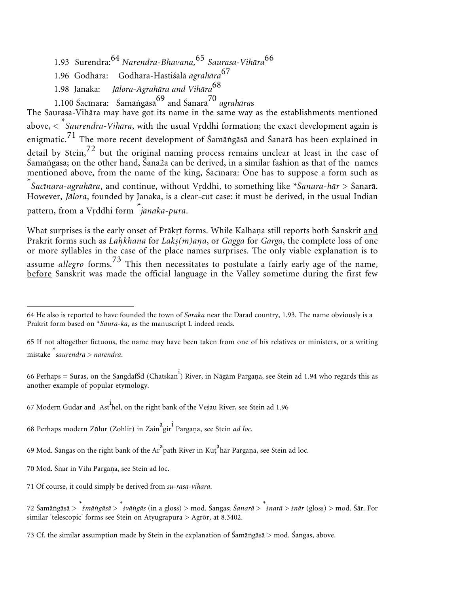- 1.93 Surendra:<sup>64</sup> *Narendra-Bhavana,*<sup>65</sup> *Saurasa-Vihåra*<sup>66</sup>
- 1.96 Godhara: Godhara-Hastiśålå *agrahåra*<sup>67</sup>
- 1.98 Janaka: *Jålora-Agrahåra and Vihåra*<sup>68</sup>
- 1.100 Śacīnara: Śamågåså<sup>69</sup> and Śanarå<sup>70</sup> *agrahåra*<sup>s</sup>

The Saurasa-Vihåra may have got its name in the same way as the establishments mentioned above,  $\lt^*$ Saurendra-Vihāra, with the usual Vṛddhi formation; the exact development again is enigmatic.<sup>71</sup> The more recent development of  $\hat{\mathcal{S}}$ amāngāsā and  $\hat{\mathcal{S}}$ anarā has been explained in detail by Stein,  $72$  but the original naming process remains unclear at least in the case of Śamågåså; on the other hand, Śana2å can be derived, in a similar fashion as that of the names mentioned above, from the name of the king, Śacīnara: One has to suppose a form such as \*<br>*Šacīnara-agrahāra*, and continue, without Vṛddhi, to something like \**Śanara-hār* > Śanarā. However, *Jålora*, founded by Janaka, is a clear-cut case: it must be derived, in the usual Indian pattern, from a Vṛddhi form <sup>\*</sup>*jānaka-pura*.

What surprises is the early onset of Prākṛt forms. While Kalhaṇa still reports both Sanskrit <u>and</u> Prākrit forms such as *Lahkhana* for *Laks(m)ana*, or *Gagga* for *Garga*, the complete loss of one or more syllables in the case of the place names surprises. The only viable explanation is to assume *allegro* forms.<sup>73</sup> This then necessitates to postulate a fairly early age of the name, before Sanskrit was made the official language in the Valley sometime during the first few

<sup>64</sup> He also is reported to have founded the town of *Soraka* near the Darad country, 1.93. The name obviously is a Prakrit form based on *\*Saura-ka*, as the manuscript L indeed reads.

<sup>65</sup> If not altogether fictuous, the name may have been taken from one of his relatives or ministers, or a writing mistake \* *saurendra* > *narendra*.

<sup>66</sup> Perhaps = Suras, on the SangdafŠd (Chatskan<sup>i</sup>) River, in Nāgām Pargaṇa, see Stein ad 1.94 who regards this as another example of popular etymology.

<sup>67</sup> Modern Gudar and Ast<sup>i</sup> hel, on the right bank of the Veśau River, see Stein ad 1.96

<sup>68</sup> Perhaps modern Zōlur (Zohlir) in Zain<sup>a</sup>gir<sup>i</sup> Pargaṇa, see Stein *ad loc*.

<sup>69</sup> Mod. Śāngas on the right bank of the Ar $^{\rm a}$ path River in Kuṭ $^{\rm a}$ hār Pargaṇa, see Stein ad loc.

<sup>70</sup> Mod. Śnār in Vihī Pargaṇa, see Stein ad loc.

<sup>71</sup> Of course, it could simply be derived from *su-rasa-vihåra*.

<sup>72</sup> Śamågåså > \* *śmågåså* <sup>&</sup>gt;\* *śvågås* (in a gloss) > mod. Śangas; *Śanarå* <sup>&</sup>gt;\* *śnarå* > *śnår* (gloss) > mod. Śår. For similar 'telescopic' forms see Stein on Atyugrapura > Agrōr, at 8.3402.

<sup>73</sup> Cf. the similar assumption made by Stein in the explanation of Śamågåså > mod. Śangas, above.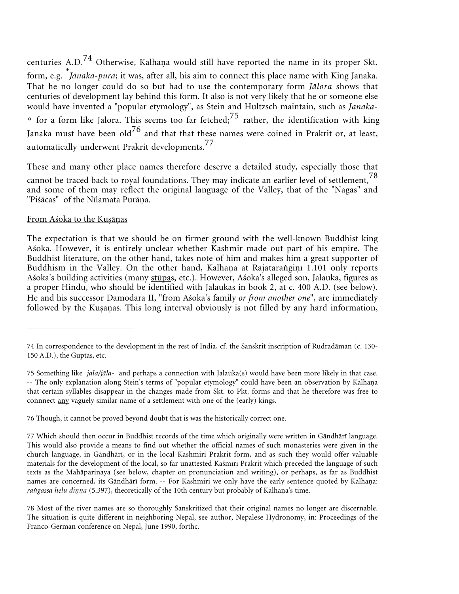centuries A.D.<sup>74</sup> Otherwise, Kalhaṇa would still have reported the name in its proper Skt. form, e.g. \* *Jånaka-pura*; it was, after all, his aim to connect this place name with King Janaka. That he no longer could do so but had to use the contemporary form *Jålora* shows that centuries of development lay behind this form. It also is not very likely that he or someone else would have invented a "popular etymology", as Stein and Hultzsch maintain, such as *Janaka*-  $\degree$  for a form like Jalora. This seems too far fetched;<sup>75</sup> rather, the identification with king Janaka must have been  $old^{76}$  and that that these names were coined in Prakrit or, at least, automatically underwent Prakrit developments.<sup>77</sup>

These and many other place names therefore deserve a detailed study, especially those that cannot be traced back to royal foundations. They may indicate an earlier level of settlement,<sup>78</sup> and some of them may reflect the original language of the Valley, that of the "Någas" and "Piśācas" of the Nīlamata Purāņa.

#### <u>From Aśoka to the Kuṣāṇas</u>

The expectation is that we should be on firmer ground with the well-known Buddhist king Aśoka. However, it is entirely unclear whether Kashmir made out part of his empire. The Buddhist literature, on the other hand, takes note of him and makes him a great supporter of Buddhism in the Valley. On the other hand, Kalhaṇa at Rājataraṅgiṇī 1.101 only reports Aśoka's building activities (many stūpas, etc.). However, Aśoka's alleged son, Jalauka, figures as a proper Hindu, who should be identified with Jalaukas in book 2, at c. 400 A.D. (see below). He and his successor Dåmodara II, "from Aśoka's family *or from another one*", are immediately followed by the Kuṣāṇas. This long interval obviously is not filled by any hard information,

76 Though, it cannot be proved beyond doubt that is was the historically correct one.

<sup>74</sup> In correspondence to the development in the rest of India, cf. the Sanskrit inscription of Rudradåman (c. 130- 150 A.D.), the Guptas, etc.

<sup>75</sup> Something like *jala/jåla*- and perhaps a connection with Jalauka(s) would have been more likely in that case. -- The only explanation along Stein's terms of "popular etymology" could have been an observation by Kalhaṇa that certain syllables disappear in the changes made from Skt. to Pkt. forms and that he therefore was free to connnect any vaguely similar name of a settlement with one of the (early) kings.

<sup>77</sup> Which should then occur in Buddhist records of the time which originally were written in Gåndhårī language. This would also provide a means to find out whether the official names of such monasteries were given in the church language, in Gåndhårī, or in the local Kashmiri Prakrit form, and as such they would offer valuable materials for the development of the local, so far unattested Kåśmīrī Prakrit which preceded the language of such texts as the Mahåparinaya (see below, chapter on pronunciation and writing), or perhaps, as far as Buddhist names are concerned, its Gāndhārī form. -- For Kashmiri we only have the early sentence quoted by Kalhaṇa: rangassa helu dinna (5.397), theoretically of the 10th century but probably of Kalhana's time.

<sup>78</sup> Most of the river names are so thoroughly Sanskritized that their original names no longer are discernable. The situation is quite different in neighboring Nepal, see author, Nepalese Hydronomy, in: Proceedings of the Franco-German conference on Nepal, June 1990, forthc.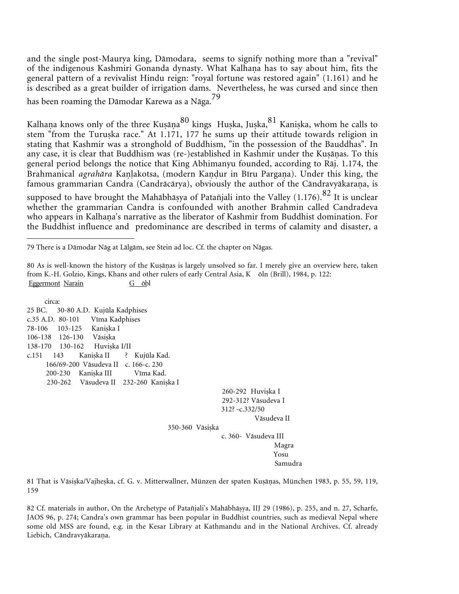and the single post-Maurya king, Dåmodara, seems to signify nothing more than a "revival" of the indigenous Kashmiri Gonanda dynasty. What Kalhaṇa has to say about him, fits the general pattern of a revivalist Hindu reign: "royal fortune was restored again" (1.161) and he is described as a great builder of irrigation dams. Nevertheless, he was cursed and since then has been roaming the Dåmodar Karewa as a Någa.<sup>79</sup>

Kalhaṇa knows only of the three Kuṣāṇa $^{80}$  kings Huṣka, Juṣka, $^{81}$  Kaniṣka, whom he calls to stem "from the Turuska race." At 1.171, 177 he sums up their attitude towards religion in stating that Kashmir was a stronghold of Buddhism, "in the possession of the Bauddhas". In any case, it is clear that Buddhism was (re-)established in Kashmir under the Kuṣāṇas. To this general period belongs the notice that King Abhimanyu founded, according to Råj. 1.174, the Brahmanical *agrahāra* Kanlakotsa, (modern Kandur in Bīru Pargana). Under this king, the famous grammarian Candra (Candrācārya), obviously the author of the Cāndravyākaraṇa, is supposed to have brought the Mahābhāsya of Patañjali into the Valley  $(1.176)$ .<sup>82</sup> It is unclear whether the grammarian Candra is confounded with another Brahmin called Candradeva who appears in Kalhaṇa's narrative as the liberator of Kashmir from Buddhist domination. For the Buddhist influence and predominance are described in terms of calamity and disaster, a

 circa: 25 BC. 30-80 A.D. Kujūla Kadphises c.35 A.D. 80-101 Vīma Kadphises 78-106 103-125 Kanika I 106-138 126-130 Våsika 138-170 130-162 Huvika I/II c.151 143 Kaniska II ? Kujūla Kad. 166/69-200 Våsudeva II c. 166-c. 230 200-230 Kanika III Vīma Kad. 230-262 Våsudeva II 232-260 Kanika I

> 260-292 Huviska I 292-312? Våsudeva I 312? -c.332/50 Våsudeva II

350-360 Våsika

c. 360- Våsudeva III Magra Yosu Samudra

81 That is Vāsiṣka/Vajheṣka, cf. G. v. Mitterwallner, Münzen der spaten Kuṣāṇas, München 1983, p. 55, 59, 119, 159

82 Cf. materials in author, On the Archetype of Patañjali's Mahåbhåya, IIJ 29 (1986), p. 255, and n. 27, Scharfe, JAOS 96, p. 274; Candra's own grammar has been popular in Buddhist countries, such as medieval Nepal where some old MSS are found, e.g. in the Kesar Library at Kathmandu and in the National Archives. Cf. already Liebich, Cāndravyākaraņa.

<sup>79</sup> There is a Dåmodar Någ at Lålgåm, see Stein ad loc. Cf. the chapter on Någas.

<sup>80</sup> As is well-known the history of the Kuṣāṇas is largely unsolved so far. I merely give an overview here, taken from K.-H. Golzio, Kings, Khans and other rulers of early Central Asia, K ōln (Brill), 1984, p. 122: Eggermont Narain G obl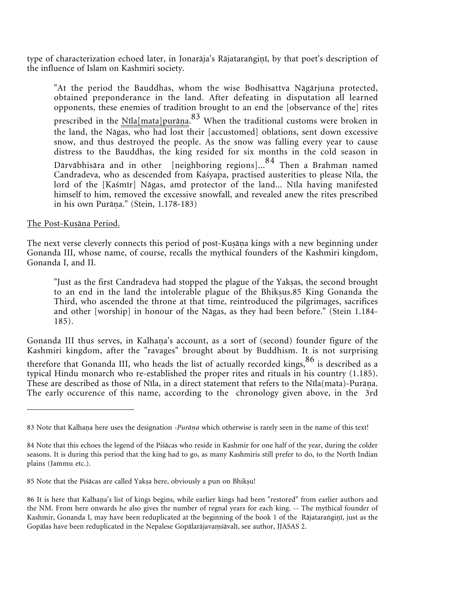type of characterization echoed later, in Jonarāja's Rājataraṅgiṇī, by that poet's description of the influence of Islam on Kashmiri society.

"At the period the Bauddhas, whom the wise Bodhisattva Någårjuna protected, obtained preponderance in the land. After defeating in disputation all learned opponents, these enemies of tradition brought to an end the [observance of the] rites prescribed in the Nīla[mata]purāṇa.<sup>83</sup> When the traditional customs were broken in the land, the Någas, who had lost their [accustomed] oblations, sent down excessive snow, and thus destroyed the people. As the snow was falling every year to cause distress to the Bauddhas, the king resided for six months in the cold season in Dårvåbhisåra and in other [neighboring regions]...<sup>84</sup> Then a Brahman named Candradeva, who as descended from Kaśyapa, practised austerities to please Nīla, the lord of the [Kaśmīr] Någas, amd protector of the land... Nīla having manifested himself to him, removed the excessive snowfall, and revealed anew the rites prescribed in his own Purāņa." (Stein, 1.178-183)

### <u>The Post-Kuṣāṇa Period.</u>

The next verse cleverly connects this period of post-Kuṣāṇa kings with a new beginning under Gonanda III, whose name, of course, recalls the mythical founders of the Kashmiri kingdom, Gonanda I, and II.

"Just as the first Candradeva had stopped the plague of the Yakas, the second brought to an end in the land the intolerable plague of the Bhikus.85 King Gonanda the Third, who ascended the throne at that time, reintroduced the pilgrimages, sacrifices and other [worship] in honour of the Någas, as they had been before." (Stein 1.184- 185).

Gonanda III thus serves, in Kalhaṇa's account, as a sort of (second) founder figure of the Kashmiri kingdom, after the "ravages" brought about by Buddhism. It is not surprising therefore that Gonanda III, who heads the list of actually recorded kings,  $86$  is described as a typical Hindu monarch who re-established the proper rites and rituals in his country (1.185). These are described as those of Nīla, in a direct statement that refers to the Nīla(mata)-Purāṇa. The early occurence of this name, according to the chronology given above, in the 3rd

<sup>83</sup> Note that Kalhana here uses the designation -*Purāṇa* which otherwise is rarely seen in the name of this text!

<sup>84</sup> Note that this echoes the legend of the Piśåcas who reside in Kashmir for one half of the year, during the colder seasons. It is during this period that the king had to go, as many Kashmiris still prefer to do, to the North Indian plains (Jammu etc.).

<sup>85</sup> Note that the Piśåcas are called Yaka here, obviously a pun on Bhiku!

<sup>86</sup> It is here that Kalhaṇa's list of kings begins, while earlier kings had been "restored" from earlier authors and the NM. From here onwards he also gives the number of regnal years for each king. -- The mythical founder of Kashmir, Gonanda I, may have been reduplicated at the beginning of the book 1 of the Rājataraṅgiṇī, just as the Gopålas have been reduplicated in the Nepalese Gopålaråjava śåvalī, see author, JJASAS 2.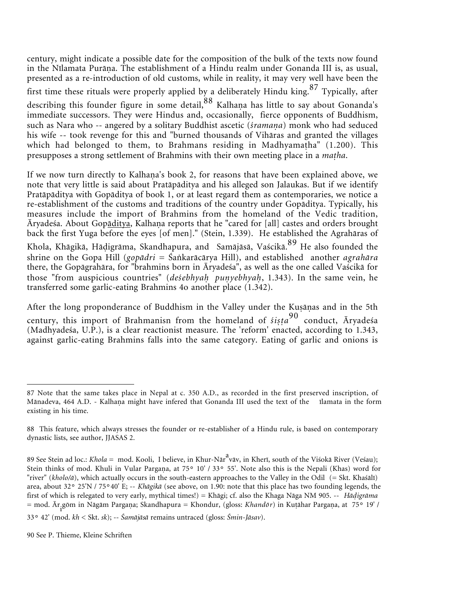century, might indicate a possible date for the composition of the bulk of the texts now found in the Nīlamata Purāṇa. The establishment of a Hindu realm under Gonanda III is, as usual, presented as a re-introduction of old customs, while in reality, it may very well have been the first time these rituals were properly applied by a deliberately Hindu king.<sup>87</sup> Typically, after describing this founder figure in some detail, 88 Kalhana has little to say about Gonanda's immediate successors. They were Hindus and, occasionally, fierce opponents of Buddhism, such as Nara who -- angered by a solitary Buddhist ascetic (*śramana*) monk who had seduced his wife -- took revenge for this and "burned thousands of Vihåras and granted the villages which had belonged to them, to Brahmans residing in Madhyamatha" (1.200). This presupposes a strong settlement of Brahmins with their own meeting place in a *maha*.

If we now turn directly to Kalhaṇa's book 2, for reasons that have been explained above, we note that very little is said about Pratåpåditya and his alleged son Jalaukas. But if we identify Pratåpåditya with Gopåditya of book 1, or at least regard them as contemporaries, we notice a re-establishment of the customs and traditions of the country under Gopåditya. Typically, his measures include the import of Brahmins from the homeland of the Vedic tradition, Āryadeśa. About Gop<u>āditya,</u> Kalhaṇa reports that he "cared for [all] castes and orders brought back the first Yuga before the eyes [of men]." (Stein, 1.339). He established the Agrahåras of Khola, Khāgikā, Hāḍigrāma, Skandhapura, and Samājāsā, Vaścikā.<sup>89</sup> He also founded the shrine on the Gopa Hill (*gopådri* = Śakaråcårya Hill), and established another *agrahåra* there, the Gopågrahåra, for "brahmins born in Āryadeśa", as well as the one called Vaścikå for those "from auspicious countries" (*deśebhyah punyebhyah*, 1.343). In the same vein, he transferred some garlic-eating Brahmins 4o another place (1.342).

After the long proponderance of Buddhism in the Valley under the Kuṣāṇas and in the 5th century, this import of Brahmanisn from the homeland of ś*iṣṭa*<sup>90</sup> conduct, Āryadeśa (Madhyadeśa, U.P.), is a clear reactionist measure. The 'reform' enacted, according to 1.343, against garlic-eating Brahmins falls into the same category. Eating of garlic and onions is

<sup>87</sup> Note that the same takes place in Nepal at c. 350 A.D., as recorded in the first preserved inscription, of Mānadeva, 464 A.D. - Kalhaṇa might have infered that Gonanda III used the text of the µīlamata in the form existing in his time.

<sup>88</sup> This feature, which always stresses the founder or re-establisher of a Hindu rule, is based on contemporary dynastic lists, see author, JJASAS 2.

<sup>89</sup> See Stein ad loc.: *Khola* = mod. Kooli, I believe, in Khur-Nār<sup>a</sup>vāv, in Kherī, south of the Viśokā River (Veśau); Stein thinks of mod. Khuli in Vular Pargaṇa, at 75° 10' / 33° 55'. Note also this is the Nepali (Khas) word for "river" (*kholo/å*), which actually occurs in the south-eastern approaches to the Valley in the Odil (= Skt. Khaśålī) area, about 32° 25'N / 75°40' E; -- *Khågikå* (see above, on 1.90: note that this place has two founding legends, the first of which is relegated to very early, mythical times!) = Khågi; cf. also the Khaga Någa NM 905. -- *Håigråma* = mod. Ār<sub>.</sub>gōm in Nāgām Pargaṇa; Skandhapura = Khondur, (gloss: *Khandōr*) in Kuṭāhar Pargaṇa, at 75° 19' /

<sup>33</sup>° 42' (mod. *kh* < Skt. *sk*); -- *Śamåjåså* remains untraced (gloss: *Śmin-Jåsav*).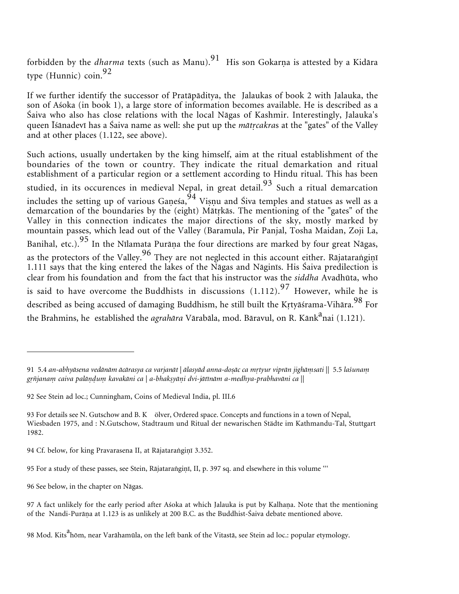forbidden by the *dharma* texts (such as Manu).<sup>91</sup> His son Gokarṇa is attested by a Kidāra type (Hunnic) coin.<sup>92</sup>

If we further identify the successor of Pratåpåditya, the Jalaukas of book 2 with Jalauka, the son of Aśoka (in book 1), a large store of information becomes available. He is described as a Śaiva who also has close relations with the local Någas of Kashmir. Interestingly, Jalauka's queen Īśånadevī has a Śaiva name as well: she put up the *måtcakra*s at the "gates" of the Valley and at other places (1.122, see above).

Such actions, usually undertaken by the king himself, aim at the ritual establishment of the boundaries of the town or country. They indicate the ritual demarkation and ritual establishment of a particular region or a settlement according to Hindu ritual. This has been studied, in its occurences in medieval Nepal, in great detail.<sup>93</sup> Such a ritual demarcation includes the setting up of various Gaṇeśa, $^{94}$  Viṣṇu and Śiva temples and statues as well as a demarcation of the boundaries by the (eight) Mātrkās. The mentioning of the "gates" of the Valley in this connection indicates the major directions of the sky, mostly marked by mountain passes, which lead out of the Valley (Baramula, Pir Panjal, Tosha Maidan, Zoji La, Banihal, etc.). $^{95}$  In the Nīlamata Purāṇa the four directions are marked by four great Nāgas, as the protectors of the Valley. $^{96}$  They are not neglected in this account either. Rājataraṅgiṇī 1.111 says that the king entered the lakes of the Någas and Någinīs. His Śaiva predilection is clear from his foundation and from the fact that his instructor was the *siddha* Avadhūta, who is said to have overcome the Buddhists in discussions  $(1.112).^{97}$  However, while he is described as being accused of damaging Buddhism, he still built the Krtyāśrama-Vihāra.<sup>98</sup> For the Brahmins, he established the *agrahāra* Vārabāla, mod. Bāravul, on R. Kānk<sup>a</sup>nai (1.121).

96 See below, in the chapter on Någas.

<sup>91 5.4</sup> an-abhyāsena vedānām ācārasya ca varjanāt | ālasyād anna-doṣāc ca mṛtyur viprān jighāmsati || 5.5 laśunam grñjanam caiva palāņdum kavakāni ca | a-bhakṣyāṇi dvi-jātīnām a-medhya-prabhavāni ca ||

<sup>92</sup> See Stein ad loc.; Cunningham, Coins of Medieval India, pl. III.6

<sup>93</sup> For details see N. Gutschow and B. K ölver, Ordered space. Concepts and functions in a town of Nepal, Wiesbaden 1975, and : N.Gutschow, Stadtraum und Ritual der newarischen Städte im Kathmandu-Tal, Stuttgart 1982.

<sup>94</sup> Cf. below, for king Pravarasena II, at Rājataraṅgiṇī 3.352.

<sup>95</sup> For a study of these passes, see Stein, Rājataraṅgiṇī, II, p. 397 sq. and elsewhere in this volume '''

<sup>97</sup> A fact unlikely for the early period after Aśoka at which Jalauka is put by Kalhaṇa. Note that the mentioning of the Nandi-Purāṇa at 1.123 is as unlikely at 200 B.C. as the Buddhist-Śaiva debate mentioned above.

<sup>98</sup> Mod. Kits<sup>a</sup>hōm, near Varāhamūla, on the left bank of the Vitastā, see Stein ad loc.: popular etymology.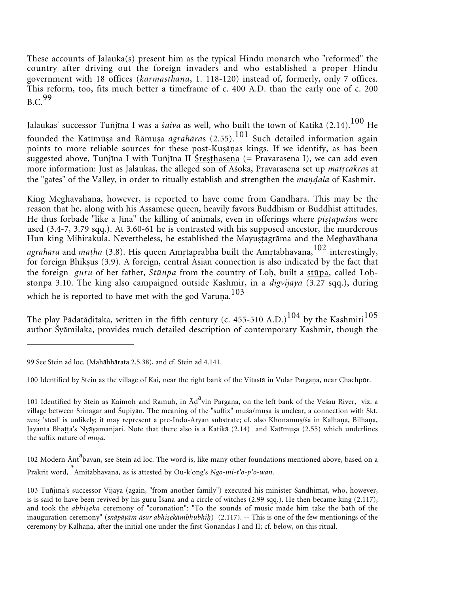These accounts of Jalauka(s) present him as the typical Hindu monarch who "reformed" the country after driving out the foreign invaders and who established a proper Hindu government with 18 offices (*karmasthåa*, 1. 118-120) instead of, formerly, only 7 offices. This reform, too, fits much better a timeframe of c. 400 A.D. than the early one of c. 200  $B.C.<sup>99</sup>$ 

Jalaukas' successor Tuñjīna I was a *śaiva* as well, who built the town of Katikå (2.14).<sup>100</sup> He founded the Katīmūṣa and Rāmuṣa *agrahāra*s (2.55).<sup>101</sup> Such detailed information again points to more reliable sources for these post-Kuṣāṇas kings. If we identify, as has been suggested above, Tuñjīna I with Tuñjīna II Sresthasena (= Pravarasena I), we can add even more information: Just as Jalaukas, the alleged son of Aśoka, Pravarasena set up *måtcakra*s at the "gates" of the Valley, in order to ritually establish and strengthen the *maala* of Kashmir.

King Meghavåhana, however, is reported to have come from Gandhåra. This may be the reason that he, along with his Assamese queen, heavily favors Buddhism or Buddhist attitudes. He thus forbade "like a Jina" the killing of animals, even in offerings where *piṣṭapaśu*s were used (3.4-7, 3.79 sqq.). At 3.60-61 he is contrasted with his supposed ancestor, the murderous Hun king Mihirakula. Nevertheless, he established the Mayustagrāma and the Meghavāhana agrahāra and *matha* (3.8). His queen Amrtaprabhā built the Amrtabhavana,<sup>102</sup> interestingly, for foreign Bhiksus  $(3.9)$ . A foreign, central Asian connection is also indicated by the fact that the foreign *guru* of her father, *Stūnpa* from the country of Loh, built a stūpa, called Lohstonpa 3.10. The king also campaigned outside Kashmir, in a *digvijaya* (3.27 sqq.), during which he is reported to have met with the god Varuna.<sup>103</sup>

The play Pādatāditaka, written in the fifth century (c. 455-510 A.D.)<sup>104</sup> by the Kashmiri<sup>105</sup> author Śyåmilaka, provides much detailed description of contemporary Kashmir, though the

102 Modern Ānt<sup>a</sup>bavan, see Stein ad loc. The word is, like many other foundations mentioned above, based on a Prakrit word, \* Amitabhavana, as is attested by Ou-k'ong's *Ngo-mi-t'o-p'o-wan*.

<sup>99</sup> See Stein ad loc. (Mahåbhårata 2.5.38), and cf. Stein ad 4.141.

<sup>100</sup> Identified by Stein as the village of Kai, near the right bank of the Vitastā in Vular Pargana, near Chachpōr.

<sup>101</sup> Identified by Stein as Kaimoh and Ramuh, in Āḍ vin Pargaṇa, on the left bank of the Veśau River, viz. a village between Srinagar and Śupiyān. The meaning of the "suffix" muśa/muṣa is unclear, a connection with Skt. *mus* 'steal' is unlikely; it may represent a pre-Indo-Aryan substrate; cf. also Khonamus/śa in Kalhaṇa, Bilhaṇa, Jayanta Bhatta's Nyāyamañjari. Note that there also is a Katikā (2.14) and Katīmuṣa (2.55) which underlines the suffix nature of *musa*.

<sup>103</sup> Tuñjīna's successor Vijaya (again, "from another family") executed his minister Sandhimat, who, however, is is said to have been revived by his guru Īśåna and a circle of witches (2.99 sqq.). He then became king (2.117), and took the *abhiseka* ceremony of "coronation": "To the sounds of music made him take the bath of the inauguration ceremony" (*snāpāyām āsur abhiṣekāmbhubhiḥ*) (2.117). -- This is one of the few mentionings of the ceremony by Kalhaṇa, after the initial one under the first Gonandas I and II; cf. below, on this ritual.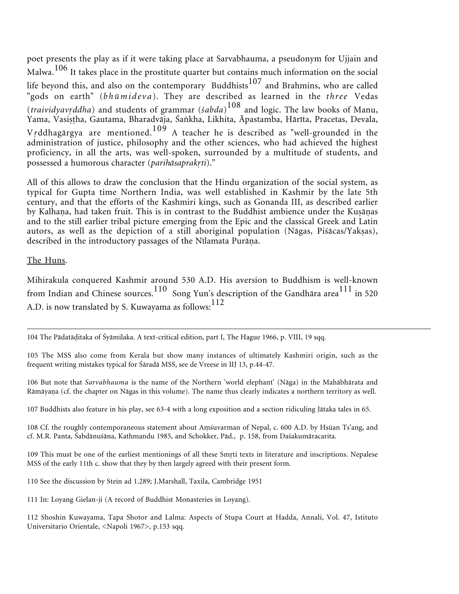poet presents the play as if it were taking place at Sarvabhauma, a pseudonym for Ujjain and Malwa.<sup>106</sup> It takes place in the prostitute quarter but contains much information on the social life beyond this, and also on the contemporary Buddhists<sup>107</sup> and Brahmins, who are called "gods on earth" (*bhūmideva*). They are described as learned in the *three* Vedas (*traividyavddha*) and students of grammar (*śabda*) <sup>108</sup> and logic. The law books of Manu, Yama, Vasiṣṭha, Gautama, Bharadvāja, Śaṅkha, Likhita, Āpastamba, Hārīta, Pracetas, Devala, <sup>V</sup>ddhagårgya are mentioned.<sup>109</sup> A teacher he is described as "well-grounded in the administration of justice, philosophy and the other sciences, who had achieved the highest proficiency, in all the arts, was well-spoken, surrounded by a multitude of students, and possessed a humorous character (*parihåsaprakti*)."

All of this allows to draw the conclusion that the Hindu organization of the social system, as typical for Gupta time Northern India, was well established in Kashmir by the late 5th century, and that the efforts of the Kashmiri kings, such as Gonanda III, as described earlier by Kalhaṇa, had taken fruit. This is in contrast to the Buddhist ambience under the Kuṣāṇas and to the still earlier tribal picture emerging from the Epic and the classical Greek and Latin autors, as well as the depiction of a still aboriginal population (Någas, Piśåcas/Yakas), described in the introductory passages of the Nīlamata Purāņa.

#### The Huns.

Mihirakula conquered Kashmir around 530 A.D. His aversion to Buddhism is well-known from Indian and Chinese sources.<sup>110</sup> Song Yun's description of the Gandhāra area<sup>111</sup> in 520 A.D. is now translated by S. Kuwayama as follows:<sup>112</sup>

104 The Pådatåitaka of Śyåmilaka. A text-critical edition, part I, The Hague 1966, p. VIII, 19 sqq.

105 The MSS also come from Kerala but show many instances of ultimately Kashmiri origin, such as the frequent writing mistakes typical for Śåradå MSS, see de Vreese in IIJ 13, p.44-47.

106 But note that *Sarvabhauma* is the name of the Northern 'world elephant' (Någa) in the Mahåbhårata and Rāmāyaṇa (cf. the chapter on Nāgas in this volume). The name thus clearly indicates a northern territory as well.

107 Buddhists also feature in his play, see 63-4 with a long exposition and a section ridiculing Jåtaka tales in 65.

108 Cf. the roughly contemporaneous statement about Amsuvarman of Nepal, c. 600 A.D. by Hsüan Ts'ang, and cf. M.R. Panta, Śabdånuśåna, Kathmandu 1985, and Schokker, Påd., p. 158, from Daśakumåracarita.

109 This must be one of the earliest mentionings of all these Smti texts in literature and inscriptions. Nepalese MSS of the early 11th c. show that they by then largely agreed with their present form.

110 See the discussion by Stein ad 1.289; J.Marshall, Taxila, Cambridge 1951

111 In: Loyang Gielan-ji (A record of Buddhist Monasteries in Loyang).

112 Shoshin Kuwayama, Tapa Shotor and Lalma: Aspects of Stupa Court at Hadda, Annali, Vol. 47, Istituto Universitario Orientale, <Napoli 1967>, p.153 sqq.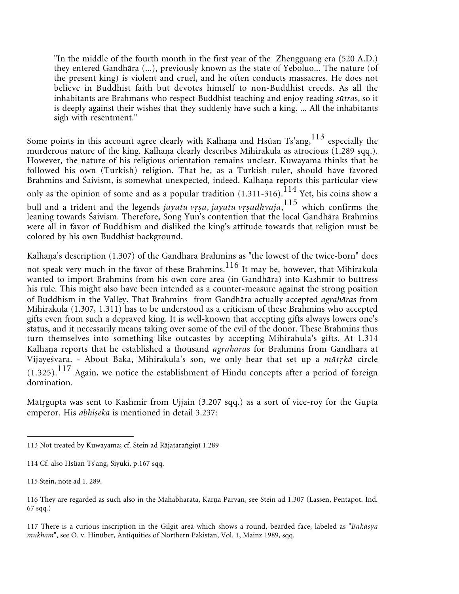"In the middle of the fourth month in the first year of the Zhengguang era (520 A.D.) they entered Gandhåra (...), previously known as the state of Yeboluo... The nature (of the present king) is violent and cruel, and he often conducts massacres. He does not believe in Buddhist faith but devotes himself to non-Buddhist creeds. As all the inhabitants are Brahmans who respect Buddhist teaching and enjoy reading *sūtra*s, so it is deeply against their wishes that they suddenly have such a king. ... All the inhabitants sigh with resentment."

Some points in this account agree clearly with Kalhaṇa and Hsüan Ts'ang, $^{113}$  especially the murderous nature of the king. Kalhaṇa clearly describes Mihirakula as atrocious (1.289 sqq.). However, the nature of his religious orientation remains unclear. Kuwayama thinks that he followed his own (Turkish) religion. That he, as a Turkish ruler, should have favored Brahmins and Śaivism, is somewhat unexpected, indeed. Kalhaṇa reports this particular view only as the opinion of some and as a popular tradition  $(1.311-316)$ .<sup>114</sup> Yet, his coins show a bull and a trident and the legends *jayatu vrṣa*, *jayatu vrṣadhvaja*,<sup>115</sup> which confirms the leaning towards Śaivism. Therefore, Song Yun's contention that the local Gandhåra Brahmins were all in favor of Buddhism and disliked the king's attitude towards that religion must be colored by his own Buddhist background.

Kalhaṇa's description (1.307) of the Gandhāra Brahmins as "the lowest of the twice-born" does not speak very much in the favor of these Brahmins.<sup>116</sup> It may be, however, that Mihirakula wanted to import Brahmins from his own core area (in Gandhāra) into Kashmir to buttress his rule. This might also have been intended as a counter-measure against the strong position of Buddhism in the Valley. That Brahmins from Gandhåra actually accepted *agrahåra*s from Mihirakula (1.307, 1.311) has to be understood as a criticism of these Brahmins who accepted gifts even from such a depraved king. It is well-known that accepting gifts always lowers one's status, and it necessarily means taking over some of the evil of the donor. These Brahmins thus turn themselves into something like outcastes by accepting Mihirahula's gifts. At 1.314 Kalhaṇa reports that he established a thousand *agrahāras* for Brahmins from Gandhāra at Vijayeśvara. - About Baka, Mihirakula's son, we only hear that set up a *måtkå* circle  $(1.325)$ .<sup>117</sup> Again, we notice the establishment of Hindu concepts after a period of foreign domination.

Måtgupta was sent to Kashmir from Ujjain (3.207 sqq.) as a sort of vice-roy for the Gupta emperor. His *abhiseka* is mentioned in detail 3.237:

117 There is a curious inscription in the Gilgit area which shows a round, bearded face, labeled as "*Bakasya mukham*", see O. v. Hinüber, Antiquities of Northern Pakistan, Vol. 1, Mainz 1989, sqq.

<sup>113</sup> Not treated by Kuwayama; cf. Stein ad Rājatarangiņī 1.289

<sup>114</sup> Cf. also Hsüan Ts'ang, Siyuki, p.167 sqq.

<sup>115</sup> Stein, note ad 1. 289.

<sup>116</sup> They are regarded as such also in the Mahābhārata, Karṇa Parvan, see Stein ad 1.307 (Lassen, Pentapot. Ind. 67 sqq.)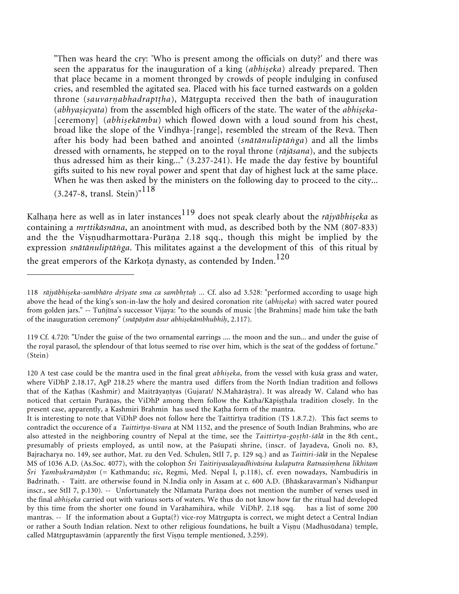"Then was heard the cry: 'Who is present among the officials on duty?' and there was seen the apparatus for the inauguration of a king (abhiseka) already prepared. Then that place became in a moment thronged by crowds of people indulging in confused cries, and resembled the agitated sea. Placed with his face turned eastwards on a golden throne (*sauvarabhadrapīha*), Måtgupta received then the bath of inauguration (*abhyasicyata*) from the assembled high officers of the state. The water of the *abhiseka*-[ceremony] (abhisekāmbu) which flowed down with a loud sound from his chest, broad like the slope of the Vindhya-[range], resembled the stream of the Revå. Then after his body had been bathed and anointed (*snåtånuliptåga*) and all the limbs dressed with ornaments, he stepped on to the royal throne (*råjåsana*), and the subjects thus adressed him as their king..." (3.237-241). He made the day festive by bountiful gifts suited to his new royal power and spent that day of highest luck at the same place. When he was then asked by the ministers on the following day to proceed to the city... (3.247-8, transl. Stein)"<sup>118</sup>

Kalhaṇa here as well as in later instances<sup>119</sup> does not speak clearly about the *rājyābhiseka* as containing a *mttikåsnåna*, an anointment with mud, as described both by the NM (807-833) and the the Viṣṇudharmottara-Purāṇa 2.18 sqq., though this might be implied by the expression *snåtånuliptåga*. This militates against a the development of this of this ritual by the great emperors of the Kārkoṭa dynasty, as contended by Inden.<sup>120</sup>

<sup>118</sup> rājyābhiseka-sambhāro drśyate sma ca sambhrtah ... Cf. also ad 3.528: "performed according to usage high above the head of the king's son-in-law the holy and desired coronation rite (abhiseka) with sacred water poured from golden jars." -- Tuñjīna's successor Vijaya: "to the sounds of music [the Brahmins] made him take the bath of the inauguration ceremony" (snāpāyām āsur abhiṣekāmbhubhiḥ, 2.117).

<sup>119</sup> Cf. 4.720: "Under the guise of the two ornamental earrings .... the moon and the sun... and under the guise of the royal parasol, the splendour of that lotus seemed to rise over him, which is the seat of the goddess of fortune." (Stein)

<sup>120</sup> A test case could be the mantra used in the final great *abhiseka*, from the vessel with kuśa grass and water, where ViDhP 2.18.17, AgP 218.25 where the mantra used differs from the North Indian tradition and follows that of the Kaṭhas (Kashmir) and Maitrāyaṇīyas (Gujarat/ N.Mahārāṣtra). It was already W. Caland who has noticed that certain Purāṇas, the ViDhP among them follow the Kaṭha/Kāpiṣṭhala tradition closely. In the present case, apparently, a Kashmiri Brahmin has used the Kaha form of the mantra.

It is interesting to note that ViDhP does not follow here the Taittirīya tradition (TS 1.8.7.2). This fact seems to contradict the occurence of a *Taittirīya-īśvara* at NM 1152, and the presence of South Indian Brahmins, who are also attested in the neighboring country of Nepal at the time, see the *Taittirīya-go-hī-śålå* in the 8th cent., presumably of priests employed, as until now, at the Paśupati shrine, (inscr. of Jayadeva, Gnoli no. 83, Bajracharya no. 149, see author, Mat. zu den Ved. Schulen, StII 7, p. 129 sq.) and as *Taittiri-śålå* in the Nepalese MS of 1036 A.D. (As.Soc. 4077), with the colophon *Śri Taitiriyasalayadhivåsina kulaputra Ratnasihena likhitam Śri Yambukramåyåm* (= Kathmandu; *sic*, Regmi, Med. Nepal I, p.118), cf. even nowadays, Nambudiris in Badrinath. - Taitt. are otherwise found in N.India only in Assam at c. 600 A.D. (Bhåskaravarman's Nidhanpur inscr., see StII 7, p.130). -- Unfortunately the Nīlamata Purāṇa does not mention the number of verses used in the final *abhiseka* carried out with various sorts of waters. We thus do not know how far the ritual had developed by this time from the shorter one found in Varåhamihira, while ViDhP. 2.18 sqq. has a list of some 200 mantras. -- If the information about a Gupta(?) vice-roy Måtgupta is correct, we might detect a Central Indian or rather a South Indian relation. Next to other religious foundations, he built a Viṣṇu (Madhusūdana) temple, called Mātrguptasvāmin (apparently the first Vișņu temple mentioned, 3.259).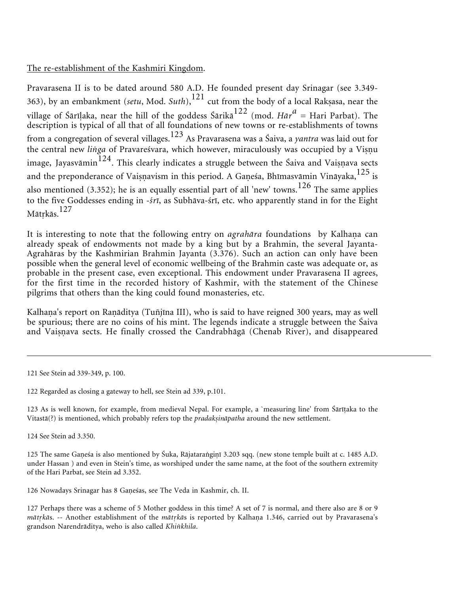### The re-establishment of the Kashmiri Kingdom.

Pravarasena II is to be dated around 580 A.D. He founded present day Srinagar (see 3.349- 363), by an embankment (*setu*, Mod. *Suth*),<sup>121</sup> cut from the body of a local Rakasa, near the village of Śārīḷaka, near the hill of the goddess Śārikā<sup>122</sup> (mod. *Hār<sup>a</sup> = Hari Parbat). The* description is typical of all that of all foundations of new towns or re-establishments of towns from a congregation of several villages.<sup>123</sup> As Pravarasena was a Śaiva, a *yantra* was laid out for the central new *linga* of Pravareśvara, which however, miraculously was occupied by a Viṣṇu image, Jayasvāmin $^{124}$ . This clearly indicates a struggle between the Śaiva and Vaiṣṇava sects and the preponderance of Vaiṣṇavism in this period. A Gaṇeśa, Bhīmasvāmin Vināyaka, $^{125}$  is also mentioned (3.352); he is an equally essential part of all 'new' towns.<sup>126</sup> The same applies to the five Goddesses ending in *-śrī*, as Subhåva-śrī, etc. who apparently stand in for the Eight Mātrkās.<sup>127</sup>

It is interesting to note that the following entry on *agrahāra* foundations by Kalhaṇa can already speak of endowments not made by a king but by a Brahmin, the several Jayanta-Agrahåras by the Kashmirian Brahmin Jayanta (3.376). Such an action can only have been possible when the general level of economic wellbeing of the Brahmin caste was adequate or, as probable in the present case, even exceptional. This endowment under Pravarasena II agrees, for the first time in the recorded history of Kashmir, with the statement of the Chinese pilgrims that others than the king could found monasteries, etc.

Kalhaṇa's report on Raṇāditya (Tuñjīna III), who is said to have reigned 300 years, may as well be spurious; there are no coins of his mint. The legends indicate a struggle between the Śaiva and Vaiṣṇava sects. He finally crossed the Candrabhāgā (Chenab River), and disappeared

123 As is well known, for example, from medieval Nepal. For example, a `measuring line' from Śårīaka to the Vitastā(?) is mentioned, which probably refers top the *pradaksināpatha* around the new settlement.

124 See Stein ad 3.350.

125 The same Ganesa is also mentioned by Suka, Rājataranginī 3.203 sqq. (new stone temple built at c. 1485 A.D. under Hassan ) and even in Stein's time, as worshiped under the same name, at the foot of the southern extremity of the Hari Parbat, see Stein ad 3.352.

126 Nowadays Srinagar has 8 Ganeśas, see The Veda in Kashmir, ch. II.

127 Perhaps there was a scheme of 5 Mother goddess in this time? A set of 7 is normal, and there also are 8 or 9 *mātṛkās*. -- Another establishment of the *mātṛkā*s is reported by Kalhaṇa 1.346, carried out by Pravarasena's grandson Narendråditya, weho is also called *Khikhila*.

<sup>121</sup> See Stein ad 339-349, p. 100.

<sup>122</sup> Regarded as closing a gateway to hell, see Stein ad 339, p.101.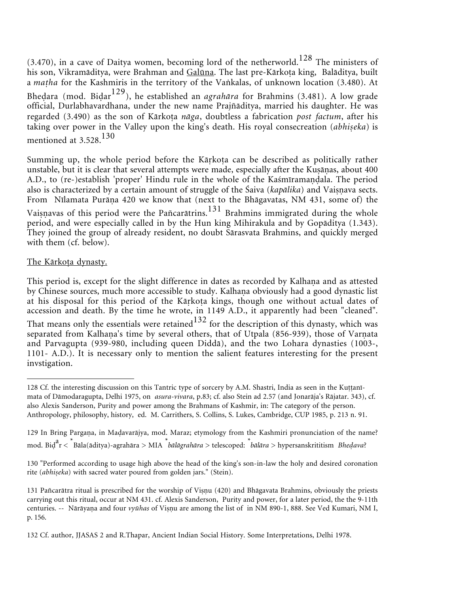$(3.470)$ , in a cave of Daitya women, becoming lord of the netherworld.<sup>128</sup> The ministers of his son, Vikramāditya, were Brahman and Galūna. The last pre-Kārkota king, Balāditya, built a *matha* for the Kashmiris in the territory of the Vankalas, of unknown location (3.480). At Bheḍara (mod. Biḍar<sup>129</sup>), he established an *agrahāra* for Brahmins (3.481). A low grade official, Durlabhavardhana, under the new name Prajñåditya, married his daughter. He was regarded (3.490) as the son of Kārkota nāga, doubtless a fabrication *post factum*, after his taking over power in the Valley upon the king's death. His royal consecreation (abhiṣeka) is mentioned at 3.528.<sup>130</sup>

Summing up, the whole period before the Kārkota can be described as politically rather unstable, but it is clear that several attempts were made, especially after the Kuṣāṇas, about 400 A.D., to (re-)establish 'proper' Hindu rule in the whole of the Kaśmīramaṇḍala. The period also is characterized by a certain amount of struggle of the Śaiva (*kapālika*) and Vaiṣṇava sects. From Nīlamata Purāņa 420 we know that (next to the Bhāgavatas, NM 431, some of) the Vaisnavas of this period were the Pañcarātrins.<sup>131</sup> Brahmins immigrated during the whole period, and were especially called in by the Hun king Mihirakula and by Gopåditya (1.343). They joined the group of already resident, no doubt Sårasvata Brahmins, and quickly merged with them (cf. below).

### The Kārkota dynasty.

This period is, except for the slight difference in dates as recorded by Kalhaṇa and as attested by Chinese sources, much more accessible to study. Kalhaṇa obviously had a good dynastic list at his disposal for this period of the Kārkoṭa kings, though one without actual dates of accession and death. By the time he wrote, in 1149 A.D., it apparently had been "cleaned". That means only the essentials were retained<sup>132</sup> for the description of this dynasty, which was separated from Kalhaṇa's time by several others, that of Utpala (856-939), those of Varṇata and Parvagupta (939-980, including queen Diddå), and the two Lohara dynasties (1003-, 1101- A.D.). It is necessary only to mention the salient features interesting for the present invstigation.

<sup>128</sup> Cf. the interesting discussion on this Tantric type of sorcery by A.M. Shastri, India as seen in the Kuttanīmata of Dåmodaragupta, Delhi 1975, on *asura-vivara*, p.83; cf. also Stein ad 2.57 (and Jonaråja's Råjatar. 343), cf. also Alexis Sanderson, Purity and power among the Brahmans of Kashmir, in: The category of the person. Anthropology, philosophy, history, ed. M. Carrithers, S. Collins, S. Lukes, Cambridge, CUP 1985, p. 213 n. 91.

<sup>129</sup> In Bring Pargana, in Madavarājya, mod. Maraz; etymology from the Kashmiri pronunciation of the name? mod. Bi<sup>a</sup> r < \* Båla(åditya)-agrahåra > MIA *\* bålågrahåra* > telescoped: *\* bålåra* > hypersanskrititism *Bheava*?

<sup>130 &</sup>quot;Performed according to usage high above the head of the king's son-in-law the holy and desired coronation rite (abhiseka) with sacred water poured from golden jars." (Stein).

<sup>131</sup> Pañcarātra ritual is prescribed for the worship of Vișnu (420) and Bhāgavata Brahmins, obviously the priests carrying out this ritual, occur at NM 431. cf. Alexis Sanderson, Purity and power, for a later period, the the 9-11th centuries. -- Nārāyaṇa and four *vyūhas* of Viṣṇu are among the list of in NM 890-1, 888. See Ved Kumari, NM I, p. 156.

<sup>132</sup> Cf. author, JJASAS 2 and R.Thapar, Ancient Indian Social History. Some Interpretations, Delhi 1978.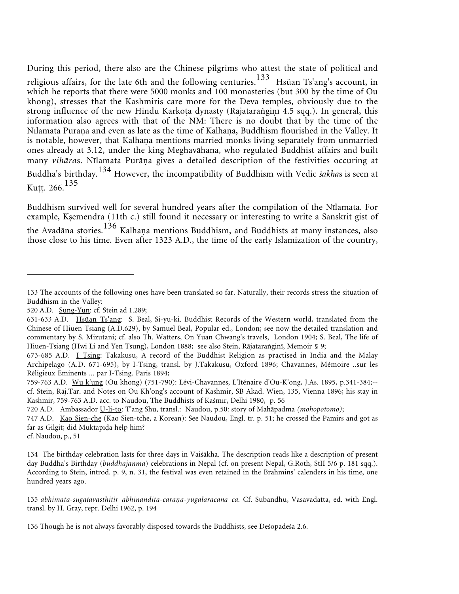During this period, there also are the Chinese pilgrims who attest the state of political and religious affairs, for the late 6th and the following centuries.<sup>133</sup> Hsüan Ts'ang's account, in which he reports that there were 5000 monks and 100 monasteries (but 300 by the time of Ou khong), stresses that the Kashmiris care more for the Deva temples, obviously due to the strong influence of the new Hindu Karkoṭa dynasty (Rājataraṅgiṇī 4.5 sqq.). In general, this information also agrees with that of the NM: There is no doubt that by the time of the Nīlamata Purāṇa and even as late as the time of Kalhaṇa, Buddhism flourished in the Valley. It is notable, however, that Kalhaṇa mentions married monks living separately from unmarried ones already at 3.12, under the king Meghavåhana, who regulated Buddhist affairs and built many *vihāras*. Nīlamata Purāņa gives a detailed description of the festivities occuring at Buddha's birthday.<sup>134</sup> However, the incompatibility of Buddhism with Vedic *śåkhå*s is seen at Kutt. 266. $135$ 

Buddhism survived well for several hundred years after the compilation of the Nīlamata. For example, Ksemendra (11th c.) still found it necessary or interesting to write a Sanskrit gist of the Avadāna stories. $^{136}$  Kalhaṇa mentions Buddhism, and Buddhists at many instances, also those close to his time. Even after 1323 A.D., the time of the early Islamization of the country,

cf. Naudou, p., 51

<sup>133</sup> The accounts of the following ones have been translated so far. Naturally, their records stress the situation of Buddhism in the Valley:

<sup>520</sup> A.D. Sung-Yun: cf. Stein ad 1.289;

<sup>631-633</sup> A.D. Hsüan Ts'ang: S. Beal, Si-yu-ki. Buddhist Records of the Western world, translated from the Chinese of Hiuen Tsiang (A.D.629), by Samuel Beal, Popular ed., London; see now the detailed translation and commentary by S. Mizutani; cf. also Th. Watters, On Yuan Chwang's travels, London 1904; S. Beal, The life of Hiuen-Tsiang (Hwi Li and Yen Tsung), London 1888; see also Stein, Rājataranginī, Memoir § 9;

<sup>673-685</sup> A.D. I Tsing: Takakusu, A record of the Buddhist Religion as practised in India and the Malay Archipelago (A.D. 671-695), by I-Tsing, transl. by J.Takakusu, Oxford 1896; Chavannes, Mémoire ..sur les Réligieux Eminents ... par I-Tsing. Paris 1894;

<sup>759-763</sup> A.D. Wu k'ung (Ou khong) (751-790): Lévi-Chavannes, L'Iténaire d'Ou-K'ong, J.As. 1895, p.341-384;- cf. Stein, Råj.Tar. and Notes on Ou Kh'ong's account of Kashmir, SB Akad. Wien, 135, Vienna 1896; his stay in Kashmir, 759-763 A.D. acc. to Naudou, The Buddhists of Kaśmīr, Delhi 1980, p. 56

<sup>720</sup> A.D. Ambassador U-li-to: T'ang Shu, transl.: Naudou, p.50: story of Mahåpadma *(mohopotomo)*;

<sup>747</sup> A.D. Kao Sien-che (Kao Sien-tche, a Korean): See Naudou, Engl. tr. p. 51; he crossed the Pamirs and got as far as Gilgit; did Muktāpīda help him?

<sup>134</sup> The birthday celebration lasts for three days in Vaiśåkha. The description reads like a description of present day Buddha's Birthday (*buddhajanma*) celebrations in Nepal (cf. on present Nepal, G.Roth, StII 5/6 p. 181 sqq.). According to Stein, introd. p. 9, n. 31, the festival was even retained in the Brahmins' calenders in his time, one hundred years ago.

<sup>135</sup> *abhimata-sugatåvasthitir abhinandita-caraa-yugalaracanå ca.* Cf. Subandhu, Våsavadatta, ed. with Engl. transl. by H. Gray, repr. Delhi 1962, p. 194

<sup>136</sup> Though he is not always favorably disposed towards the Buddhists, see Deśopadeśa 2.6.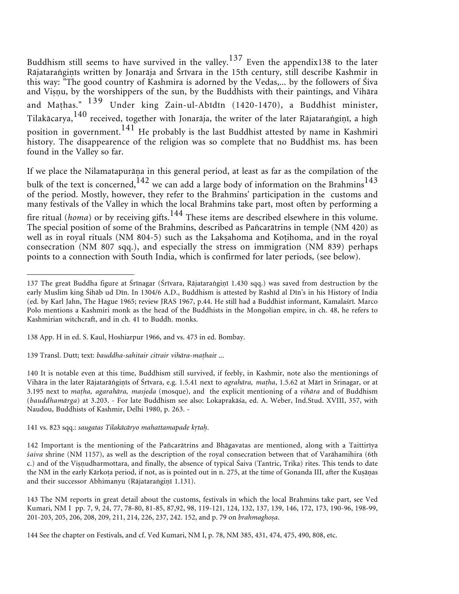Buddhism still seems to have survived in the valley.<sup>137</sup> Even the appendix138 to the later Rājataraṅgiṇīs written by Jonarāja and Śrīvara in the 15th century, still describe Kashmir in this way: "The good country of Kashmira is adorned by the Vedas,... by the followers of Śiva and Viṣṇu, by the worshippers of the sun, by the Buddhists with their paintings, and Vihāra and Mahas." <sup>139</sup> Under king Zain-ul-Abīdīn (1420-1470), a Buddhist minister, Tilakācarya,  $^{140}$  received, together with Jonarāja, the writer of the later Rājataraṅgiṇī, a high position in government.  $^{141}$  He probably is the last Buddhist attested by name in Kashmiri history. The disappearence of the religion was so complete that no Buddhist ms. has been found in the Valley so far.

If we place the Nilamatapurāṇa in this general period, at least as far as the compilation of the bulk of the text is concerned,<sup>142</sup> we can add a large body of information on the Brahmins<sup>143</sup> of the period. Mostly, however, they refer to the Brahmins' participation in the customs and many festivals of the Valley in which the local Brahmins take part, most often by performing a fire ritual (*homa*) or by receiving gifts.<sup>144</sup> These items are described elsewhere in this volume. The special position of some of the Brahmins, described as Pañcaråtrins in temple (NM 420) as well as in royal rituals (NM 804-5) such as the Laksahoma and Kotihoma, and in the royal consecration (NM 807 sqq.), and especially the stress on immigration (NM 839) perhaps points to a connection with South India, which is confirmed for later periods, (see below).

138 App. H in ed. S. Kaul, Hoshiarpur 1966, and vs. 473 in ed. Bombay.

140 It is notable even at this time, Buddhism still survived, if feebly, in Kashmir, note also the mentionings of Vihāra in the later Rājatarāṅgiṇīs of Śrīvara, e.g. 1.5.41 next to *agrahāra, maṭha*, 1.5.62 at Mārī in Srinagar, or at 3.195 next to *maha, agarahåra, masjeda* (mosque), and the explicit mentioning of a *vihåra* and of Buddhism (*bauddhamårga*) at 3.203. - For late Buddhism see also: Lokaprakåśa, ed. A. Weber, Ind.Stud. XVIII, 357, with Naudou, Buddhists of Kashmir, Delhi 1980, p. 263. -

#### 141 vs. 823 sqq.: *saugatas Tilakåcåryo mahattamapade kta.*

142 Important is the mentioning of the Pañcaråtrins and Bhågavatas are mentioned, along with a Taittirīya *śaiva* shrine (NM 1157), as well as the description of the royal consecration between that of Varåhamihira (6th c.) and of the Visnudharmottara, and finally, the absence of typical Śaiva (Tantric, Trika) rites. This tends to date the NM in the early Kārkoṭa period, if not, as is pointed out in n. 275, at the time of Gonanda III, after the Kuṣāṇas and their successor Abhimanyu (Rājataranginī 1.131).

<sup>137</sup> The great Buddha figure at Śrīnagar (Śrīvara, Rājataraṅgiṇī 1.430 sqq.) was saved from destruction by the early Muslim king Śihåb ud Dīn. In 1304/6 A.D., Buddhism is attested by Rashīd al Dīn's in his History of India (ed. by Karl Jahn, The Hague 1965; review JRAS 1967, p.44. He still had a Buddhist informant, Kamalaśrī. Marco Polo mentions a Kashmiri monk as the head of the Buddhists in the Mongolian empire, in ch. 48, he refers to Kashmirian witchcraft, and in ch. 41 to Buddh. monks.

<sup>139</sup> Transl. Dutt; text: *bauddha-sahitair citrair vihåra-mahai*r ...

<sup>143</sup> The NM reports in great detail about the customs, festivals in which the local Brahmins take part, see Ved Kumari, NM I pp. 7, 9, 24, 77, 78-80, 81-85, 87,92, 98, 119-121, 124, 132, 137, 139, 146, 172, 173, 190-96, 198-99, 201-203, 205, 206, 208, 209, 211, 214, 226, 237, 242. 152, and p. 79 on *brahmaghosa*.

<sup>144</sup> See the chapter on Festivals, and cf. Ved Kumari, NM I, p. 78, NM 385, 431, 474, 475, 490, 808, etc.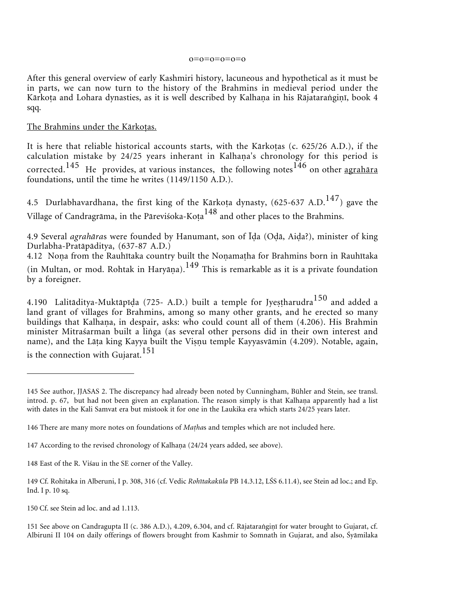#### o=o=o=o=o=o

After this general overview of early Kashmiri history, lacuneous and hypothetical as it must be in parts, we can now turn to the history of the Brahmins in medieval period under the Kārkoṭa and Lohara dynasties, as it is well described by Kalhaṇa in his Rājataraṅgiṇī, book 4 sqq.

#### The Brahmins under the Kārkoṭas.

It is here that reliable historical accounts starts, with the Kārkotas  $(c. 625/26 A.D.)$ , if the calculation mistake by 24/25 years inherant in Kalhaṇa's chronology for this period is corrected.<sup>145</sup> He provides, at various instances, the following notes<sup>146</sup> on other agrahāra foundations, until the time he writes (1149/1150 A.D.).

4.5 Durlabhavardhana, the first king of the Kārkoṭa dynasty,  $(625-637$  A.D.<sup>147</sup>) gave the Village of Candragrāma, in the Pāreviśoka-Kota<sup>148</sup> and other places to the Brahmins.

4.9 Several *agrahāras* were founded by Hanumant, son of Īda (Odā, Aida?), minister of king Durlabha-Pratåpåditya, (637-87 A.D.)

4.12 Noṇa from the Rauhītaka country built the Noṇamaṭha for Brahmins born in Rauhītaka (in Multan, or mod. Rohtak in Haryāṇa). $^{149}$  This is remarkable as it is a private foundation by a foreigner.

4.190 Lalitāditya-Muktāpīda (725- A.D.) built a temple for Jyestharudra<sup>150</sup> and added a land grant of villages for Brahmins, among so many other grants, and he erected so many buildings that Kalhaṇa, in despair, asks: who could count all of them (4.206). His Brahmin minister Mitraśarman built a linga (as several other persons did in their own interest and name), and the Lāṭa king Kayya built the Viṣṇu temple Kayyasvāmin (4.209). Notable, again, is the connection with Gujarat.<sup>151</sup>

<sup>145</sup> See author, JJASAS 2. The discrepancy had already been noted by Cunningham, Bühler and Stein, see transl. introd. p. 67, but had not been given an explanation. The reason simply is that Kalhaṇa apparently had a list with dates in the Kali Samvat era but mistook it for one in the Laukika era which starts 24/25 years later.

<sup>146</sup> There are many more notes on foundations of *Maha*s and temples which are not included here.

<sup>147</sup> According to the revised chronology of Kalhana (24/24 years added, see above).

<sup>148</sup> East of the R. Viśau in the SE corner of the Valley.

<sup>149</sup> Cf. Rohitaka in Alberuni, I p. 308, 316 (cf. Vedic *Rohītakakūla* PB 14.3.12, LŚS 6.11.4), see Stein ad loc.; and Ep. Ind. I p. 10 sq.

<sup>150</sup> Cf. see Stein ad loc. and ad 1.113.

<sup>151</sup> See above on Candragupta II (c. 386 A.D.), 4.209, 6.304, and cf. Rājataranginī for water brought to Gujarat, cf. Albiruni II 104 on daily offerings of flowers brought from Kashmir to Somnath in Gujarat, and also, Śyåmilaka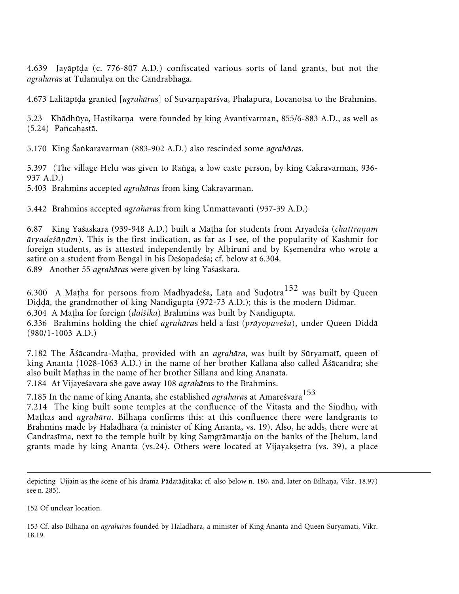4.639 Jayāpīda (c. 776-807 A.D.) confiscated various sorts of land grants, but not the *agrahåra*s at Tūlamūlya on the Candrabhåga.

4.673 Lalitāpīḍa granted [agrahāras] of Suvarṇapārśva, Phalapura, Locanotsa to the Brahmins.

5.23 Khādhūya, Hastikarņa were founded by king Avantivarman, 855/6-883 A.D., as well as (5.24) Pañcahastå.

5.170 King Śakaravarman (883-902 A.D.) also rescinded some *agrahåra*s.

5.397 (The village Helu was given to Ranga, a low caste person, by king Cakravarman, 936-937 A.D.)

5.403 Brahmins accepted *agrahåra*s from king Cakravarman.

5.442 Brahmins accepted *agrahåra*s from king Unmattåvanti (937-39 A.D.)

6.87 King Yaśaskara (939-948 A.D.) built a Maha for students from Āryadeśa (*chåttrååm åryadeśååm*). This is the first indication, as far as I see, of the popularity of Kashmir for foreign students, as is attested independently by Albiruni and by Kemendra who wrote a satire on a student from Bengal in his Deśopadeśa; cf. below at 6.304. 6.89 Another 55 *agrahåra*s were given by king Yaśaskara.

6.300 A Matha for persons from Madhyadeśa, Lāta and Sudotra $152$  was built by Queen Diddā, the grandmother of king Nandigupta (972-73 A.D.); this is the modern Didmar.

6.304 A Maha for foreign (*daiśika*) Brahmins was built by Nandigupta.

6.336 Brahmins holding the chief *agrahåra*s held a fast (*pråyopaveśa*), under Queen Diddå (980/1-1003 A.D.)

7.182 The Āśåcandra-Maha, provided with an *agrahåra*, was built by Sūryamatī, queen of king Ananta (1028-1063 A.D.) in the name of her brother Kallana also called Āśåcandra; she also built Mahas in the name of her brother Sillana and king Ananata. 7.184 At Vijayeśavara she gave away 108 *agrahåra*s to the Brahmins.

7.185 In the name of king Ananta, she established *agrahāras* at Amareśvara<sup>153</sup>

7.214 The king built some temples at the confluence of the Vitastå and the Sindhu, with Mathas and *agrahāra*. Bilhaṇa confirms this: at this confluence there were landgrants to Brahmins made by Haladhara (a minister of King Ananta, vs. 19). Also, he adds, there were at Candrasīma, next to the temple built by king Saṃgrāmarāja on the banks of the Jhelum, land grants made by king Ananta (vs.24). Others were located at Vijayaketra (vs. 39), a place

152 Of unclear location.

153 Cf. also Bilhana on *agrahāra*s founded by Haladhara, a minister of King Ananta and Queen Sūryamati, Vikr. 18.19.

depicting Ujjain as the scene of his drama Pādatāḍitaka; cf. also below n. 180, and, later on Bilhaṇa, Vikr. 18.97) see n. 285).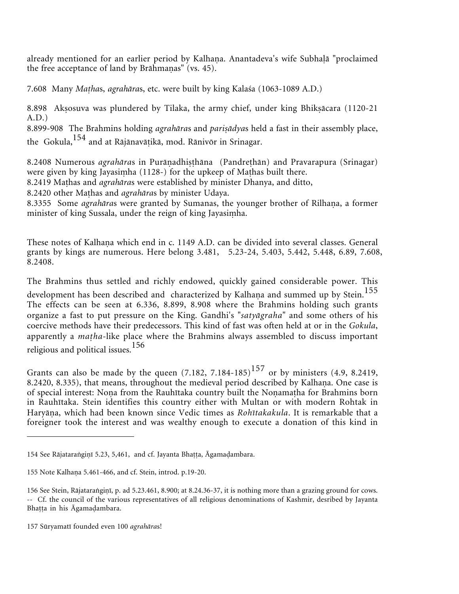already mentioned for an earlier period by Kalhaṇa. Anantadeva's wife Subhaḷā "proclaimed the free acceptance of land by Brāhmaṇas" (vs. 45).

7.608 Many *Maha*s, *agrahåra*s, etc. were built by king Kalaśa (1063-1089 A.D.)

8.898 Aksosuva was plundered by Tilaka, the army chief, under king Bhiksācara (1120-21) A.D.)

8.899-908 The Brahmins holding *agrahāras* and *parisādyas* held a fast in their assembly place, the Gokula,<sup>154</sup> and at Råjånavåikå, mod. Rånivōr in Srinagar.

8.2408 Numerous agrahāras in Purāṇadhiṣṭhāna (Pandreṭhān) and Pravarapura (Srinagar) were given by king Jayasiṃha (1128-) for the upkeep of Maṭhas built there.

8.2419 Mahas and *agrahåra*s were established by minister Dhanya, and ditto,

8.2420 other Mathas and *agrahāras* by minister Udaya.

8.3355 Some *agrahāra*s were granted by Sumanas, the younger brother of Rilhaṇa, a former minister of king Sussala, under the reign of king Jayasi ha.

These notes of Kalhaṇa which end in c. 1149 A.D. can be divided into several classes. General grants by kings are numerous. Here belong 3.481, 5.23-24, 5.403, 5.442, 5.448, 6.89, 7.608, 8.2408.

The Brahmins thus settled and richly endowed, quickly gained considerable power. This development has been described and characterized by Kalhana and summed up by Stein.<sup>155</sup> The effects can be seen at 6.336, 8.899, 8.908 where the Brahmins holding such grants organize a fast to put pressure on the King. Gandhi's "*satyågraha*" and some others of his coercive methods have their predecessors. This kind of fast was often held at or in the *Gokula*, apparently a *matha*-like place where the Brahmins always assembled to discuss important religious and political issues.<sup>156</sup>

Grants can also be made by the queen  $(7.182, 7.184-185)^{157}$  or by ministers (4.9, 8.2419, 8.2420, 8.335), that means, throughout the medieval period described by Kalhana. One case is of special interest: Noṇa from the Rauhītaka country built the Noṇamaṭha for Brahmins born in Rauhītaka. Stein identifies this country either with Multan or with modern Rohtak in Haryāṇa, which had been known since Vedic times as *Rohītakakula*. It is remarkable that a foreigner took the interest and was wealthy enough to execute a donation of this kind in

<sup>154</sup> See Rājataranginī 5.23, 5,461, and cf. Jayanta Bhaṭṭa, Āgamaḍambara.

<sup>155</sup> Note Kalhaņa 5.461-466, and cf. Stein, introd. p.19-20.

<sup>156</sup> See Stein, Rājatarangiņī, p. ad 5.23.461, 8.900; at 8.24.36-37, it is nothing more than a grazing ground for cows. -- Cf. the council of the various representatives of all religious denominations of Kashmir, desribed by Jayanta Bhatta in his Āgamadambara.

<sup>157</sup> Sūryamatī founded even 100 *agrahåra*s!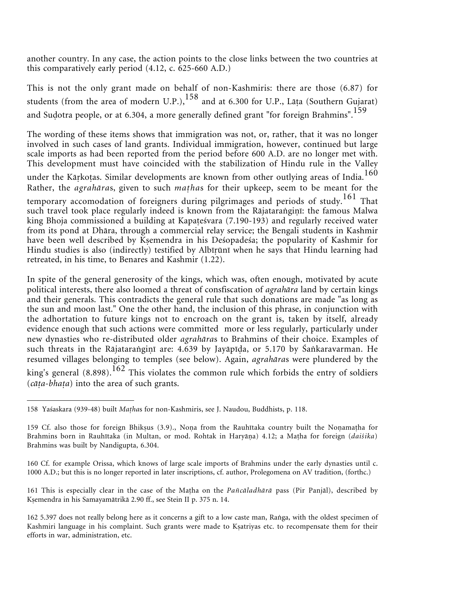another country. In any case, the action points to the close links between the two countries at this comparatively early period (4.12, c. 625-660 A.D.)

This is not the only grant made on behalf of non-Kashmiris: there are those (6.87) for students (from the area of modern U.P.), $158$  and at 6.300 for U.P., Lata (Southern Gujarat) and Sudotra people, or at 6.304, a more generally defined grant "for foreign Brahmins".<sup>159</sup>

The wording of these items shows that immigration was not, or, rather, that it was no longer involved in such cases of land grants. Individual immigration, however, continued but large scale imports as had been reported from the period before 600 A.D. are no longer met with. This development must have coincided with the stabilization of Hindu rule in the Valley under the Kārkoṭas. Similar developments are known from other outlying areas of India.<sup>160</sup> Rather, the *agrahåra*s, given to such *maha*s for their upkeep, seem to be meant for the temporary accomodation of foreigners during pilgrimages and periods of study.<sup>161</sup> That such travel took place regularly indeed is known from the Rājataraṅgiṇī: the famous Malwa king Bhoja commissioned a building at Kapateśvara (7.190-193) and regularly received water from its pond at Dhåra, through a commercial relay service; the Bengali students in Kashmir have been well described by Kemendra in his Deśopadeśa; the popularity of Kashmir for Hindu studies is also (indirectly) testified by Albīrūnī when he says that Hindu learning had retreated, in his time, to Benares and Kashmir (1.22).

In spite of the general generosity of the kings, which was, often enough, motivated by acute political interests, there also loomed a threat of consfiscation of *agrahåra* land by certain kings and their generals. This contradicts the general rule that such donations are made "as long as the sun and moon last." One the other hand, the inclusion of this phrase, in conjunction with the adhortation to future kings not to encroach on the grant is, taken by itself, already evidence enough that such actions were committed more or less regularly, particularly under new dynasties who re-distributed older *agrahåra*s to Brahmins of their choice. Examples of such threats in the Rājataraṅgiṇī are: 4.639 by Jayāpīḍa, or 5.170 by Śaṅkaravarman. He resumed villages belonging to temples (see below). Again, *agrahåra*s were plundered by the king's general (8.898).<sup>162</sup> This violates the common rule which forbids the entry of soldiers (*cāța-bhața*) into the area of such grants.

<sup>158</sup> Yaśaskara (939-48) built *Maha*s for non-Kashmiris, see J. Naudou, Buddhists, p. 118.

<sup>159</sup> Cf. also those for foreign Bhikṣus (3.9)., Noṇa from the Rauhītaka country built the Noṇamaṭha for Brahmins born in Rauhītaka (in Multan, or mod. Rohtak in Haryāṇa) 4.12; a Maṭha for foreign (*daiśika*) Brahmins was built by Nandigupta, 6.304.

<sup>160</sup> Cf. for example Orissa, which knows of large scale imports of Brahmins under the early dynasties until c. 1000 A.D.; but this is no longer reported in later inscriptions, cf. author, Prolegomena on AV tradition, (forthc.)

<sup>161</sup> This is especially clear in the case of the Maha on the *Pañcåladhårå* pass (Pir Panjål), described by Kemendra in his Samayamåtrikå 2.90 ff., see Stein II p. 375 n. 14.

<sup>162 5.397</sup> does not really belong here as it concerns a gift to a low caste man, Ranga, with the oldest specimen of Kashmiri language in his complaint. Such grants were made to Katriyas etc. to recompensate them for their efforts in war, administration, etc.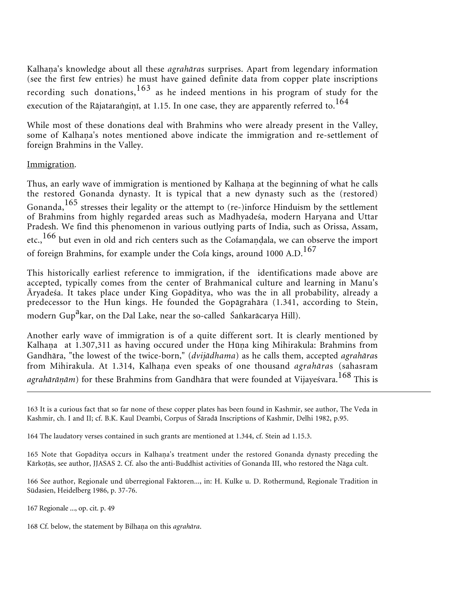Kalhaṇa's knowledge about all these *agrahāra*s surprises. Apart from legendary information (see the first few entries) he must have gained definite data from copper plate inscriptions recording such donations,  $163$  as he indeed mentions in his program of study for the execution of the Rājataranginī, at 1.15. In one case, they are apparently referred to.<sup>164</sup>

While most of these donations deal with Brahmins who were already present in the Valley, some of Kalhaṇa's notes mentioned above indicate the immigration and re-settlement of foreign Brahmins in the Valley.

### Immigration.

Thus, an early wave of immigration is mentioned by Kalhaṇa at the beginning of what he calls the restored Gonanda dynasty. It is typical that a new dynasty such as the (restored) Gonanda,  $165$  stresses their legality or the attempt to (re-)inforce Hinduism by the settlement of Brahmins from highly regarded areas such as Madhyadeśa, modern Haryana and Uttar Pradesh. We find this phenomenon in various outlying parts of India, such as Orissa, Assam, etc.,  $^{166}$  but even in old and rich centers such as the Cofamandala, we can observe the import of foreign Brahmins, for example under the Cofa kings, around 1000 A.D.<sup>167</sup>

This historically earliest reference to immigration, if the identifications made above are accepted, typically comes from the center of Brahmanical culture and learning in Manu's Āryadeśa. It takes place under King Gopåditya, who was the in all probability, already a predecessor to the Hun kings. He founded the Gopågrahåra (1.341, according to Stein, modern Gup<sup>a</sup>kar, on the Dal Lake, near the so-called Śaṅkarācarya Hill).

Another early wave of immigration is of a quite different sort. It is clearly mentioned by Kalhaṇa at 1.307,311 as having occured under the Hūṇa king Mihirakula: Brahmins from Gandhåra, "the lowest of the twice-born," (*dvijådhama*) as he calls them, accepted *agrahåra*s from Mihirakula. At 1.314, Kalhaṇa even speaks of one thousand *agrahāra*s (sahasram *agrahårååm*) for these Brahmins from Gandhåra that were founded at Vijayeśvara.<sup>168</sup> This is

164 The laudatory verses contained in such grants are mentioned at 1.344, cf. Stein ad 1.15.3.

165 Note that Gopāditya occurs in Kalhaṇa's treatment under the restored Gonanda dynasty preceding the Kårkoås, see author, JJASAS 2. Cf. also the anti-Buddhist activities of Gonanda III, who restored the Någa cult.

166 See author, Regionale und überregional Faktoren..., in: H. Kulke u. D. Rothermund, Regionale Tradition in Südasien, Heidelberg 1986, p. 37-76.

167 Regionale ..., op. cit. p. 49

168 Cf. below, the statement by Bilhana on this agrahāra.

<sup>163</sup> It is a curious fact that so far none of these copper plates has been found in Kashmir, see author, The Veda in Kashmir, ch. I and II; cf. B.K. Kaul Deambi, Corpus of Śåradå Inscriptions of Kashmir, Delhi 1982, p.95.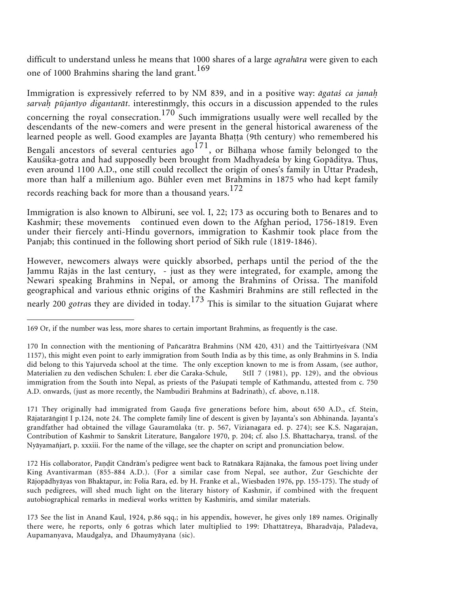difficult to understand unless he means that 1000 shares of a large *agrahåra* were given to each one of 1000 Brahmins sharing the land grant.<sup>169</sup>

Immigration is expressively referred to by NM 839, and in a positive way: *ågataś ca jana* sarvah pūjanīyo digantarāt. interestinmgly, this occurs in a discussion appended to the rules concerning the royal consecration.<sup>170</sup> Such immigrations usually were well recalled by the descendants of the new-comers and were present in the general historical awareness of the learned people as well. Good examples are Jayanta Bhatta (9th century) who remembered his Bengali ancestors of several centuries ago  $171$ , or Bilhana whose family belonged to the Kauśika-gotra and had supposedly been brought from Madhyadeśa by king Gopåditya. Thus, even around 1100 A.D., one still could recollect the origin of ones's family in Uttar Pradesh, more than half a millenium ago. Bühler even met Brahmins in 1875 who had kept family records reaching back for more than a thousand years.<sup>172</sup>

Immigration is also known to Albiruni, see vol. I, 22; 173 as occuring both to Benares and to Kashmir; these movements continued even down to the Afghan period, 1756-1819. Even under their fiercely anti-Hindu governors, immigration to Kashmir took place from the Panjab; this continued in the following short period of Sikh rule (1819-1846).

However, newcomers always were quickly absorbed, perhaps until the period of the the Jammu Råjås in the last century, - just as they were integrated, for example, among the Newari speaking Brahmins in Nepal, or among the Brahmins of Orissa. The manifold geographical and various ethnic origins of the Kashmiri Brahmins are still reflected in the nearly 200 *gotra*s they are divided in today.<sup>173</sup> This is similar to the situation Gujarat where

171 They originally had immigrated from Gauda five generations before him, about 650 A.D., cf. Stein, Rājatarāṅgiṇī I p.124, note 24. The complete family line of descent is given by Jayanta's son Abhinanda. Jayanta's grandfather had obtained the village Gauramūlaka (tr. p. 567, Vizianagara ed. p. 274); see K.S. Nagarajan, Contribution of Kashmir to Sanskrit Literature, Bangalore 1970, p. 204; cf. also J.S. Bhattacharya, transl. of the Nyåyamañjarī, p. xxxiii. For the name of the village, see the chapter on script and pronunciation below.

172 His collaborator, Pandit Cāndrām's pedigree went back to Ratnākara Rājānaka, the famous poet living under King Avantivarman (855-884 A.D.). (For a similar case from Nepal, see author, Zur Geschichte der Råjopådhyåyas von Bhaktapur, in: Folia Rara, ed. by H. Franke et al., Wiesbaden 1976, pp. 155-175). The study of such pedigrees, will shed much light on the literary history of Kashmir, if combined with the frequent autobiographical remarks in medieval works written by Kashmiris, amd similar materials.

<sup>169</sup> Or, if the number was less, more shares to certain important Brahmins, as frequently is the case.

<sup>170</sup> In connection with the mentioning of Pañcaråtra Brahmins (NM 420, 431) and the Taittirīyeśvara (NM 1157), this might even point to early immigration from South India as by this time, as only Brahmins in S. India did belong to this Yajurveda school at the time. The only exception known to me is from Assam, (see author, Materialien zu den vedischen Schulen: I. εber die Caraka-Schule, StII 7 (1981), pp. 129), and the obvious immigration from the South into Nepal, as priests of the Paśupati temple of Kathmandu, attested from c. 750 A.D. onwards, (just as more recently, the Nambudiri Brahmins at Badrinath), cf. above, n.118.

<sup>173</sup> See the list in Anand Kaul, 1924, p.86 sqq.; in his appendix, however, he gives only 189 names. Originally there were, he reports, only 6 gotras which later multiplied to 199: Dhattåtreya, Bharadvåja, Påladeva, Aupamanyava, Maudgalya, and Dhaumyåyana (sic).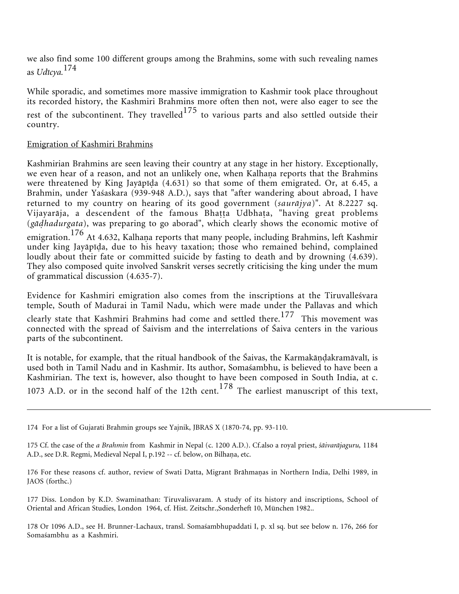we also find some 100 different groups among the Brahmins, some with such revealing names as *Udīcya.*<sup>174</sup>

While sporadic, and sometimes more massive immigration to Kashmir took place throughout its recorded history, the Kashmiri Brahmins more often then not, were also eager to see the rest of the subcontinent. They travelled<sup>175</sup> to various parts and also settled outside their country.

# Emigration of Kashmiri Brahmins

Kashmirian Brahmins are seen leaving their country at any stage in her history. Exceptionally, we even hear of a reason, and not an unlikely one, when Kalhaṇa reports that the Brahmins were threatened by King Jayāpīda  $(4.631)$  so that some of them emigrated. Or, at 6.45, a Brahmin, under Yaśaskara (939-948 A.D.), says that "after wandering about abroad, I have returned to my country on hearing of its good government (*sauråjya*)". At 8.2227 sq. Vijayarāja, a descendent of the famous Bhatta Udbhata, "having great problems (*gåhadurgata*), was preparing to go aborad", which clearly shows the economic motive of emigration. <sup>176</sup> At 4.632, Kalhaṇa reports that many people, including Brahmins, left Kashmir under king Jayāpīḍa, due to his heavy taxation; those who remained behind, complained loudly about their fate or committed suicide by fasting to death and by drowning (4.639). They also composed quite involved Sanskrit verses secretly criticising the king under the mum of grammatical discussion (4.635-7).

Evidence for Kashmiri emigration also comes from the inscriptions at the Tiruvalleśvara temple, South of Madurai in Tamil Nadu, which were made under the Pallavas and which clearly state that Kashmiri Brahmins had come and settled there.<sup>177</sup> This movement was connected with the spread of Śaivism and the interrelations of Śaiva centers in the various parts of the subcontinent.

It is notable, for example, that the ritual handbook of the Śaivas, the Karmakāṇḍakramāvalī, is used both in Tamil Nadu and in Kashmir. Its author, Somaśambhu, is believed to have been a Kashmirian. The text is, however, also thought to have been composed in South India, at c. 1073 A.D. or in the second half of the 12th cent.<sup>178</sup> The earliest manuscript of this text,

<sup>174</sup> For a list of Gujarati Brahmin groups see Yajnik, JBRAS X (1870-74, pp. 93-110.

<sup>175</sup> Cf. the case of the *a Brahmin* from Kashmir in Nepal (c. 1200 A.D.). Cf.also a royal priest, *śåivaråjaguru,* 1184 A.D., see D.R. Regmi, Medieval Nepal I, p.192 -- cf. below, on Bilhaṇa, etc.

<sup>176</sup> For these reasons cf. author, review of Swati Datta, Migrant Brāhmaṇas in Northern India, Delhi 1989, in JAOS (forthc.)

<sup>177</sup> Diss. London by K.D. Swaminathan: Tiruvalisvaram. A study of its history and inscriptions, School of Oriental and African Studies, London 1964, cf. Hist. Zeitschr.,Sonderheft 10, München 1982..

<sup>178</sup> Or 1096 A.D., see H. Brunner-Lachaux, transl. Somaśambhupaddati I, p. xl sq. but see below n. 176, 266 for Somaśambhu as a Kashmiri.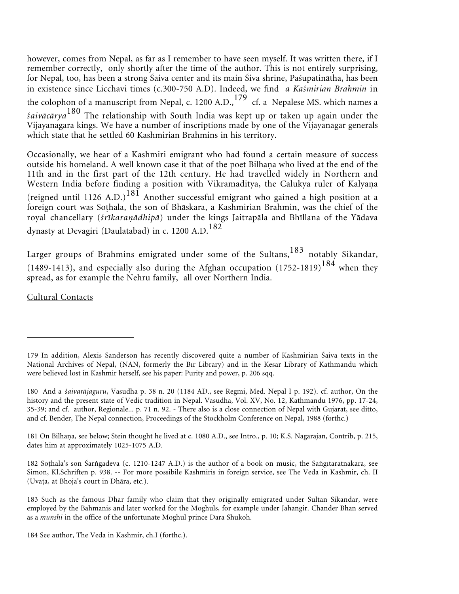however, comes from Nepal, as far as I remember to have seen myself. It was written there, if I remember correctly, only shortly after the time of the author. This is not entirely surprising, for Nepal, too, has been a strong Śaiva center and its main Śiva shrine, Paśupatinåtha, has been in existence since Licchavi times (c.300-750 A.D). Indeed, we find *a Kåśmirian Brahmin* in the colophon of a manuscript from Nepal, c. 1200 A.D., $^{179}$  cf. a Nepalese MS. which names a *śaivåcårya*<sup>180</sup> The relationship with South India was kept up or taken up again under the Vijayanagara kings. We have a number of inscriptions made by one of the Vijayanagar generals which state that he settled 60 Kashmirian Brahmins in his territory.

Occasionally, we hear of a Kashmiri emigrant who had found a certain measure of success outside his homeland. A well known case it that of the poet Bilhaṇa who lived at the end of the 11th and in the first part of the 12th century. He had travelled widely in Northern and Western India before finding a position with Vikramāditya, the Cālukya ruler of Kalyāṇa (reigned until 1126 A.D.)<sup>181</sup> Another successful emigrant who gained a high position at a foreign court was Sohala, the son of Bhåskara, a Kashmirian Brahmin, was the chief of the royal chancellary (śrīkaraņādhipā) under the kings Jaitrapāla and Bhīllana of the Yādava dynasty at Devagiri (Daulatabad) in c. 1200 A.D.<sup>182</sup>

Larger groups of Brahmins emigrated under some of the Sultans,  $183$  notably Sikandar, (1489-1413), and especially also during the Afghan occupation  $(1752-1819)^{184}$  when they spread, as for example the Nehru family, all over Northern India.

Cultural Contacts

181 On Bilhana, see below; Stein thought he lived at c. 1080 A.D., see Intro., p. 10; K.S. Nagarajan, Contrib, p. 215, dates him at approximately 1025-1075 A.D.

182 Sohala's son Śårgadeva (c. 1210-1247 A.D.) is the author of a book on music, the Sagītaratnåkara, see Simon, Kl.Schriften p. 938. -- For more possibile Kashmiris in foreign service, see The Veda in Kashmir, ch. II (Uvata, at Bhoja's court in Dhāra, etc.).

183 Such as the famous Dhar family who claim that they originally emigrated under Sultan Sikandar, were employed by the Bahmanis and later worked for the Moghuls, for example under Jahangir. Chander Bhan served as a *munshi* in the office of the unfortunate Moghul prince Dara Shukoh.

184 See author, The Veda in Kashmir, ch.I (forthc.).

<sup>179</sup> In addition, Alexis Sanderson has recently discovered quite a number of Kashmirian Śaiva texts in the National Archives of Nepal, (NAN, formerly the Bīr Library) and in the Kesar Library of Kathmandu which were believed lost in Kashmir herself, see his paper: Purity and power, p. 206 sqq.

<sup>180</sup> And a *śaivaråjaguru*, Vasudha p. 38 n. 20 (1184 AD., see Regmi, Med. Nepal I p. 192). cf. author, On the history and the present state of Vedic tradition in Nepal. Vasudha, Vol. XV, No. 12, Kathmandu 1976, pp. 17-24, 35-39; and cf. author, Regionale... p. 71 n. 92. - There also is a close connection of Nepal with Gujarat, see ditto, and cf. Bender, The Nepal connection, Proceedings of the Stockholm Conference on Nepal, 1988 (forthc.)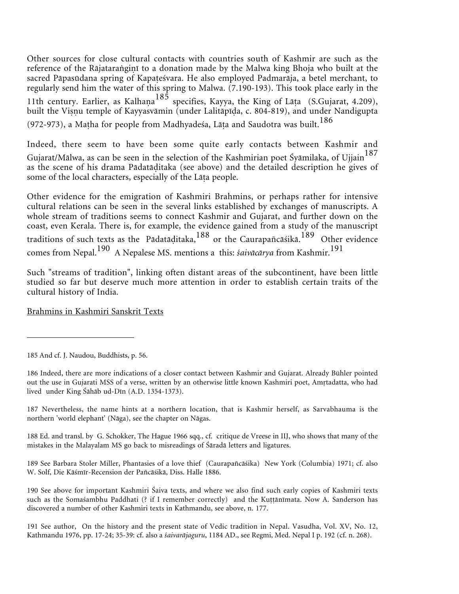Other sources for close cultural contacts with countries south of Kashmir are such as the reference of the Rājataraṅgiṇī to a donation made by the Malwa king Bhoja who built at the sacred Pāpasūdana spring of Kapateśvara. He also employed Padmarāja, a betel merchant, to regularly send him the water of this spring to Malwa. (7.190-193). This took place early in the 11th century. Earlier, as Kalhaņa<sup>185</sup> specifies, Kayya, the King of Lāṭa (S.Gujarat, 4.209), built the Viṣṇu temple of Kayyasvāmin (under Lalitāpīḍa, c. 804-819), and under Nandigupta (972-973), a Matha for people from Madhyadeśa, Lāta and Saudotra was built.<sup>186</sup>

Indeed, there seem to have been some quite early contacts between Kashmir and Gujarat/Mālwa, as can be seen in the selection of the Kashmirian poet Śyāmilaka, of Ujjain<sup>187</sup> as the scene of his drama Pådatåitaka (see above) and the detailed description he gives of some of the local characters, especially of the Lāta people.

Other evidence for the emigration of Kashmiri Brahmins, or perhaps rather for intensive cultural relations can be seen in the several links established by exchanges of manuscripts. A whole stream of traditions seems to connect Kashmir and Gujarat, and further down on the coast, even Kerala. There is, for example, the evidence gained from a study of the manuscript traditions of such texts as the Pādatāditaka, $^{188}$  or the Caurapañcāśikā.<sup>189</sup> Other evidence comes from Nepal.<sup>190</sup> A Nepalese MS. mentions a this: *śaivåcårya* from Kashmir.<sup>191</sup>

Such "streams of tradition", linking often distant areas of the subcontinent, have been little studied so far but deserve much more attention in order to establish certain traits of the cultural history of India.

### Brahmins in Kashmiri Sanskrit Texts

<sup>185</sup> And cf. J. Naudou, Buddhists, p. 56.

<sup>186</sup> Indeed, there are more indications of a closer contact between Kashmir and Gujarat. Already Bühler pointed out the use in Gujarati MSS of a verse, written by an otherwise little known Kashmiri poet, Amtadatta, who had lived under King Śåhåb ud-Dīn (A.D. 1354-1373).

<sup>187</sup> Nevertheless, the name hints at a northern location, that is Kashmir herself, as Sarvabhauma is the northern 'world elephant' (Någa), see the chapter on Någas.

<sup>188</sup> Ed. and transl. by G. Schokker, The Hague 1966 sqq., cf. critique de Vreese in IIJ, who shows that many of the mistakes in the Malayalam MS go back to misreadings of Śåradå letters and ligatures.

<sup>189</sup> See Barbara Stoler Miller, Phantasies of a love thief (Caurapañcåśika) New York (Columbia) 1971; cf. also W. Solf, Die Kåśmīr-Recension der Pañcåśikå, Diss. Halle 1886.

<sup>190</sup> See above for important Kashmiri Śaiva texts, and where we also find such early copies of Kashmiri texts such as the Somaśambhu Paddhati (? if I remember correctly) and the Kuṭṭānīmata. Now A. Sanderson has discovered a number of other Kashmiri texts in Kathmandu, see above, n. 177.

<sup>191</sup> See author, On the history and the present state of Vedic tradition in Nepal. Vasudha, Vol. XV, No. 12, Kathmandu 1976, pp. 17-24; 35-39: cf. also a *śaivaråjaguru*, 1184 AD., see Regmi, Med. Nepal I p. 192 (cf. n. 268).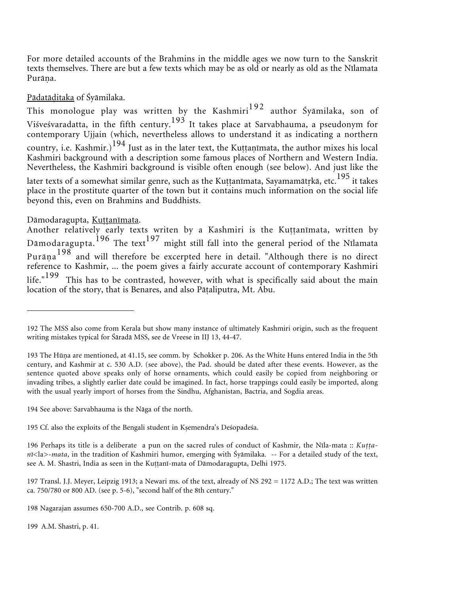For more detailed accounts of the Brahmins in the middle ages we now turn to the Sanskrit texts themselves. There are but a few texts which may be as old or nearly as old as the Nīlamata Purāņa.

# Pādatāditaka of Šyāmilaka.

This monologue play was written by the Kashmiri<sup>192</sup> author Śyāmilaka, son of Viśveśvaradatta, in the fifth century.<sup>193</sup> It takes place at Sarvabhauma, a pseudonym for contemporary Ujjain (which, nevertheless allows to understand it as indicating a northern country, i.e. Kashmir.) $^{194}$  Just as in the later text, the Kuṭṭaṇīmata, the author mixes his local Kashmiri background with a description some famous places of Northern and Western India. Nevertheless, the Kashmiri background is visible often enough (see below). And just like the later texts of a somewhat similar genre, such as the Kuṭṭanīmata, Sayamamātṛkā, etc.<sup>195</sup> it takes place in the prostitute quarter of the town but it contains much information on the social life beyond this, even on Brahmins and Buddhists.

### Dāmodaragupta, Kuttanīmata.

Another relatively early texts writen by a Kashmiri is the Kuttanimata, written by Dāmodaragupta.<sup>196</sup> The text<sup>197</sup> might still fall into the general period of the Nīlamata Purāņa $198$  and will therefore be excerpted here in detail. "Although there is no direct reference to Kashmir, ... the poem gives a fairly accurate account of contemporary Kashmiri life."<sup>199</sup> This has to be contrasted, however, with what is specifically said about the main location of the story, that is Benares, and also Pātaliputra, Mt. Abu.

194 See above: Sarvabhauma is the Någa of the north.

195 Cf. also the exploits of the Bengali student in Kemendra's Deśopadeśa.

196 Perhaps its title is a deliberate a pun on the sacred rules of conduct of Kashmir, the Nīla-mata :: *Kuttanī*<la>-*mata*, in the tradition of Kashmiri humor, emerging with Śyåmilaka. -- For a detailed study of the text, see A. M. Shastri, India as seen in the Kuttanī-mata of Dāmodaragupta, Delhi 1975.

197 Transl. J.J. Meyer, Leipzig 1913; a Newari ms. of the text, already of NS 292 = 1172 A.D.; The text was written ca. 750/780 or 800 AD. (see p. 5-6), "second half of the 8th century."

198 Nagarajan assumes 650-700 A.D., see Contrib. p. 608 sq.

199 A.M. Shastri, p. 41.

<sup>192</sup> The MSS also come from Kerala but show many instance of ultimately Kashmiri origin, such as the frequent writing mistakes typical for Śåradå MSS, see de Vreese in IIJ 13, 44-47.

<sup>193</sup> The Hūna are mentioned, at 41.15, see comm. by Schokker p. 206. As the White Huns entered India in the 5th century, and Kashmir at c. 530 A.D. (see above), the Pad. should be dated after these events. However, as the sentence quoted above speaks only of horse ornaments, which could easily be copied from neighboring or invading tribes, a slightly earlier date could be imagined. In fact, horse trappings could easily be imported, along with the usual yearly import of horses from the Sindhu, Afghanistan, Bactria, and Sogdia areas.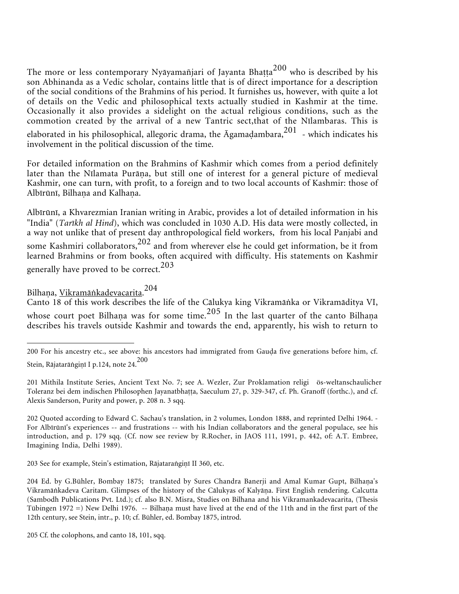The more or less contemporary Nyāyamañjari of Jayanta Bhaṭṭa $^{200}$  who is described by his son Abhinanda as a Vedic scholar, contains little that is of direct importance for a description of the social conditions of the Brahmins of his period. It furnishes us, however, with quite a lot of details on the Vedic and philosophical texts actually studied in Kashmir at the time. Occasionally it also provides a sidelight on the actual religious conditions, such as the commotion created by the arrival of a new Tantric sect,that of the Nīlambaras. This is elaborated in his philosophical, allegoric drama, the  $\bar{A}$ gamadambara, $^{201}$  - which indicates his involvement in the political discussion of the time.

For detailed information on the Brahmins of Kashmir which comes from a period definitely later than the Nīlamata Purāṇa, but still one of interest for a general picture of medieval Kashmir, one can turn, with profit, to a foreign and to two local accounts of Kashmir: those of Albīrūnī, Bilhaņa and Kalhaņa.

Albīrūnī, a Khvarezmian Iranian writing in Arabic, provides a lot of detailed information in his "India" (*Tarīkh al Hind*), which was concluded in 1030 A.D. His data were mostly collected, in a way not unlike that of present day anthropological field workers, from his local Panjabi and some Kashmiri collaborators, $202$  and from wherever else he could get information, be it from learned Brahmins or from books, often acquired with difficulty. His statements on Kashmir generally have proved to be correct.<sup>203</sup>

Bilhaṇa, <u>Vikramāṅkadevacarita</u>.<sup>204</sup>

Canto 18 of this work describes the life of the Cālukya king Vikramānka or Vikramāditya VI, whose court poet Bilhaṇa was for some time. $^{205}$  In the last quarter of the canto Bilhaṇa describes his travels outside Kashmir and towards the end, apparently, his wish to return to

203 See for example, Stein's estimation, Rājataraṅgiṇī II 360, etc.

<sup>200</sup> For his ancestry etc., see above: his ancestors had immigrated from Gauda five generations before him, cf. Stein, Rājatarāṅgiṇī I p.124, note 24. $^{200}$ 

<sup>201</sup> Mithila Institute Series, Ancient Text No. 7; see A. Wezler, Zur Proklamation religi ös-weltanschaulicher Toleranz bei dem indischen Philosophen Jayanatbhatta, Saeculum 27, p. 329-347, cf. Ph. Granoff (forthc.), and cf. Alexis Sanderson, Purity and power, p. 208 n. 3 sqq.

<sup>202</sup> Quoted according to Edward C. Sachau's translation, in 2 volumes, London 1888, and reprinted Delhi 1964. - For Albīrūnī's experiences -- and frustrations -- with his Indian collaborators and the general populace, see his introduction, and p. 179 sqq. (Cf. now see review by R.Rocher, in JAOS 111, 1991, p. 442, of: A.T. Embree, Imagining India, Delhi 1989).

<sup>204</sup> Ed. by G.Bühler, Bombay 1875; translated by Sures Chandra Banerji and Amal Kumar Gupt, Bilhaṇa's Vikramāṅkadeva Caritam. Glimpses of the history of the Cālukyas of Kalyāṇa. First English rendering. Calcutta (Sambodh Publications Pvt. Ltd.); cf. also B.N. Misra, Studies on Bilhana and his Vikramankadevacarita, (Thesis Tübingen 1972 =) New Delhi 1976. -- Bilhaṇa must have lived at the end of the 11th and in the first part of the 12th century, see Stein, intr., p. 10; cf. Bühler, ed. Bombay 1875, introd.

<sup>205</sup> Cf. the colophons, and canto 18, 101, sqq.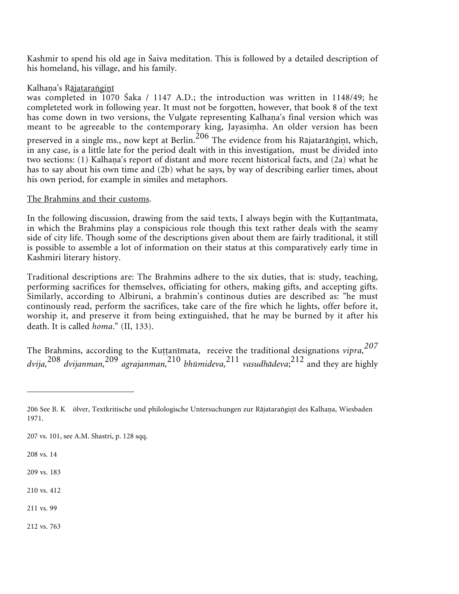Kashmir to spend his old age in Śaiva meditation. This is followed by a detailed description of his homeland, his village, and his family.

# Kalhaṇa's R<u>ājataraṅgiṇī</u>

was completed in 1070 Śaka / 1147 A.D.; the introduction was written in 1148/49; he completeted work in following year. It must not be forgotten, however, that book 8 of the text has come down in two versions, the Vulgate representing Kalhaṇa's final version which was meant to be agreeable to the contemporary king, Jayasi ha. An older version has been preserved in a single ms., now kept at Berlin. $^{206}$  The evidence from his Rājatarāṅgiṇī, which, in any case, is a little late for the period dealt with in this investigation, must be divided into two sections: (1) Kalhaṇa's report of distant and more recent historical facts, and (2a) what he has to say about his own time and (2b) what he says, by way of describing earlier times, about his own period, for example in similes and metaphors.

### The Brahmins and their customs.

In the following discussion, drawing from the said texts, I always begin with the Kuttanimata, in which the Brahmins play a conspicious role though this text rather deals with the seamy side of city life. Though some of the descriptions given about them are fairly traditional, it still is possible to assemble a lot of information on their status at this comparatively early time in Kashmiri literary history.

Traditional descriptions are: The Brahmins adhere to the six duties, that is: study, teaching, performing sacrifices for themselves, officiating for others, making gifts, and accepting gifts. Similarly, according to Albiruni, a brahmin's continous duties are described as: "he must continously read, perform the sacrifices, take care of the fire which he lights, offer before it, worship it, and preserve it from being extinguished, that he may be burned by it after his death. It is called *homa*." (II, 133).

The Brahmins, according to the Kuttanimata, receive the traditional designations *vipra*,  $^{207}$ *dvija,*<sup>208</sup> *dvijanman,*<sup>209</sup> *agrajanman,*<sup>210</sup> *bhūmideva,*<sup>211</sup> *vasudhådeva*; <sup>212</sup> and they are highly

207 vs. 101, see A.M. Shastri, p. 128 sqq.

208 vs. 14

209 vs. 183

210 vs. 412

211 vs. 99

212 vs. 763

<sup>206</sup> See B. K) ölver, Textkritische und philologische Untersuchungen zur Rājatarangiṇī des Kalhaṇa, Wiesbaden 1971.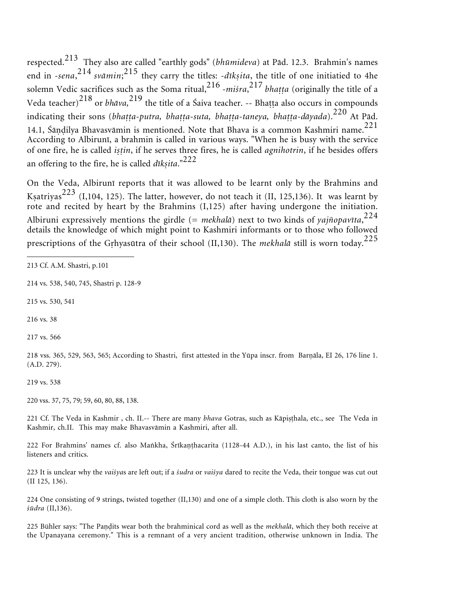respected.<sup>213</sup> They also are called "earthly gods" (*bhūmideva*) at Påd. 12.3. Brahmin's names end in -*sena*, <sup>214</sup> *svåmin*; <sup>215</sup> they carry the titles: -*dīk-ita*, the title of one initiatied to 4he solemn Vedic sacrifices such as the Soma ritual,<sup>216</sup> -*miśra*,<sup>217</sup> bhaṭṭa (originally the title of a Veda teacher)<sup>218</sup> or *bhāva*,<sup>219</sup> the title of a Śaiva teacher. -- Bhaṭṭa also occurs in compounds indicating their sons (*bhatta-putra, bhatta-suta, bhatta-taneya, bhatta-dāyada*).<sup>220</sup> At Pād. 14.1, Śāṇḍilya Bhavasvāmin is mentioned. Note that Bhava is a common Kashmiri name. $^{221}$ According to Albirunī, a brahmin is called in various ways. "When he is busy with the service of one fire, he is called *istin*, if he serves three fires, he is called *agnihotrin*, if he besides offers an offering to the fire, he is called *dīkṣita*."<sup>222</sup>

On the Veda, Albirunī reports that it was allowed to be learnt only by the Brahmins and Kṣatriyas<sup>223</sup> (I,104, 125). The latter, however, do not teach it (II, 125,136). It was learnt by rote and recited by heart by the Brahmins (I,125) after having undergone the initiation. Albiruni expressively mentions the girdle (*= mekhalå*) next to two kinds of *yajñopavīta*, 224 details the knowledge of which might point to Kashmiri informants or to those who followed prescriptions of the Grhyasūtra of their school (II,130). The *mekhalā* still is worn today.<sup>225</sup>

214 vs. 538, 540, 745, Shastri p. 128-9

215 vs. 530, 541

216 vs. 38

217 vs. 566

218 vss. 365, 529, 563, 565; According to Shastri, first attested in the Yūpa inscr. from Barnāla, EI 26, 176 line 1. (A.D. 279).

219 vs. 538

220 vss. 37, 75, 79; 59, 60, 80, 88, 138.

221 Cf. The Veda in Kashmir , ch. II.-- There are many *bhava* Gotras, such as Kāpisthala, etc., see The Veda in Kashmir, ch.II. This may make Bhavasvåmin a Kashmiri, after all.

222 For Brahmins' names cf. also Mankha, Śrīkaṇṭhacarita (1128-44 A.D.), in his last canto, the list of his listeners and critics.

223 It is unclear why the *vaiśya*s are left out; if a *śudra* or *vaiśya* dared to recite the Veda, their tongue was cut out (II 125, 136).

224 One consisting of 9 strings, twisted together (II,130) and one of a simple cloth. This cloth is also worn by the *śūdra* (II,136).

225 Bühler says: "The Pandits wear both the brahminical cord as well as the *mekhalā*, which they both receive at the Upanayana ceremony." This is a remnant of a very ancient tradition, otherwise unknown in India. The

<sup>213</sup> Cf. A.M. Shastri, p.101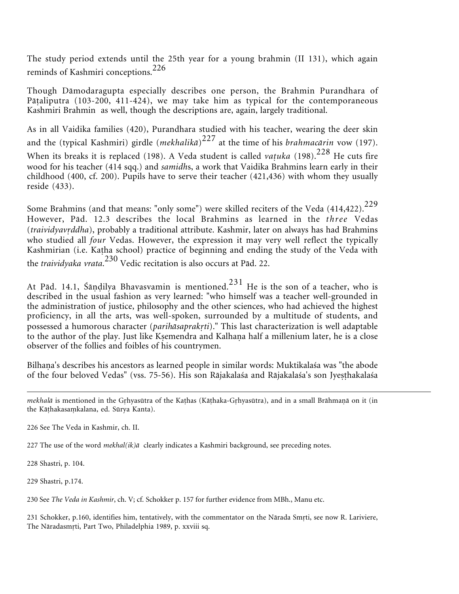The study period extends until the 25th year for a young brahmin (II 131), which again reminds of Kashmiri conceptions.<sup>226</sup>

Though Dåmodaragupta especially describes one person, the Brahmin Purandhara of Pātaliputra (103-200, 411-424), we may take him as typical for the contemporaneous Kashmiri Brahmin as well, though the descriptions are, again, largely traditional.

As in all Vaidika families (420), Purandhara studied with his teacher, wearing the deer skin and the (typical Kashmiri) girdle (*mekhalikå*) <sup>227</sup> at the time of his *brahmacårin* vow (197). When its breaks it is replaced (198). A Veda student is called *vatuka* (198).<sup>228</sup> He cuts fire wood for his teacher (414 sqq.) and *samidh*s, a work that Vaidika Brahmins learn early in their childhood (400, cf. 200). Pupils have to serve their teacher (421,436) with whom they usually reside (433).

Some Brahmins (and that means: "only some") were skilled reciters of the Veda (414,422).<sup>229</sup> However, Påd. 12.3 describes the local Brahmins as learned in the *three* Vedas (*traividyavddha*), probably a traditional attribute. Kashmir, later on always has had Brahmins who studied all *four* Vedas. However, the expression it may very well reflect the typically Kashmirian (i.e. Kaha school) practice of beginning and ending the study of the Veda with the *traividyaka vrata*. <sup>230</sup> Vedic recitation is also occurs at Påd. 22.

At Pād. 14.1, Śāṇḍilya Bhavasvamin is mentioned. $^{231}$  He is the son of a teacher, who is described in the usual fashion as very learned: "who himself was a teacher well-grounded in the administration of justice, philosophy and the other sciences, who had achieved the highest proficiency, in all the arts, was well-spoken, surrounded by a multitude of students, and possessed a humorous character (*parihåsaprakti*)." This last characterization is well adaptable to the author of the play. Just like Kṣemendra and Kalhaṇa half a millenium later, he is a close observer of the follies and foibles of his countrymen.

Bilhaṇa's describes his ancestors as learned people in similar words: Muktikalaśa was "the abode of the four beloved Vedas" (vss. 75-56). His son Rājakalaśa and Rājakalaśa's son Jyesthakalaśa

226 See The Veda in Kashmir, ch. II.

227 The use of the word *mekhal(ik)å* clearly indicates a Kashmiri background, see preceding notes.

228 Shastri, p. 104.

229 Shastri, p.174.

230 See *The Veda in Kashmir*, ch. V; cf. Schokker p. 157 for further evidence from MBh., Manu etc.

231 Schokker, p.160, identifies him, tentatively, with the commentator on the Nårada Smti, see now R. Lariviere, The Nåradasmti, Part Two, Philadelphia 1989, p. xxviii sq.

*mekhalā* is mentioned in the Grhyasūtra of the Kaṭhas (Kāṭhaka-Gṛhyasūtra), and in a small Brāhmaṇā on it (in the Kāṭhakasaṃkalana, ed. Sūrya Kanta).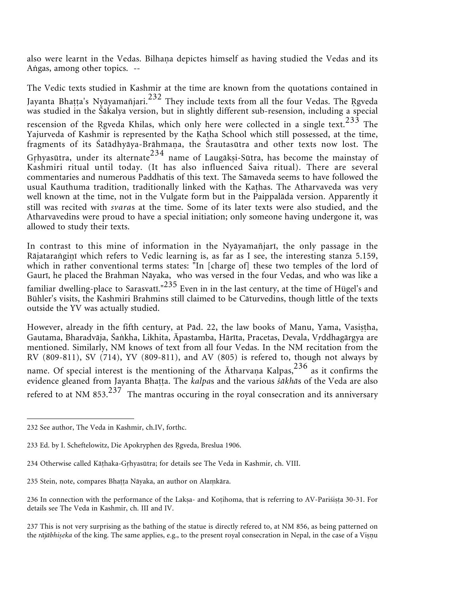also were learnt in the Vedas. Bilhaṇa depictes himself as having studied the Vedas and its Angas, among other topics. --

The Vedic texts studied in Kashmir at the time are known from the quotations contained in Jayanta Bhaṭṭa's Nyāyamañjari.<sup>232</sup> They include texts from all the four Vedas. The Rgveda was studied in the Śåkalya version, but in slightly different sub-resension, including a special rescension of the Rgveda Khilas, which only here were collected in a single text.<sup>233</sup> The Yajurveda of Kashmir is represented by the Katha School which still possessed, at the time, fragments of its Śatādhyāya-Brāhmaṇa, the Śrautasūtra and other texts now lost. The Grhyasūtra, under its alternate<sup>234</sup> name of Laugāksi-Sūtra, has become the mainstay of Kashmiri ritual until today. (It has also influenced Śaiva ritual). There are several commentaries and numerous Paddhatis of this text. The Såmaveda seems to have followed the usual Kauthuma tradition, traditionally linked with the Kahas. The Atharvaveda was very well known at the time, not in the Vulgate form but in the Paippalåda version. Apparently it still was recited with *svara*s at the time. Some of its later texts were also studied, and the Atharvavedins were proud to have a special initiation; only someone having undergone it, was allowed to study their texts.

In contrast to this mine of information in the Nyåyamañjarī, the only passage in the Rājatarangiņī which refers to Vedic learning is, as far as I see, the interesting stanza 5.159, which in rather conventional terms states: "In [charge of] these two temples of the lord of Gaurī, he placed the Brahman Nåyaka, who was versed in the four Vedas, and who was like a familiar dwelling-place to Sarasvatī."<sup>235</sup> Even in in the last century, at the time of Hügel's and Bühler's visits, the Kashmiri Brahmins still claimed to be Cåturvedins, though little of the texts outside the YV was actually studied.

However, already in the fifth century, at Pād. 22, the law books of Manu, Yama, Vasistha, Gautama, Bharadvåja, Śakha, Likhita, Āpastamba, Hårīta, Pracetas, Devala, Vddhagårgya are mentioned. Similarly, NM knows of text from all four Vedas. In the NM recitation from the RV (809-811), SV (714), YV (809-811), and AV (805) is refered to, though not always by name. Of special interest is the mentioning of the  $\bar{\text{A}}$ tharvana Kalpas, $^{236}$  as it confirms the evidence gleaned from Jayanta Bhaṭṭa. The *kalpas* and the various śākhās of the Veda are also refered to at NM 853. $237$  The mantras occuring in the royal consecration and its anniversary

<sup>232</sup> See author, The Veda in Kashmir, ch.IV, forthc.

<sup>233</sup> Ed. by I. Scheftelowitz, Die Apokryphen des Rgveda, Breslua 1906.

<sup>234</sup> Otherwise called Kåhaka-Ghyasūtra; for details see The Veda in Kashmir, ch. VIII.

<sup>235</sup> Stein, note, compares Bhaṭṭa Nāyaka, an author on Alaṃkāra.

<sup>236</sup> In connection with the performance of the Laksa- and Kotihoma, that is referring to AV-Pariśista 30-31. For details see The Veda in Kashmir, ch. III and IV.

<sup>237</sup> This is not very surprising as the bathing of the statue is directly refered to, at NM 856, as being patterned on the *rājābhiṣeka* of the king. The same applies, e.g., to the present royal consecration in Nepal, in the case of a Viṣṇu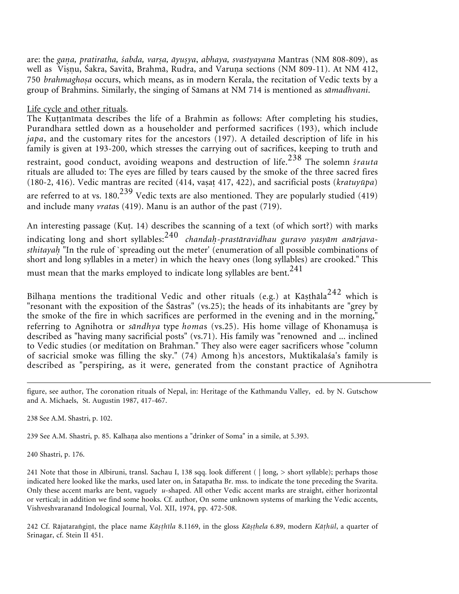are: the *gana, pratiratha, śabda, varṣa, āyuṣya, abhaya, svastyayana* Mantras (NM 808-809), as well as Viṣṇu, Śakra, Savitā, Brahmā, Rudra, and Varuṇa sections (NM 809-11). At NM 412, 750 *brahmaghosa* occurs, which means, as in modern Kerala, the recitation of Vedic texts by a group of Brahmins. Similarly, the singing of Såmans at NM 714 is mentioned as *såmadhvani*.

#### Life cycle and other rituals.

The Kuttanimata describes the life of a Brahmin as follows: After completing his studies, Purandhara settled down as a householder and performed sacrifices (193), which include *japa*, and the customary rites for the ancestors (197). A detailed description of life in his family is given at 193-200, which stresses the carrying out of sacrifices, keeping to truth and restraint, good conduct, avoiding weapons and destruction of life.<sup>238</sup> The solemn *śrauta* rituals are alluded to: The eyes are filled by tears caused by the smoke of the three sacred fires (180-2, 416). Vedic mantras are recited (414, vasat 417, 422), and sacrificial posts (*kratuyūpa*) are referred to at vs. 180.<sup>239</sup> Vedic texts are also mentioned. They are popularly studied (419) and include many *vrata*s (419). Manu is an author of the past (719).

An interesting passage (Kut. 14) describes the scanning of a text (of which sort?) with marks indicating long and short syllables:<sup>240</sup> *chandaḥ-prastāravidhau guravo yasyām anārjavasthitayah* "In the rule of `spreading out the meter' (enumeration of all possible combinations of short and long syllables in a meter) in which the heavy ones (long syllables) are crooked." This must mean that the marks employed to indicate long syllables are bent.<sup>241</sup>

Bilhaṇa mentions the traditional Vedic and other rituals (e.g.) at Kāṣṭhāla $^{242}$  which is "resonant with the exposition of the Śåstras" (vs.25); the heads of its inhabitants are "grey by the smoke of the fire in which sacrifices are performed in the evening and in the morning," referring to Agnihotra or *såndhya* type *homa*s (vs.25). His home village of Khonamua is described as "having many sacrificial posts" (vs.71). His family was "renowned and ... inclined to Vedic studies (or meditation on Brahman." They also were eager sacrificers whose "column of sacricial smoke was filling the sky." (74) Among h)s ancestors, Muktikalaśa's family is described as "perspiring, as it were, generated from the constant practice of Agnihotra

238 See A.M. Shastri, p. 102.

239 See A.M. Shastri, p. 85. Kalhaṇa also mentions a "drinker of Soma" in a simile, at 5.393.

240 Shastri, p. 176.

241 Note that those in Albiruni, transl. Sachau I, 138 sqq. look different ( | long, > short syllable); perhaps those indicated here looked like the marks, used later on, in Śatapatha Br. mss. to indicate the tone preceding the Svarita. Only these accent marks are bent, vaguely *u*-shaped. All other Vedic accent marks are straight, either horizontal or vertical; in addition we find some hooks. Cf. author, On some unknown systems of marking the Vedic accents, Vishveshvaranand Indological Journal, Vol. XII, 1974, pp. 472-508.

242 Cf. Rājataraṅgiṇī, the place name *Kāṣṭhīla* 8.1169, in the gloss *Kāṣṭhela* 6.89, modern *Kāṭhül*, a quarter of Srinagar, cf. Stein II 451.

figure, see author, The coronation rituals of Nepal, in: Heritage of the Kathmandu Valley, ed. by N. Gutschow and A. Michaels, St. Augustin 1987, 417-467.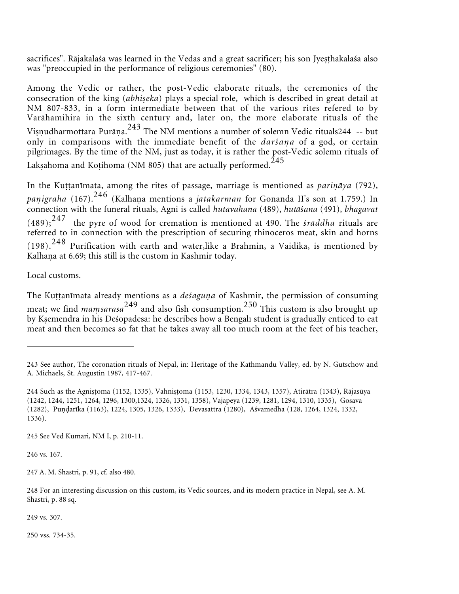sacrifices". Rājakalaśa was learned in the Vedas and a great sacrificer; his son Jyesthakalaśa also was "preoccupied in the performance of religious ceremonies" (80).

Among the Vedic or rather, the post-Vedic elaborate rituals, the ceremonies of the consecration of the king (abhiseka) plays a special role, which is described in great detail at NM 807-833, in a form intermediate between that of the various rites refered to by Varåhamihira in the sixth century and, later on, the more elaborate rituals of the Viṣṇudharmottara Purāṇa.<sup>243</sup> The NM mentions a number of solemn Vedic rituals244 -- but only in comparisons with the immediate benefit of the *darśaa* of a god, or certain pilgrimages. By the time of the NM, just as today, it is rather the post-Vedic solemn rituals of Lakṣahoma and Koṭihoma (NM 805) that are actually performed.<sup>245</sup>

In the Kuttanimata, among the rites of passage, marriage is mentioned as *parināya* (792), p*āṇigraha* (167).<sup>246</sup> (Kalhaṇa mentions a *jātakarman* for Gonanda II's son at 1.759.) In connection with the funeral rituals, Agni is called *hutavahana* (489), *hutåśana* (491), *bhagavat*  $(489);$ <sup>247</sup> the pyre of wood for cremation is mentioned at 490. The *śrāddha* rituals are referred to in connection with the prescription of securing rhinoceros meat, skin and horns  $(198)$ .<sup>248</sup> Purification with earth and water, like a Brahmin, a Vaidika, is mentioned by Kalhaņa at 6.69; this still is the custom in Kashmir today.

### Local customs.

The Kuttanīmata already mentions as a *deśaguna* of Kashmir, the permission of consuming meat; we find *maṃsarasa*<sup>249</sup> and also fish consumption.<sup>250</sup> This custom is also brought up by Kemendra in his Deśopadesa: he describes how a Bengalī student is gradually enticed to eat meat and then becomes so fat that he takes away all too much room at the feet of his teacher,

245 See Ved Kumari, NM I, p. 210-11.

246 vs. 167.

247 A. M. Shastri, p. 91, cf. also 480.

248 For an interesting discussion on this custom, its Vedic sources, and its modern practice in Nepal, see A. M. Shastri, p. 88 sq.

249 vs. 307.

250 vss. 734-35.

<sup>243</sup> See author, The coronation rituals of Nepal, in: Heritage of the Kathmandu Valley, ed. by N. Gutschow and A. Michaels, St. Augustin 1987, 417-467.

<sup>244</sup> Such as the Agnistoma (1152, 1335), Vahnistoma (1153, 1230, 1334, 1343, 1357), Atirātra (1343), Rājasūya (1242, 1244, 1251, 1264, 1296, 1300,1324, 1326, 1331, 1358), Våjapeya (1239, 1281, 1294, 1310, 1335), Gosava (1282), Puṇḍarīka (1163), 1224, 1305, 1326, 1333), Devasattra (1280), Aśvamedha (128, 1264, 1324, 1332, 1336).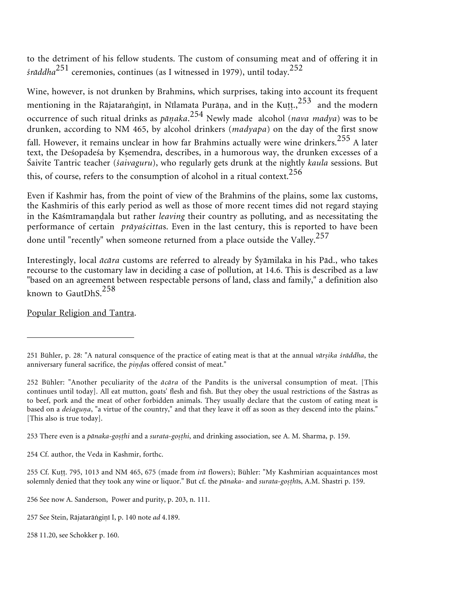to the detriment of his fellow students. The custom of consuming meat and of offering it in *śråddha*<sup>251</sup> ceremonies, continues (as I witnessed in 1979), until today.<sup>252</sup>

Wine, however, is not drunken by Brahmins, which surprises, taking into account its frequent mentioning in the Rājataranginī, in Nīlamata Purāṇa, and in the Kuṭṭ., $^{253}$  and the modern occurrence of such ritual drinks as *påaka*. <sup>254</sup> Newly made alcohol (*nava madya*) was to be drunken, according to NM 465, by alcohol drinkers (*madyapa*) on the day of the first snow fall. However, it remains unclear in how far Brahmins actually were wine drinkers.<sup>255</sup> A later text, the Deśopadeśa by Kemendra, describes, in a humorous way, the drunken excesses of a Śaivite Tantric teacher (*śaivaguru*), who regularly gets drunk at the nightly *kaula* sessions. But this, of course, refers to the consumption of alcohol in a ritual context.  $256$ 

Even if Kashmir has, from the point of view of the Brahmins of the plains, some lax customs, the Kashmiris of this early period as well as those of more recent times did not regard staying in the Kāśmīramaṇḍala but rather *leaving* their country as polluting, and as necessitating the performance of certain *pråyaścitta*s. Even in the last century, this is reported to have been done until "recently" when someone returned from a place outside the Valley.<sup>257</sup>

Interestingly, local *åcåra* customs are referred to already by Śyåmilaka in his Påd., who takes recourse to the customary law in deciding a case of pollution, at 14.6. This is described as a law "based on an agreement between respectable persons of land, class and family," a definition also known to GautDhS.<sup>258</sup>

Popular Religion and Tantra.

<sup>251</sup> Bühler, p. 28: "A natural consquence of the practice of eating meat is that at the annual *vārṣika śrāddha*, the anniversary funeral sacrifice, the *pindas* offered consist of meat."

<sup>252</sup> Bühler: "Another peculiarity of the *åcåra* of the Pandits is the universal consumption of meat. [This continues until today]. All eat mutton, goats' flesh and fish. But they obey the usual restrictions of the Śåstras as to beef, pork and the meat of other forbidden animals. They usually declare that the custom of eating meat is based on a *deśagua*, "a virtue of the country," and that they leave it off as soon as they descend into the plains." [This also is true today].

<sup>253</sup> There even is a *pānaka-gosthi* and a *surata-gosthi*, and drinking association, see A. M. Sharma, p. 159.

<sup>254</sup> Cf. author, the Veda in Kashmir, forthc.

<sup>255</sup> Cf. Ku. 795, 1013 and NM 465, 675 (made from *irå* flowers); Bühler: "My Kashmirian acquaintances most solemnly denied that they took any wine or liquor." But cf. the *pånaka*- and *surata-go-hī*s, A.M. Shastri p. 159.

<sup>256</sup> See now A. Sanderson, Power and purity, p. 203, n. 111.

<sup>257</sup> See Stein, Rājatarāṅgiṇī I, p. 140 note ad 4.189.

<sup>258 11.20,</sup> see Schokker p. 160.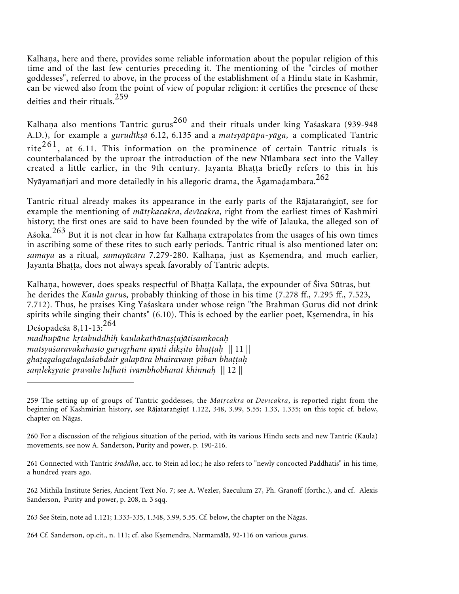Kalhaṇa, here and there, provides some reliable information about the popular religion of this time and of the last few centuries preceding it. The mentioning of the "circles of mother goddesses", referred to above, in the process of the establishment of a Hindu state in Kashmir, can be viewed also from the point of view of popular religion: it certifies the presence of these deities and their rituals.<sup>259</sup>

Kalhaṇa also mentions Tantric gurus $^{260}$  and their rituals under king Yaśaskara (939-948 A.D.), for example a *gurudīkṣā* 6.12, 6.135 and a *matsyāpūpa-yāga*, a complicated Tantric rite<sup>261</sup>, at 6.11. This information on the prominence of certain Tantric rituals is counterbalanced by the uproar the introduction of the new Nīlambara sect into the Valley created a little earlier, in the 9th century. Jayanta Bhatta briefly refers to this in his Nyāyamañjari and more detailedly in his allegoric drama, the  $\bar{\text{A}}$ gamadambara.<sup>262</sup>

Tantric ritual already makes its appearance in the early parts of the Rājataraṅgiṇī, see for example the mentioning of *måtkacakra*, *devīcakra*, right from the earliest times of Kashmiri history; the first ones are said to have been founded by the wife of Jalauka, the alleged son of Aśoka.<sup>263</sup> But it is not clear in how far Kalhaṇa extrapolates from the usages of his own times in ascribing some of these rites to such early periods. Tantric ritual is also mentioned later on: *samaya* as a ritual, *samayācāra* 7.279-280. Kalhaṇa, just as Kṣemendra, and much earlier, Jayanta Bhatta, does not always speak favorably of Tantric adepts.

Kalhaṇa, however, does speaks respectful of Bhaṭṭa Kallaṭa, the expounder of Śiva Sūtras, but he derides the *Kaula guru*s, probably thinking of those in his time (7.278 ff., 7.295 ff., 7.523, 7.712). Thus, he praises King Yaśaskara under whose reign "the Brahman Gurus did not drink spirits while singing their chants" (6.10). This is echoed by the earlier poet, Ksemendra, in his Deśopadeśa 8,11-13:<sup>264</sup>

madhupāne kṛtabuddhiḥ kaulakathānaṣṭajātisamkocaḥ *matsyaśaravakahasto gurugham åyåti dīk-ito bhaa* || 11 || ghatagalagalagala*śabdair galapūra bhairavam piban bhattah salek-yate pravåhe luhati ivåmbhobharåt khinna* || 12 ||

<sup>259</sup> The setting up of groups of Tantric goddesses, the *Måtcakra* or *Devīcakra*, is reported right from the beginning of Kashmirian history, see Rājataraṅgiṇī 1.122, 348, 3.99, 5.55; 1.33, 1.335; on this topic cf. below, chapter on Någas.

<sup>260</sup> For a discussion of the religious situation of the period, with its various Hindu sects and new Tantric (Kaula) movements, see now A. Sanderson, Purity and power, p. 190-216.

<sup>261</sup> Connected with Tantric *śråddha*, acc. to Stein ad loc.; he also refers to "newly concocted Paddhatis" in his time, a hundred years ago.

<sup>262</sup> Mithila Institute Series, Ancient Text No. 7; see A. Wezler, Saeculum 27, Ph. Granoff (forthc.), and cf. Alexis Sanderson, Purity and power, p. 208, n. 3 sqq.

<sup>263</sup> See Stein, note ad 1.121; 1.333-335, 1.348, 3.99, 5.55. Cf. below, the chapter on the Någas.

<sup>264</sup> Cf. Sanderson, op.cit., n. 111; cf. also Kemendra, Narmamålå, 92-116 on various *guru*s.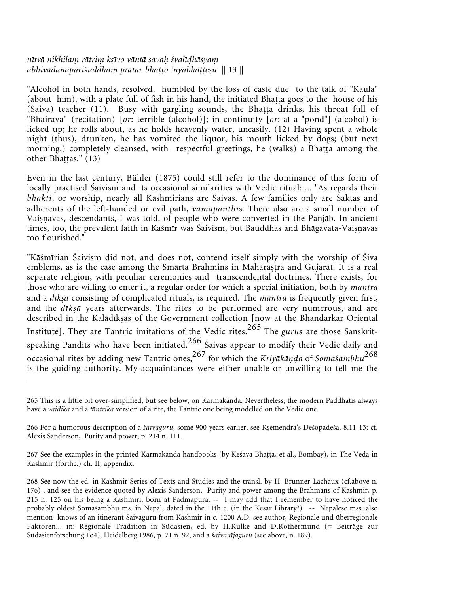### nītvā nikhilam rātrim kṣīvo vāntā savaḥ śvalīḍhāsyaṃ abhivādanapariśuddhaṃ prātar bhaṭṭo 'nyabhaṭṭeṣu || 13 ||

"Alcohol in both hands, resolved, humbled by the loss of caste due to the talk of "Kaula" (about him), with a plate full of fish in his hand, the initiated Bhatta goes to the house of his  $(Šaiva)$  teacher  $(11)$ . Busy with gargling sounds, the Bhatta drinks, his throat full of "Bhairava" (recitation) [*or*: terrible (alcohol)]; in continuity [*or*: at a "pond"] (alcohol) is licked up; he rolls about, as he holds heavenly water, uneasily. (12) Having spent a whole night (thus), drunken, he has vomited the liquor, his mouth licked by dogs; (but next morning, completely cleansed, with respectful greetings, he (walks) a Bhatta among the other Bhaṭṭas." (13)

Even in the last century, Bühler (1875) could still refer to the dominance of this form of locally practised Śaivism and its occasional similarities with Vedic ritual: ... "As regards their *bhakti*, or worship, nearly all Kashmirians are Śaivas. A few families only are Śåktas and adherents of the left-handed or evil path, *våmapanthī*s. There also are a small number of Vaiṣṇavas, descendants, I was told, of people who were converted in the Panjāb. In ancient times, too, the prevalent faith in Kaśmīr was Śaivism, but Bauddhas and Bhāgavata-Vaiṣṇavas too flourished."

"Kåśmīrian Śaivism did not, and does not, contend itself simply with the worship of Śiva emblems, as is the case among the Smårta Brahmins in Mahåråra and Gujaråt. It is a real separate religion, with peculiar ceremonies and transcendental doctrines. There exists, for those who are willing to enter it, a regular order for which a special initiation, both by *mantra* and a *dīkṣā* consisting of complicated rituals, is required. The *mantra* is frequently given first, and the *dīk-å* years afterwards. The rites to be performed are very numerous, and are described in the Kalådīkås of the Government collection [now at the Bhandarkar Oriental Institute]. They are Tantric imitations of the Vedic rites.265 The *guru*s are those Sanskritspeaking Pandits who have been initiated. $266$  Saivas appear to modify their Vedic daily and occasional rites by adding new Tantric ones,<sup>267</sup> for which the *Kriyākānda* of *Somaśambhu*<sup>268</sup> is the guiding authority. My acquaintances were either unable or unwilling to tell me the

<sup>265</sup> This is a little bit over-simplified, but see below, on Karmakāṇda. Nevertheless, the modern Paddhatis always have a *vaidika* and a *tåntrika* version of a rite, the Tantric one being modelled on the Vedic one.

<sup>266</sup> For a humorous description of a *śaivaguru*, some 900 years earlier, see Kemendra's Deśopadeśa, 8.11-13; cf. Alexis Sanderson, Purity and power, p. 214 n. 111.

<sup>267</sup> See the examples in the printed Karmakāṇda handbooks (by Keśava Bhaṭṭa, et al., Bombay), in The Veda in Kashmir (forthc.) ch. II, appendix.

<sup>268</sup> See now the ed. in Kashmir Series of Texts and Studies and the transl. by H. Brunner-Lachaux (cf.above n. 176) , and see the evidence quoted by Alexis Sanderson, Purity and power among the Brahmans of Kashmir, p. 215 n. 125 on his being a Kashmiri, born at Padmapura. -- I may add that I remember to have noticed the probably oldest Somaśambhu ms. in Nepal, dated in the 11th c. (in the Kesar Library?). -- Nepalese mss. also mention knows of an itinerant Śaivaguru from Kashmir in c. 1200 A.D. see author, Regionale und überregionale Faktoren... in: Regionale Tradition in Südasien, ed. by H.Kulke and D.Rothermund (= Beiträge zur Südasienforschung 1o4), Heidelberg 1986, p. 71 n. 92, and a *śaivaråjaguru* (see above, n. 189).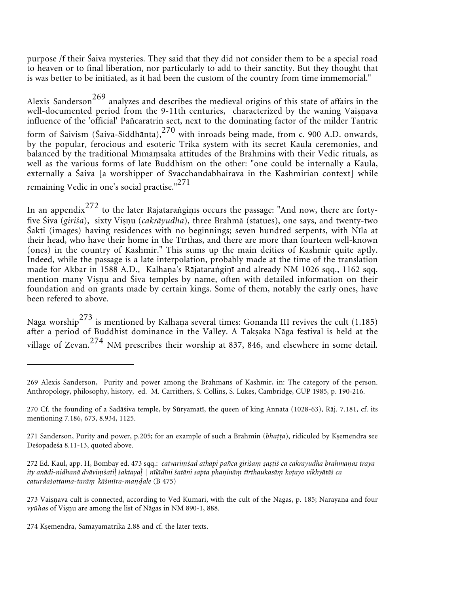purpose /f their Śaiva mysteries. They said that they did not consider them to be a special road to heaven or to final liberation, nor particularly to add to their sanctity. But they thought that is was better to be initiated, as it had been the custom of the country from time immemorial."

Alexis Sanderson<sup>269</sup> analyzes and describes the medieval origins of this state of affairs in the well-documented period from the 9-11th centuries, characterized by the waning Vaiṣṇava influence of the 'official' Pañcaråtrin sect, next to the dominating factor of the milder Tantric form of Śaivism (Śaiva-Siddhānta), $270$  with inroads being made, from c. 900 A.D. onwards, by the popular, ferocious and esoteric Trika system with its secret Kaula ceremonies, and balanced by the traditional Mīmāṃsaka attitudes of the Brahmins with their Vedic rituals, as well as the various forms of late Buddhism on the other: "one could be internally a Kaula, externally a Śaiva [a worshipper of Svacchandabhairava in the Kashmirian context] while remaining Vedic in one's social practise."<sup>271</sup>

In an appendix $^{272}$  to the later Rājataraṅgiṇīs occurs the passage: "And now, there are fortyfive Śiva (*giriśa*), sixty Viṣṇu (*cakrāyudha*), three Brahmā (statues), one says, and twenty-two Śakti (images) having residences with no beginnings; seven hundred serpents, with Nīla at their head, who have their home in the Tīrthas, and there are more than fourteen well-known (ones) in the country of Kashmir." This sums up the main deities of Kashmir quite aptly. Indeed, while the passage is a late interpolation, probably made at the time of the translation made for Akbar in 1588 A.D., Kalhaṇa's Rājataraṅgiṇī and already NM 1026 sqq., 1162 sqq. mention many Viṣṇu and Śiva temples by name, often with detailed information on their foundation and on grants made by certain kings. Some of them, notably the early ones, have been refered to above.

Nāga worship $^{273}$  is mentioned by Kalhaṇa several times: Gonanda III revives the cult (1.185) after a period of Buddhist dominance in the Valley. A Takṣaka Nāga festival is held at the village of Zevan.<sup>274</sup> NM prescribes their worship at 837, 846, and elsewhere in some detail.

<sup>269</sup> Alexis Sanderson, Purity and power among the Brahmans of Kashmir, in: The category of the person. Anthropology, philosophy, history, ed. M. Carrithers, S. Collins, S. Lukes, Cambridge, CUP 1985, p. 190-216.

<sup>270</sup> Cf. the founding of a Sadåśiva temple, by Sūryamatī, the queen of king Annata (1028-63), Råj. 7.181, cf. its mentioning 7.186, 673, 8.934, 1125.

<sup>271</sup> Sanderson, Purity and power, p.205; for an example of such a Brahmin (*bhatta*), ridiculed by Ksemendra see Deśopadeśa 8.11-13, quoted above.

<sup>272</sup> Ed. Kaul, app. H, Bombay ed. 473 sqq.: *catvārimśad athāpi pañca giriśām sastiś ca cakrāyudhā brahmānas traya* ity anādi-nidhanā dvāviṃśatil śaktayal | nīlādīni śatāni sapta phaṇināṃ tīrthaukasāṃ koṭayo vikhyātāś ca *caturdaśottama-tarå kåśmīra-maale* (B 475)

<sup>273</sup> Vaisnava cult is connected, according to Ved Kumari, with the cult of the Nāgas, p. 185; Nārāyaṇa and four vyūhas of Visnu are among the list of Nāgas in NM 890-1, 888.

<sup>274</sup> Kemendra, Samayamåtrikå 2.88 and cf. the later texts.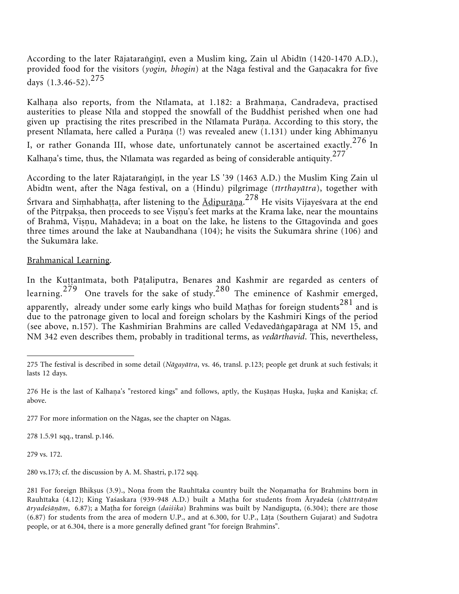According to the later Rājataraṅgiṇī, even a Muslim king, Zain ul Abidīn (1420-1470 A.D.), provided food for the visitors (yogin, bhogin) at the Nāga festival and the Gaṇacakra for five days  $(1.3.46 - 52)$ <sup>275</sup>

Kalhaṇa also reports, from the Nīlamata, at 1.182: a Brāhmaṇa, Candradeva, practised austerities to please Nīla and stopped the snowfall of the Buddhist perished when one had given up practising the rites prescribed in the Nīlamata Purāṇa. According to this story, the present Nīlamata, here called a Purāṇa (!) was revealed anew (1.131) under king Abhimanyu I, or rather Gonanda III, whose date, unfortunately cannot be ascertained exactly.<sup>276</sup> In Kalhaṇa's time, thus, the Nīlamata was regarded as being of considerable antiquity. $^{277}$ 

According to the later Rājataraṅgiṇī, in the year LS '39 (1463 A.D.) the Muslim King Zain ul Abidīn went, after the Någa festival, on a (Hindu) pilgrimage (*tīrthayåtra*), together with Śrīvara and Siṃhabhaṭṭa, after listening to the  $\underline{\bar{\Lambda}}$ dipurāṇa.<sup>278</sup> He visits Vijayeśvara at the end of the Pitrpakṣa, then proceeds to see Viṣṇu's feet marks at the Krama lake, near the mountains of Brahmā, Viṣṇu, Mahādeva; in a boat on the lake, he listens to the Gītagovinda and goes three times around the lake at Naubandhana (104); he visits the Sukumåra shrine (106) and the Sukumåra lake.

# Brahmanical Learning.

In the Kuttanimata, both Pāṭaliputra, Benares and Kashmir are regarded as centers of learning.<sup>279</sup> One travels for the sake of study.<sup>280</sup> The eminence of Kashmir emerged, apparently, already under some early kings who build Mathas for foreign students<sup>281</sup> and is due to the patronage given to local and foreign scholars by the Kashmiri Kings of the period (see above, n.157). The Kashmirian Brahmins are called Vedavedågapåraga at NM 15, and NM 342 even describes them, probably in traditional terms, as *vedårthavid*. This, nevertheless,

278 1.5.91 sqq., transl. p.146.

279 vs. 172.

280 vs.173; cf. the discussion by A. M. Shastri, p.172 sqq.

<sup>275</sup> The festival is described in some detail (*Någayåtra*, vs. 46, transl. p.123; people get drunk at such festivals; it lasts 12 days.

<sup>276</sup> He is the last of Kalhaṇa's "restored kings" and follows, aptly, the Kuṣāṇas Huṣka, Juṣka and Kaniṣka; cf. above.

<sup>277</sup> For more information on the Någas, see the chapter on Någas.

<sup>281</sup> For foreign Bhikṣus (3.9)., Noṇa from the Rauhītaka country built the Noṇamaṭha for Brahmins born in Rauhītaka (4.12); King Yaśaskara (939-948 A.D.) built a Maha for students from Āryadeśa (*chåttrååm åryadeśååm*, 6.87); a Maha for foreign (*daiśika*) Brahmins was built by Nandigupta, (6.304); there are those (6.87) for students from the area of modern U.P., and at 6.300, for U.P., Lāta (Southern Gujarat) and Sudotra people, or at 6.304, there is a more generally defined grant "for foreign Brahmins".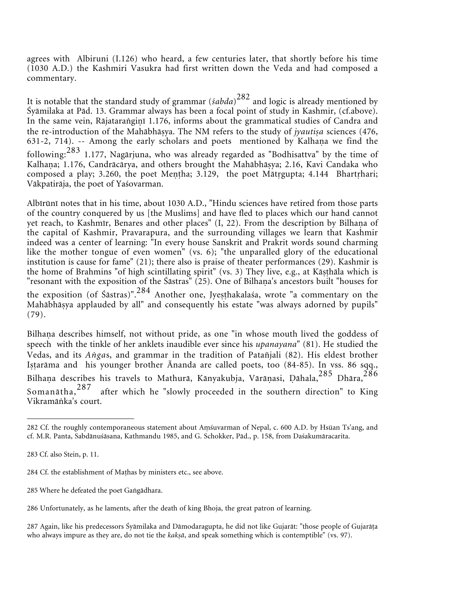agrees with Albiruni (I.126) who heard, a few centuries later, that shortly before his time (1030 A.D.) the Kashmiri Vasukra had first written down the Veda and had composed a commentary.

It is notable that the standard study of grammar (*śabda*) <sup>282</sup> and logic is already mentioned by Śyåmilaka at Påd. 13. Grammar always has been a focal point of study in Kashmir, (cf.above). In the same vein, Rājataranginī 1.176, informs about the grammatical studies of Candra and the re-introduction of the Mahābhāṣya. The NM refers to the study of *jyautiṣa* sciences (476, 631-2, 714). -- Among the early scholars and poets mentioned by Kalhana we find the following:  $283$  1.177, Nagārjuna, who was already regarded as "Bodhisattva" by the time of Kalhaṇa; 1.176, Candrācārya, and others brought the Mahābhāṣya; 2.16, Kavi Candaka who composed a play; 3.260, the poet Mentha; 3.129, the poet Mātrgupta; 4.144 Bhartrhari; Våkpatiråja, the poet of Yaśovarman.

Albīrūnī notes that in his time, about 1030 A.D., "Hindu sciences have retired from those parts of the country conquered by us [the Muslims] and have fled to places which our hand cannot yet reach, to Kashmīr, Benares and other places" (I, 22). From the description by Bilhaṇa of the capital of Kashmir, Pravarapura, and the surrounding villages we learn that Kashmir indeed was a center of learning: "In every house Sanskrit and Prakrit words sound charming like the mother tongue of even women" (vs. 6); "the unparalled glory of the educational institution is cause for fame" (21); there also is praise of theater performances (29). Kashmir is the home of Brahmins "of high scintillating spirit" (vs. 3) They live, e.g., at Kāsthāla which is "resonant with the exposition of the Śāstras" (25). One of Bilhaṇa's ancestors built "houses for the exposition (of Sastras)".<sup>284</sup> Another one, Jyesthakalaśa, wrote "a commentary on the Mahåbhåya applauded by all" and consequently his estate "was always adorned by pupils" (79).

Bilhaṇa describes himself, not without pride, as one "in whose mouth lived the goddess of speech with the tinkle of her anklets inaudible ever since his *upanayana*" (81). He studied the Vedas, and its *Angas*, and grammar in the tradition of Patañjali (82). His eldest brother Istarāma and his younger brother Ānanda are called poets, too (84-85). In vss. 86 sqq., Bilhaņa describes his travels to Mathurā, Kānyakubja, Vārāņasi, Dāhala,<sup>285</sup> Dhāra,<sup>286</sup> Somanåtha,<sup>287</sup> after which he "slowly proceeded in the southern direction" to King Vikramåka's court.

285 Where he defeated the poet Gangadhara.

287 Again, like his predecessors Śyåmilaka and Dåmodaragupta, he did not like Gujaråt: "those people of Gujaråa who always impure as they are, do not tie the *kakṣā*, and speak something which is contemptible" (vs. 97).

<sup>282</sup> Cf. the roughly contemporaneous statement about Amśuvarman of Nepal, c. 600 A.D. by Hsüan Ts'ang, and cf. M.R. Panta, Sabdånuśåsana, Kathmandu 1985, and G. Schokker, Påd., p. 158, from Daśakumåracarita.

<sup>283</sup> Cf. also Stein, p. 11.

<sup>284</sup> Cf. the establishment of Mahas by ministers etc., see above.

<sup>286</sup> Unfortunately, as he laments, after the death of king Bhoja, the great patron of learning.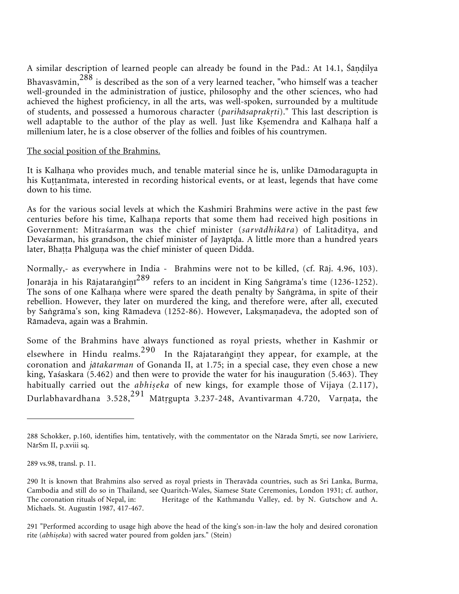A similar description of learned people can already be found in the Pād.: At 14.1, Śāṇḍilya Bhavasvāmin, $^{288}$  is described as the son of a very learned teacher, "who himself was a teacher well-grounded in the administration of justice, philosophy and the other sciences, who had achieved the highest proficiency, in all the arts, was well-spoken, surrounded by a multitude of students, and possessed a humorous character (*parihåsaprakti*)." This last description is well adaptable to the author of the play as well. Just like Kṣemendra and Kalhaṇa half a millenium later, he is a close observer of the follies and foibles of his countrymen.

### The social position of the Brahmins.

It is Kalhaṇa who provides much, and tenable material since he is, unlike Dāmodaragupta in his Kuttanīmata, interested in recording historical events, or at least, legends that have come down to his time.

As for the various social levels at which the Kashmiri Brahmins were active in the past few centuries before his time, Kalhaṇa reports that some them had received high positions in Government: Mitraśarman was the chief minister (*sarvådhikåra*) of Lalitåditya, and Devaśarman, his grandson, the chief minister of Jayāpīda. A little more than a hundred years later, Bhaṭṭa Phālguṇa was the chief minister of queen Diddā.

Normally,- as everywhere in India - Brahmins were not to be killed, (cf. Råj. 4.96, 103). Jonarāja in his Rājataraṅgiṇī<sup>289</sup> refers to an incident in King Saṅgrāma's time (1236-1252). The sons of one Kalhana where were spared the death penalty by Sangrāma, in spite of their rebellion. However, they later on murdered the king, and therefore were, after all, executed by Saṅgrāma's son, king Rāmadeva (1252-86). However, Lakṣmaṇadeva, the adopted son of Råmadeva, again was a Brahmin.

Some of the Brahmins have always functioned as royal priests, whether in Kashmir or elsewhere in Hindu realms. $^{290}$  In the Rājataraṅgiṇī they appear, for example, at the coronation and *jåtakarman* of Gonanda II, at 1.75; in a special case, they even chose a new king, Yaśaskara (5.462) and then were to provide the water for his inauguration (5.463). They habitually carried out the *abhiseka* of new kings, for example those of Vijaya (2.117), Durlabhavardhana 3.528, $^{291}$  Mātṛgupta 3.237-248, Avantivarman 4.720, Varṇaṭa, the

<sup>288</sup> Schokker, p.160, identifies him, tentatively, with the commentator on the Nårada Smti, see now Lariviere, NårSm II, p.xviii sq.

<sup>289</sup> vs.98, transl. p. 11.

<sup>290</sup> It is known that Brahmins also served as royal priests in Theravåda countries, such as Sri Lanka, Burma, Cambodia and still do so in Thailand, see Quaritch-Wales, Siamese State Ceremonies, London 1931; cf. author, The coronation rituals of Nepal, in: Heritage of the Kathmandu Valley, ed. by N. Gutschow and A. Michaels. St. Augustin 1987, 417-467.

<sup>291 &</sup>quot;Performed according to usage high above the head of the king's son-in-law the holy and desired coronation rite (abhiseka) with sacred water poured from golden jars." (Stein)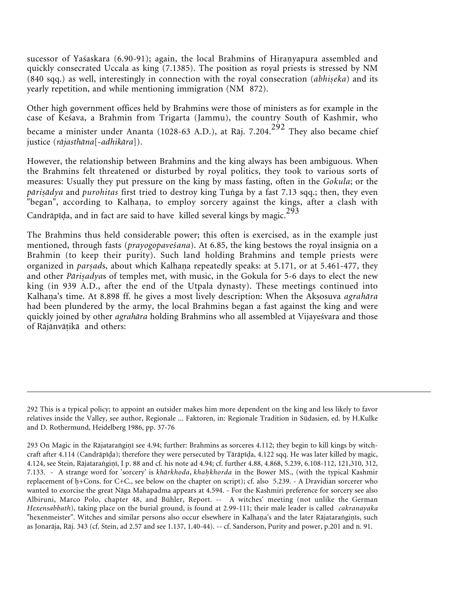sucessor of Yaśaskara (6.90-91); again, the local Brahmins of Hiranyapura assembled and quickly consecrated Uccala as king (7.1385). The position as royal priests is stressed by NM (840 sqq.) as well, interestingly in connection with the royal consecration (abhiseka) and its yearly repetition, and while mentioning immigration (NM 872).

Other high government offices held by Brahmins were those of ministers as for example in the case of Keśava, a Brahmin from Trigarta (Jammu), the country South of Kashmir, who became a minister under Ananta (1028-63 A.D.), at Rāj. 7.204.<sup>292</sup> They also became chief justice (*råjasthåna*[-*adhikåra*]).

However, the relationship between Brahmins and the king always has been ambiguous. When the Brahmins felt threatened or disturbed by royal politics, they took to various sorts of measures: Usually they put pressure on the king by mass fasting, often in the *Gokula*; or the *pāriṣādya* and *purohitas* first tried to destroy king Tuṅga by a fast 7.13 sqq.; then, they even "began", according to Kalhaṇa, to employ sorcery against the kings, after a clash with Candrāpīḍa, and in fact are said to have killed several kings by magic.<sup>293</sup>

The Brahmins thus held considerable power; this often is exercised, as in the example just mentioned, through fasts (*prayogopaveśana*). At 6.85, the king bestows the royal insignia on a Brahmin (to keep their purity). Such land holding Brahmins and temple priests were organized in *parsads*, about which Kalhaṇa repeatedly speaks: at 5.171, or at 5.461-477, they and other *Pāriṣadya*s of temples met, with music, in the Gokula for 5-6 days to elect the new king (in 939 A.D., after the end of the Utpala dynasty). These meetings continued into Kalhaṇa's time. At 8.898 ff. he gives a most lively description: When the Akṣosuva *agrahāra* had been plundered by the army, the local Brahmins began a fast against the king and were quickly joined by other *agrahåra* holding Brahmins who all assembled at Vijayeśvara and those of Råjånvåikå and others:

<sup>292</sup> This is a typical policy; to appoint an outsider makes him more dependent on the king and less likely to favor relatives inside the Valley, see author, Regionale ... Faktoren, in: Regionale Tradition in Südasien, ed. by H.Kulke and D. Rothermund, Heidelberg 1986, pp. 37-76

<sup>293</sup> On Magic in the Rājataraṅgiṇī see 4.94; further: Brahmins as sorceres 4.112; they begin to kill kings by witchcraft after 4.114 (Candråpīa); therefore they were persecuted by Tåråpīa, 4.122 sqq. He was later killed by magic, 4.124, see Stein, Rājataraṅgiṇī, I p. 88 and cf. his note ad 4.94; cf. further 4.88, 4.868, 5.239, 6.108-112, 121,310, 312, 7.133. - A strange word for 'sorcery' is *khårkhoda*, *khakhorda* in the Bower MS., (with the typical Kashmir replacement of h+Cons. for C+C., see below on the chapter on script); cf. also 5.239. - A Dravidian sorcerer who wanted to exorcise the great Någa Mahapadma appears at 4.594. - For the Kashmiri preference for sorcery see also Albiruni, Marco Polo, chapter 48, and Bühler, Report. -- A witches' meeting (not unlike the German *Hexensabbath*), taking place on the burial ground, is found at 2.99-111; their male leader is called *cakranayaka* "hexenmeister". Witches and similar persons also occur elsewhere in Kalhaṇa's and the later Rājataraṅgiṇīs, such as Jonaråja, Råj. 343 (cf. Stein, ad 2.57 and see 1.137, 1.40-44). -- cf. Sanderson, Purity and power, p.201 and n. 91.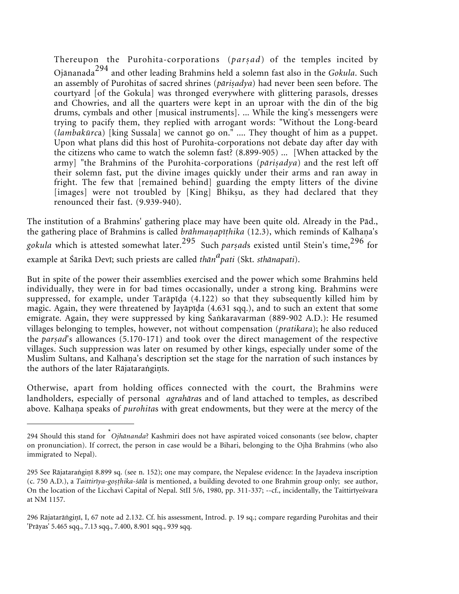Thereupon the Purohita-corporations (parsad) of the temples incited by Ojånanada<sup>294</sup> and other leading Brahmins held a solemn fast also in the *Gokula*. Such an assembly of Purohitas of sacred shrines (pārisadya) had never been seen before. The courtyard [of the Gokula] was thronged everywhere with glittering parasols, dresses and Chowries, and all the quarters were kept in an uproar with the din of the big drums, cymbals and other [musical instruments]. ... While the king's messengers were trying to pacify them, they replied with arrogant words: "Without the Long-beard (*lambakūrc*a) [king Sussala] we cannot go on." .... They thought of him as a puppet. Upon what plans did this host of Purohita-corporations not debate day after day with the citizens who came to watch the solemn fast? (8.899-905) ... [When attacked by the army] "the Brahmins of the Purohita-corporations (*pāriṣadya*) and the rest left off their solemn fast, put the divine images quickly under their arms and ran away in fright. The few that [remained behind] guarding the empty litters of the divine [images] were not troubled by [King] Bhiksu, as they had declared that they renounced their fast. (9.939-940).

The institution of a Brahmins' gathering place may have been quite old. Already in the Påd., the gathering place of Brahmins is called *brāhmaṇapīṭhika* (12.3), which reminds of Kalhaṇa's *gokula* which is attested somewhat later.<sup>295</sup> Such *par-ad*s existed until Stein's time,<sup>296</sup> for example at Śårikå Devī; such priests are called *thån<sup>a</sup> pati* (Skt. *sthånapati*).

But in spite of the power their assemblies exercised and the power which some Brahmins held individually, they were in for bad times occasionally, under a strong king. Brahmins were suppressed, for example, under Tarāpīda (4.122) so that they subsequently killed him by magic. Again, they were threatened by Jayāpīda (4.631 sqq.), and to such an extent that some emigrate. Again, they were suppressed by king Śankaravarman (889-902 A.D.): He resumed villages belonging to temples, however, not without compensation (*pratikara*); he also reduced the *parsad*'s allowances (5.170-171) and took over the direct management of the respective villages. Such suppression was later on resumed by other kings, especially under some of the Muslim Sultans, and Kalhaṇa's description set the stage for the narration of such instances by the authors of the later Rājataranginīs.

Otherwise, apart from holding offices connected with the court, the Brahmins were landholders, especially of personal *agrahåra*s and of land attached to temples, as described above. Kalhaṇa speaks of *purohita*s with great endowments, but they were at the mercy of the

<sup>294</sup> Should this stand for \* *Ojhånanda*? Kashmiri does not have aspirated voiced consonants (see below, chapter on pronunciation). If correct, the person in case would be a Bihari, belonging to the Ojhå Brahmins (who also immigrated to Nepal).

<sup>295</sup> See Rājataraṅgiṇī 8.899 sq. (see n. 152); one may compare, the Nepalese evidence: In the Jayadeva inscription (c. 750 A.D.), a *Taittirīya-gosṭhika-śālā* is mentioned, a building devoted to one Brahmin group only; see author, On the location of the Licchavi Capital of Nepal. StII 5/6, 1980, pp. 311-337; --cf., incidentally, the Taittirīyeśvara at NM 1157.

<sup>296</sup> Rājatarāṅgiṇī, I, 67 note ad 2.132. Cf. his assessment, Introd. p. 19 sq.; compare regarding Purohitas and their 'Pråyas' 5.465 sqq., 7.13 sqq., 7.400, 8.901 sqq., 939 sqq.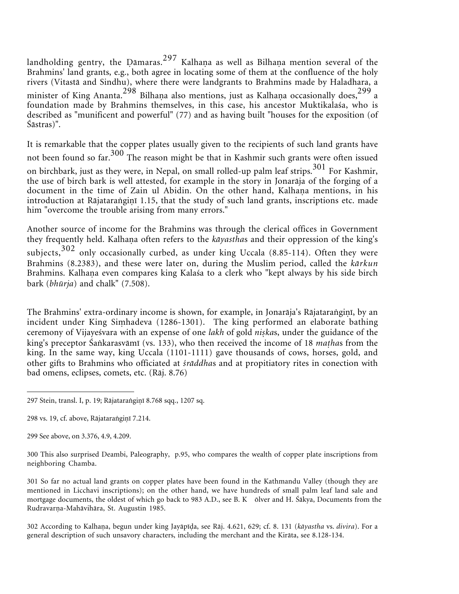landholding gentry, the Dāmaras. $^{297}$  Kalhaṇa as well as Bilhaṇa mention several of the Brahmins' land grants, e.g., both agree in locating some of them at the confluence of the holy rivers (Vitastå and Sindhu), where there were landgrants to Brahmins made by Haladhara, a minister of King Ananta. $^{298}$  Bilhaṇa also mentions, just as Kalhaṇa occasionally does, $^{299}$  a foundation made by Brahmins themselves, in this case, his ancestor Muktikalaśa, who is described as "munificent and powerful" (77) and as having built "houses for the exposition (of Śåstras)".

It is remarkable that the copper plates usually given to the recipients of such land grants have not been found so far.<sup>300</sup> The reason might be that in Kashmir such grants were often issued on birchbark, just as they were, in Nepal, on small rolled-up palm leaf strips.<sup>301</sup> For Kashmir, the use of birch bark is well attested, for example in the story in Jonaråja of the forging of a document in the time of Zain ul Abidin. On the other hand, Kalhaṇa mentions, in his introduction at Rājataraṅgiṇī 1.15, that the study of such land grants, inscriptions etc. made him "overcome the trouble arising from many errors."

Another source of income for the Brahmins was through the clerical offices in Government they frequently held. Kalhaṇa often refers to the *kāyastha*s and their oppression of the king's subjects, $302$  only occasionally curbed, as under king Uccala (8.85-114). Often they were Brahmins (8.2383), and these were later on, during the Muslim period, called the *kårkun* Brahmins. Kalhaṇa even compares king Kalaśa to a clerk who "kept always by his side birch bark (*bhūrja*) and chalk" (7.508).

The Brahmins' extra-ordinary income is shown, for example, in Jonarāja's Rājataraṅgiṇī, by an incident under King Siṃhadeva (1286-1301). The king performed an elaborate bathing ceremony of Vijayeśvara with an expense of one lakh of gold niskas, under the guidance of the king's preceptor Śakarasvåmī (vs. 133), who then received the income of 18 *maha*s from the king. In the same way, king Uccala (1101-1111) gave thousands of cows, horses, gold, and other gifts to Brahmins who officiated at *śråddha*s and at propitiatory rites in conection with bad omens, eclipses, comets, etc. (Råj. 8.76)

<sup>297</sup> Stein, transl. I, p. 19; Rājataraṅgiṇī 8.768 sqq., 1207 sq.

<sup>298</sup> vs. 19, cf. above, Rājataranginī 7.214.

<sup>299</sup> See above, on 3.376, 4.9, 4.209.

<sup>300</sup> This also surprised Deambi, Paleography, p.95, who compares the wealth of copper plate inscriptions from neighboring Chamba.

<sup>301</sup> So far no actual land grants on copper plates have been found in the Kathmandu Valley (though they are mentioned in Licchavi inscriptions); on the other hand, we have hundreds of small palm leaf land sale and mortgage documents, the oldest of which go back to 983 A.D., see B. K ōlver and H. Śåkya, Documents from the Rudravarņa-Mahāvihāra, St. Augustin 1985.

<sup>302</sup> According to Kalhaṇa, begun under king Jayāpīḍa, see Rāj. 4.621, 629; cf. 8. 131 (*kāyastha* vs. *divira*). For a general description of such unsavory characters, including the merchant and the Kiråta, see 8.128-134.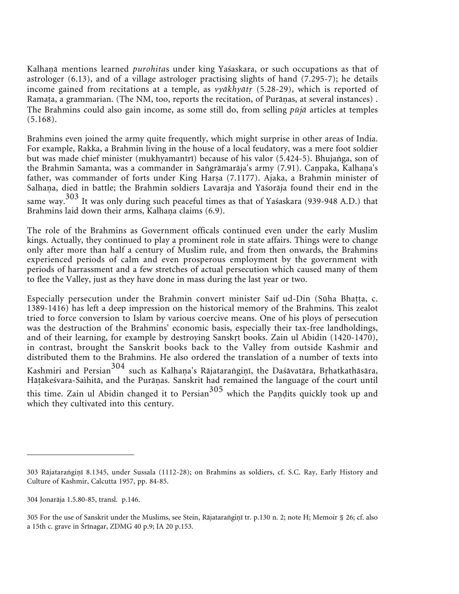Kalhaṇā mentions learned *purohita*s under king Yaśaskara, or such occupations as that of astrologer (6.13), and of a village astrologer practising slights of hand (7.295-7); he details income gained from recitations at a temple, as *vyåkhyåt* (5.28-29), which is reported of Ramața, a grammarian. (The NM, too, reports the recitation, of Purāṇas, at several instances). The Brahmins could also gain income, as some still do, from selling *pūjå* articles at temples (5.168).

Brahmins even joined the army quite frequently, which might surprise in other areas of India. For example, Rakka, a Brahmin living in the house of a local feudatory, was a mere foot soldier but was made chief minister (mukhyamantrī) because of his valor (5.424-5). Bhujanga, son of the Brahmin Samanta, was a commander in Saṅgrāmarāja's army (7.91). Caṇpaka, Kalhaṇa's father, was commander of forts under King Harsa (7.1177). Ajaka, a Brahmin minister of Salhaṇa, died in battle; the Brahmin soldiers Lavarāja and Yāśorāja found their end in the same way.<sup>303</sup> It was only during such peaceful times as that of Yaśaskara (939-948 A.D.) that Brahmins laid down their arms, Kalhaņa claims (6.9).

The role of the Brahmins as Government officals continued even under the early Muslim kings. Actually, they continued to play a prominent role in state affairs. Things were to change only after more than half a century of Muslim rule, and from then onwards, the Brahmins experienced periods of calm and even prosperous employment by the government with periods of harrassment and a few stretches of actual persecution which caused many of them to flee the Valley, just as they have done in mass during the last year or two.

Especially persecution under the Brahmin convert minister Saif ud-Din (Sūha Bhatta, c. 1389-1416) has left a deep impression on the historical memory of the Brahmins. This zealot tried to force conversion to Islam by various coercive means. One of his ploys of persecution was the destruction of the Brahmins' economic basis, especially their tax-free landholdings, and of their learning, for example by destroying Sanskt books. Zain ul Abidin (1420-1470), in contrast, brought the Sanskrit books back to the Valley from outside Kashmir and distributed them to the Brahmins. He also ordered the translation of a number of texts into Kashmiri and Persian<sup>304</sup> such as Kalhaṇa's Rājataraṅgiṇī, the Daśāvatāra, Bṛhatkathāsāra, Hāṭākeśvara-Saìhitā, and the Purāṇas. Sanskrit had remained the language of the court until this time. Zain ul Abidin changed it to Persian<sup>305</sup> which the Pandits quickly took up and which they cultivated into this century.

<sup>303</sup> Rājataraṅgiṇī 8.1345, under Sussala (1112-28); on Brahmins as soldiers, cf. S.C. Ray, Early History and Culture of Kashmir, Calcutta 1957, pp. 84-85.

<sup>304</sup> Jonaråja 1.5.80-85, transl. p.146.

<sup>305</sup> For the use of Sanskrit under the Muslims, see Stein, Rājataraṅgiṇī tr. p.130 n. 2; note H; Memoir § 26; cf. also a 15th c. grave in Śrīnagar, ZDMG 40 p.9; IA 20 p.153.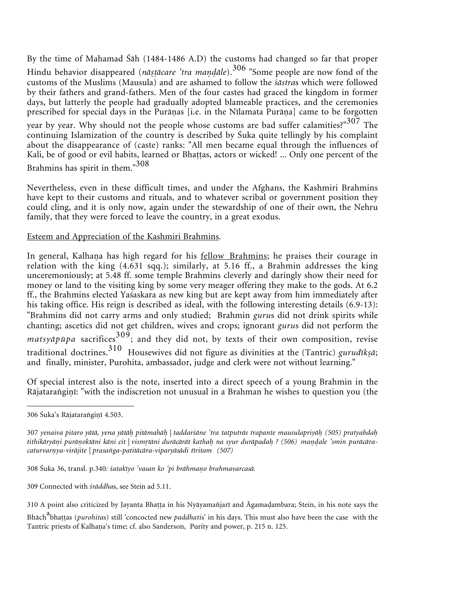By the time of Mahamad Śåh (1484-1486 A.D) the customs had changed so far that proper Hindu behavior disappeared (*nāṣṭācare 'tra maṇḍāle*).<sup>306</sup> "Some people are now fond of the customs of the Muslims (Mausula) and are ashamed to follow the *śåstra*s which were followed by their fathers and grand-fathers. Men of the four castes had graced the kingdom in former days, but latterly the people had gradually adopted blameable practices, and the ceremonies prescribed for special days in the Purāṇas [i.e. in the Nīlamata Purāṇa] came to be forgotten year by year. Why should not the people whose customs are bad suffer calamities?" $307$  The continuing Islamization of the country is described by Śuka quite tellingly by his complaint about the disappearance of (caste) ranks: "All men became equal through the influences of Kali, be of good or evil habits, learned or Bhattas, actors or wicked! ... Only one percent of the Brahmins has spirit in them."<sup>308</sup>

Nevertheless, even in these difficult times, and under the Afghans, the Kashmiri Brahmins have kept to their customs and rituals, and to whatever scribal or government position they could cling, and it is only now, again under the stewardship of one of their own, the Nehru family, that they were forced to leave the country, in a great exodus.

### Esteem and Appreciation of the Kashmiri Brahmins.

In general, Kalhaṇa has high regard for his <u>fellow Brahmins</u>; he praises their courage in relation with the king (4.631 sqq.); similarly, at 5.16 ff., a Brahmin addresses the king unceremoniously; at 5.48 ff. some temple Brahmins cleverly and daringly show their need for money or land to the visiting king by some very meager offering they make to the gods. At 6.2 ff., the Brahmins elected Yaśaskara as new king but are kept away from him immediately after his taking office. His reign is described as ideal, with the following interesting details (6.9-13): "Brahmins did not carry arms and only studied; Brahmin *guru*s did not drink spirits while chanting; ascetics did not get children, wives and crops; ignorant *guru*s did not perform the  $matsy\bar{a}p\bar{a}p\bar{a}$  sacrifices<sup>309</sup>; and they did not, by texts of their own composition, revise traditional doctrines.<sup>310</sup> Housewives did not figure as divinities at the (Tantric) *gurudīk-å*; and finally, minister, Purohita, ambassador, judge and clerk were not without learning."

Of special interest also is the note, inserted into a direct speech of a young Brahmin in the Rājataraṅgiṇī: "with the indiscretion not unusual in a Brahman he wishes to question you (the

309 Connected with *śråddha*s, see Stein ad 5.11.

<sup>306</sup> Šuka's Rājataraṅgiṇī 4.503.

<sup>307</sup> *yenaiva pitaro yåtå, yena yåtå pitåmahå | taddarśåne 'tra tatputrås trapante mausulapriyå (505) pratyabda* tithikāryāni purānoktāni kāni cit | vismrtāni durācārāt kathah na syur durāpadah ? (506) mandale 'smin purācāra*caturvarya-viråjite | prasaga-patitåcåra-viparyåsådi tīritam (507)*

<sup>308</sup> Śuka 36, transl. p.340*: śatakīyo 'vasan ko 'pi bråhmao brahmavarcaså.*

<sup>310</sup> A point also criticized by Jayanta Bhatta in his Nyāyamañjarī and Āgamadambara; Stein, in his note says the

Bhāch<sup>a</sup>bhaṭṭas (*purohita*s) still 'concocted new *paddhatis*' in his days. This must also have been the case with the Tantric priests of Kalhaṇa's time; cf. also Sanderson, Purity and power, p. 215 n. 125.